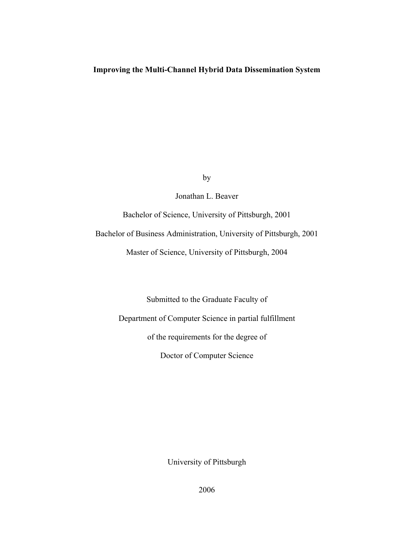## **Improving the Multi-Channel Hybrid Data Dissemination System**

by

Jonathan L. Beaver

Bachelor of Science, University of Pittsburgh, 2001

Bachelor of Business Administration, University of Pittsburgh, 2001

Master of Science, University of Pittsburgh, 2004

Doctor of Computer Science of the requirements for the degree of Department of Computer Science in partial fulfillment Submitted to the Graduate Faculty of

University of Pittsburgh

2006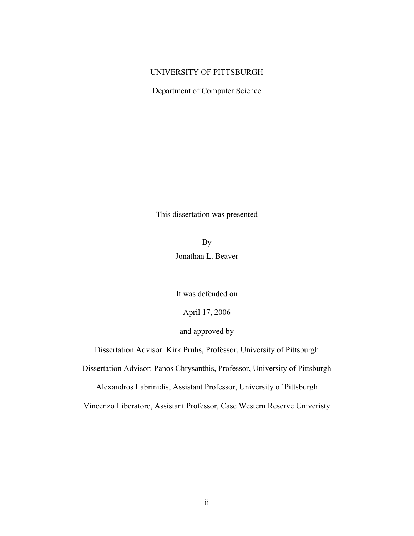## UNIVERSITY OF PITTSBURGH

Department of Computer Science

This dissertation was presented

Jonathan L. Beaver By

It was defended on

April 17, 2006

## and approved by

Dissertation Advisor: Kirk Pruhs, Professor, University of Pittsburgh

Dissertation Advisor: Panos Chrysanthis, Professor, University of Pittsburgh

Alexandros Labrinidis, Assistant Professor, University of Pittsburgh

Vincenzo Liberatore, Assistant Professor, Case Western Reserve Univeristy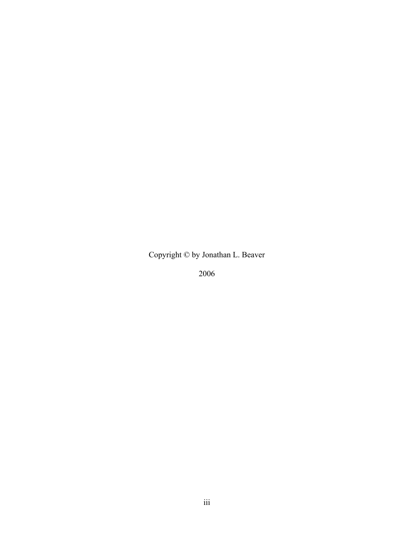Copyright © by Jonathan L. Beaver

2006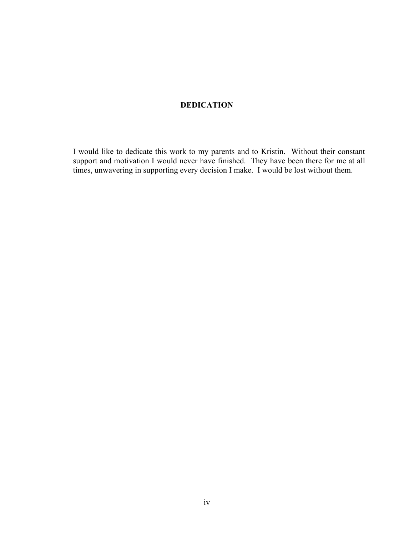# **DEDICATION**

I would like to dedicate this work to my parents and to Kristin. Without their constant support and motivation I would never have finished. They have been there for me at all times, unwavering in supporting every decision I make. I would be lost without them.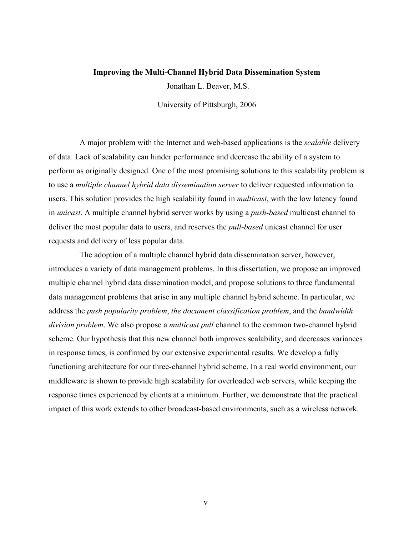#### **Improving the Multi-Channel Hybrid Data Dissemination System**

Jonathan L. Beaver, M.S.

University of Pittsburgh, 2006

A major problem with the Internet and web-based applications is the *scalable* delivery of data. Lack of scalability can hinder performance and decrease the ability of a system to perform as originally designed. One of the most promising solutions to this scalability problem is to use a *multiple channel hybrid data dissemination server* to deliver requested information to users. This solution provides the high scalability found in *multicast*, with the low latency found in *unicast*. A multiple channel hybrid server works by using a *push-based* multicast channel to deliver the most popular data to users, and reserves the *pull-based* unicast channel for user requests and delivery of less popular data.

 The adoption of a multiple channel hybrid data dissemination server, however, introduces a variety of data management problems. In this dissertation, we propose an improved multiple channel hybrid data dissemination model, and propose solutions to three fundamental data management problems that arise in any multiple channel hybrid scheme. In particular, we address the *push popularity problem*, *the document classification problem*, and the *bandwidth division problem*. We also propose a *multicast pull* channel to the common two-channel hybrid scheme. Our hypothesis that this new channel both improves scalability, and decreases variances in response times, is confirmed by our extensive experimental results. We develop a fully functioning architecture for our three-channel hybrid scheme. In a real world environment, our middleware is shown to provide high scalability for overloaded web servers, while keeping the response times experienced by clients at a minimum. Further, we demonstrate that the practical impact of this work extends to other broadcast-based environments, such as a wireless network.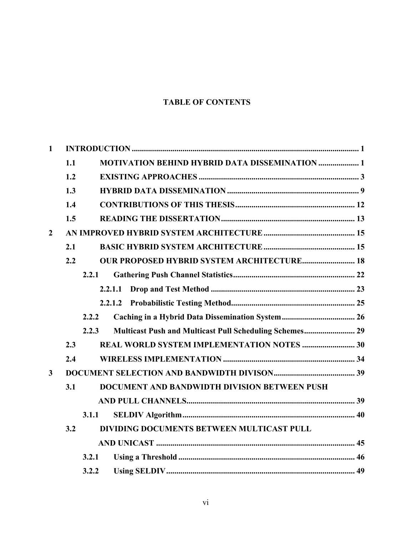# **TABLE OF CONTENTS**

| $\mathbf{1}$   |       |                                                         |  |  |
|----------------|-------|---------------------------------------------------------|--|--|
|                | 1.1   | <b>MOTIVATION BEHIND HYBRID DATA DISSEMINATION  1</b>   |  |  |
|                | 1.2   |                                                         |  |  |
|                | 1.3   |                                                         |  |  |
|                | 1.4   |                                                         |  |  |
|                | 1.5   |                                                         |  |  |
| $\overline{2}$ |       |                                                         |  |  |
|                | 2.1   |                                                         |  |  |
|                | 2.2   | <b>OUR PROPOSED HYBRID SYSTEM ARCHITECTURE 18</b>       |  |  |
|                | 2.2.1 |                                                         |  |  |
|                |       | 2.2.1.1                                                 |  |  |
|                |       | 2.2.1.2                                                 |  |  |
|                | 2.2.2 |                                                         |  |  |
|                | 2.2.3 | Multicast Push and Multicast Pull Scheduling Schemes 29 |  |  |
|                | 2.3   |                                                         |  |  |
|                | 2.4   |                                                         |  |  |
| $\mathbf{3}$   |       |                                                         |  |  |
|                | 3.1   | DOCUMENT AND BANDWIDTH DIVISION BETWEEN PUSH            |  |  |
|                |       |                                                         |  |  |
|                | 3.1.1 |                                                         |  |  |
|                | 3.2   | DIVIDING DOCUMENTS BETWEEN MULTICAST PULL               |  |  |
|                |       |                                                         |  |  |
|                | 3.2.1 |                                                         |  |  |
|                | 3.2.2 |                                                         |  |  |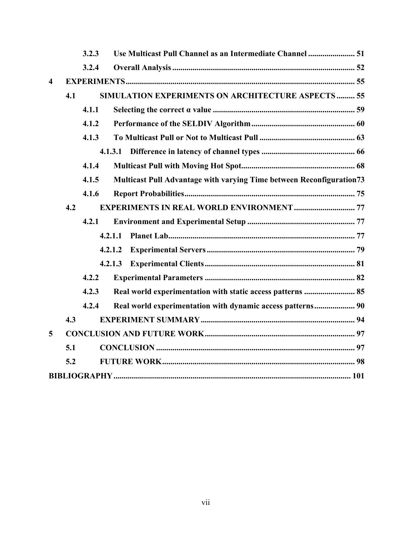|                         |     | 3.2.3 | Use Multicast Pull Channel as an Intermediate Channel  51            |
|-------------------------|-----|-------|----------------------------------------------------------------------|
|                         |     | 3.2.4 |                                                                      |
| $\overline{\mathbf{4}}$ |     |       |                                                                      |
|                         | 4.1 |       | <b>SIMULATION EXPERIMENTS ON ARCHITECTURE ASPECTS  55</b>            |
|                         |     | 4.1.1 |                                                                      |
|                         |     | 4.1.2 |                                                                      |
|                         |     | 4.1.3 |                                                                      |
|                         |     |       |                                                                      |
|                         |     | 4.1.4 |                                                                      |
|                         |     | 4.1.5 | Multicast Pull Advantage with varying Time between Reconfiguration73 |
|                         |     | 4.1.6 |                                                                      |
|                         | 4.2 |       | <b>EXPERIMENTS IN REAL WORLD ENVIRONMENT  77</b>                     |
|                         |     | 4.2.1 |                                                                      |
|                         |     |       | 4.2.1.1                                                              |
|                         |     |       | 4.2.1.2                                                              |
|                         |     |       | 4.2.1.3                                                              |
|                         |     | 4.2.2 |                                                                      |
|                         |     | 4.2.3 | Real world experimentation with static access patterns  85           |
|                         |     | 4.2.4 |                                                                      |
|                         | 4.3 |       |                                                                      |
| 5                       |     |       |                                                                      |
|                         | 5.1 |       |                                                                      |
|                         | 5.2 |       |                                                                      |
|                         |     |       |                                                                      |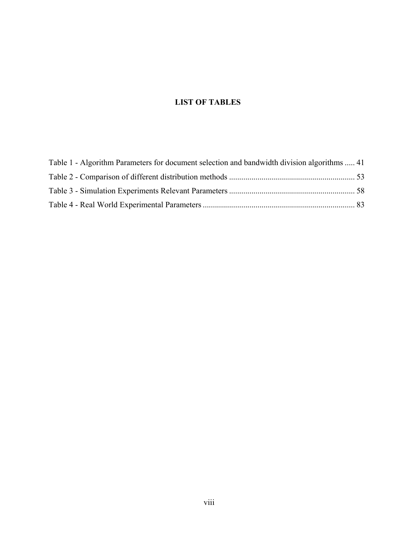# **LIST OF TABLES**

| Table 1 - Algorithm Parameters for document selection and bandwidth division algorithms  41 |  |
|---------------------------------------------------------------------------------------------|--|
|                                                                                             |  |
|                                                                                             |  |
|                                                                                             |  |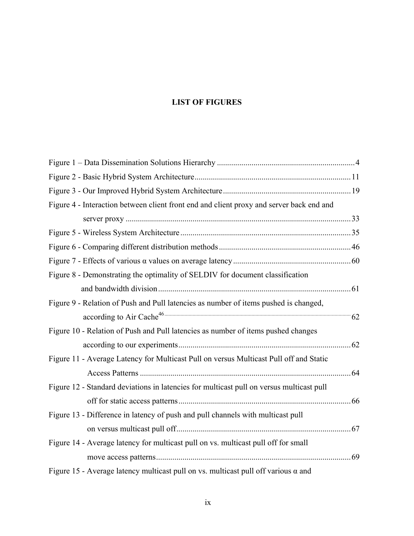# **LIST OF FIGURES**

| Figure 4 - Interaction between client front end and client proxy and server back end and  |  |
|-------------------------------------------------------------------------------------------|--|
|                                                                                           |  |
|                                                                                           |  |
|                                                                                           |  |
|                                                                                           |  |
| Figure 8 - Demonstrating the optimality of SELDIV for document classification             |  |
|                                                                                           |  |
| Figure 9 - Relation of Push and Pull latencies as number of items pushed is changed,      |  |
|                                                                                           |  |
| Figure 10 - Relation of Push and Pull latencies as number of items pushed changes         |  |
|                                                                                           |  |
| Figure 11 - Average Latency for Multicast Pull on versus Multicast Pull off and Static    |  |
|                                                                                           |  |
| Figure 12 - Standard deviations in latencies for multicast pull on versus multicast pull  |  |
|                                                                                           |  |
| Figure 13 - Difference in latency of push and pull channels with multicast pull           |  |
|                                                                                           |  |
| Figure 14 - Average latency for multicast pull on vs. multicast pull off for small        |  |
|                                                                                           |  |
| Figure 15 - Average latency multicast pull on vs. multicast pull off various $\alpha$ and |  |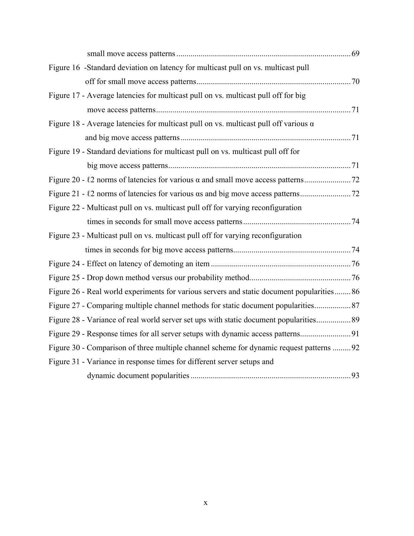| Figure 16 -Standard deviation on latency for multicast pull on vs. multicast pull           |  |
|---------------------------------------------------------------------------------------------|--|
|                                                                                             |  |
| Figure 17 - Average latencies for multicast pull on vs. multicast pull off for big          |  |
|                                                                                             |  |
| Figure 18 - Average latencies for multicast pull on vs. multicast pull off various $\alpha$ |  |
|                                                                                             |  |
| Figure 19 - Standard deviations for multicast pull on vs. multicast pull off for            |  |
|                                                                                             |  |
|                                                                                             |  |
|                                                                                             |  |
| Figure 22 - Multicast pull on vs. multicast pull off for varying reconfiguration            |  |
|                                                                                             |  |
| Figure 23 - Multicast pull on vs. multicast pull off for varying reconfiguration            |  |
|                                                                                             |  |
|                                                                                             |  |
|                                                                                             |  |
| Figure 26 - Real world experiments for various servers and static document popularities 86  |  |
|                                                                                             |  |
| Figure 28 - Variance of real world server set ups with static document popularities 89      |  |
|                                                                                             |  |
| Figure 30 - Comparison of three multiple channel scheme for dynamic request patterns 92     |  |
| Figure 31 - Variance in response times for different server setups and                      |  |
|                                                                                             |  |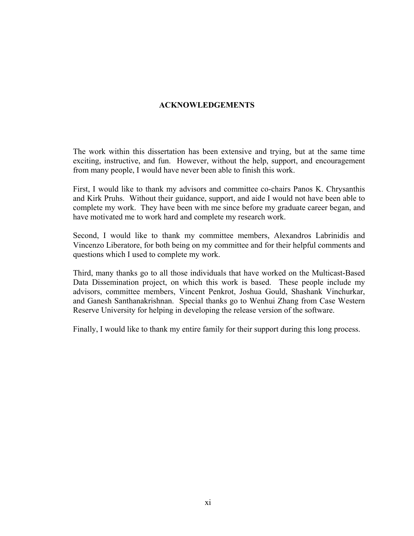# **ACKNOWLEDGEMENTS**

The work within this dissertation has been extensive and trying, but at the same time exciting, instructive, and fun. However, without the help, support, and encouragement from many people, I would have never been able to finish this work.

First, I would like to thank my advisors and committee co-chairs Panos K. Chrysanthis and Kirk Pruhs. Without their guidance, support, and aide I would not have been able to complete my work. They have been with me since before my graduate career began, and have motivated me to work hard and complete my research work.

Second, I would like to thank my committee members, Alexandros Labrinidis and Vincenzo Liberatore, for both being on my committee and for their helpful comments and questions which I used to complete my work.

Third, many thanks go to all those individuals that have worked on the Multicast-Based Data Dissemination project, on which this work is based. These people include my advisors, committee members, Vincent Penkrot, Joshua Gould, Shashank Vinchurkar, and Ganesh Santhanakrishnan. Special thanks go to Wenhui Zhang from Case Western Reserve University for helping in developing the release version of the software.

Finally, I would like to thank my entire family for their support during this long process.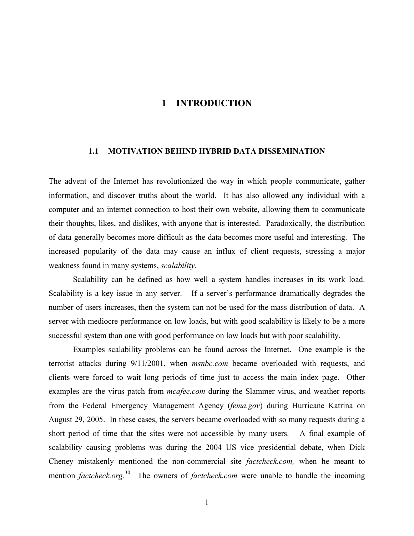# **1 INTRODUCTION**

#### <span id="page-11-0"></span>**1.1 MOTIVATION BEHIND HYBRID DATA DISSEMINATION**

The advent of the Internet has revolutionized the way in which people communicate, gather information, and discover truths about the world. It has also allowed any individual with a computer and an internet connection to host their own website, allowing them to communicate their thoughts, likes, and dislikes, with anyone that is interested. Paradoxically, the distribution of data generally becomes more difficult as the data becomes more useful and interesting. The increased popularity of the data may cause an influx of client requests, stressing a major weakness found in many systems, *scalability*.

Scalability can be defined as how well a system handles increases in its work load. Scalability is a key issue in any server. If a server's performance dramatically degrades the number of users increases, then the system can not be used for the mass distribution of data. A server with mediocre performance on low loads, but with good scalability is likely to be a more successful system than one with good performance on low loads but with poor scalability.

Examples scalability problems can be found across the Internet. One example is the terrorist attacks during 9/11/2001, when *msnbc.com* became overloaded with requests, and clients were forced to wait long periods of time just to access the main index page. Other examples are the virus patch from *mcafee.com* during the Slammer virus, and weather reports from the Federal Emergency Management Agency (*fema.gov*) during Hurricane Katrina on August 29, 2005. In these cases, the servers became overloaded with so many requests during a short period of time that the sites were not accessible by many users. A final example of scalability causing problems was during the 2004 US vice presidential debate, when Dick Cheney mistakenly mentioned the non-commercial site *factcheck.com,* when he meant to mention *factcheck.org*. 30 The owners of *factcheck.com* were unable to handle the incoming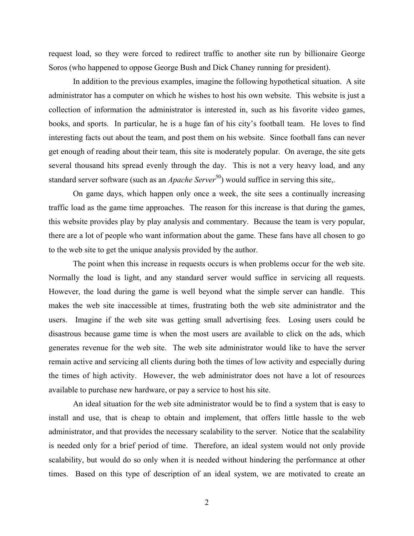request load, so they were forced to redirect traffic to another site run by billionaire George Soros (who happened to oppose George Bush and Dick Chaney running for president).

In addition to the previous examples, imagine the following hypothetical situation. A site administrator has a computer on which he wishes to host his own website. This website is just a collection of information the administrator is interested in, such as his favorite video games, books, and sports. In particular, he is a huge fan of his city's football team. He loves to find interesting facts out about the team, and post them on his website. Since football fans can never get enough of reading about their team, this site is moderately popular. On average, the site gets several thousand hits spread evenly through the day. This is not a very heavy load, and any standard server software (such as an *Apache Server*<sup>50</sup>) would suffice in serving this site,.

On game days, which happen only once a week, the site sees a continually increasing traffic load as the game time approaches. The reason for this increase is that during the games, this website provides play by play analysis and commentary. Because the team is very popular, there are a lot of people who want information about the game. These fans have all chosen to go to the web site to get the unique analysis provided by the author.

The point when this increase in requests occurs is when problems occur for the web site. Normally the load is light, and any standard server would suffice in servicing all requests. However, the load during the game is well beyond what the simple server can handle. This makes the web site inaccessible at times, frustrating both the web site administrator and the users. Imagine if the web site was getting small advertising fees. Losing users could be disastrous because game time is when the most users are available to click on the ads, which generates revenue for the web site. The web site administrator would like to have the server remain active and servicing all clients during both the times of low activity and especially during the times of high activity. However, the web administrator does not have a lot of resources available to purchase new hardware, or pay a service to host his site.

An ideal situation for the web site administrator would be to find a system that is easy to install and use, that is cheap to obtain and implement, that offers little hassle to the web administrator, and that provides the necessary scalability to the server. Notice that the scalability is needed only for a brief period of time. Therefore, an ideal system would not only provide scalability, but would do so only when it is needed without hindering the performance at other times. Based on this type of description of an ideal system, we are motivated to create an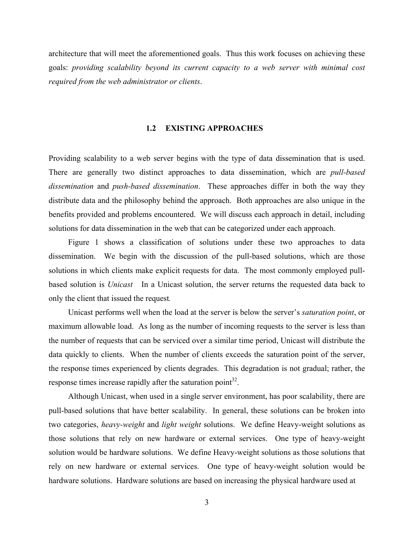<span id="page-13-0"></span>architecture that will meet the aforementioned goals. Thus this work focuses on achieving these goals: *providing scalability beyond its current capacity to a web server with minimal cost required from the web administrator or clients*.

## **1.2 EXISTING APPROACHES**

Providing scalability to a web server begins with the type of data dissemination that is used. There are generally two distinct approaches to data dissemination, which are *pull-based dissemination* and *push-based dissemination*. These approaches differ in both the way they distribute data and the philosophy behind the approach. Both approaches are also unique in the benefits provided and problems encountered. We will discuss each approach in detail, including solutions for data dissemination in the web that can be categorized under each approach.

Figure 1 shows a classification of solutions under these two approaches to data dissemination. We begin with the discussion of the pull-based solutions, which are those solutions in which clients make explicit requests for data. The most commonly employed pullbased solution is *Unicast* In a Unicast solution, the server returns the requested data back to only the client that issued the request*.*

Unicast performs well when the load at the server is below the server's *saturation point*, or maximum allowable load. As long as the number of incoming requests to the server is less than the number of requests that can be serviced over a similar time period, Unicast will distribute the data quickly to clients. When the number of clients exceeds the saturation point of the server, the response times experienced by clients degrades. This degradation is not gradual; rather, the response times increase rapidly after the saturation point $3^2$ .

Although Unicast, when used in a single server environment, has poor scalability, there are pull-based solutions that have better scalability. In general, these solutions can be broken into two categories, *heavy-weight* and *light weight* solutions. We define Heavy-weight solutions as those solutions that rely on new hardware or external services. One type of heavy-weight solution would be hardware solutions. We define Heavy-weight solutions as those solutions that rely on new hardware or external services. One type of heavy-weight solution would be hardware solutions. Hardware solutions are based on increasing the physical hardware used at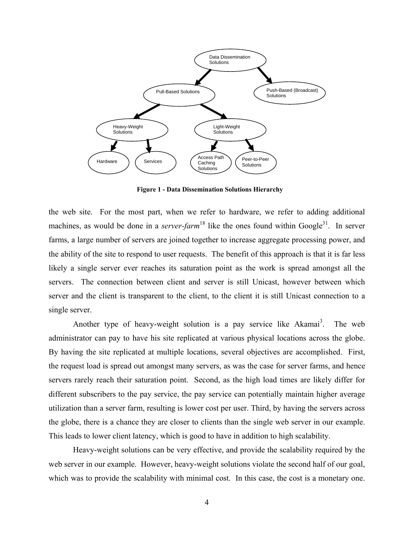<span id="page-14-0"></span>

**Figure 1 - Data Dissemination Solutions Hierarchy** 

the web site. For the most part, when we refer to hardware, we refer to adding additional machines, as would be done in a *server-farm*<sup>18</sup> like the ones found within Google<sup>31</sup>. In server farms, a large number of servers are joined together to increase aggregate processing power, and the ability of the site to respond to user requests. The benefit of this approach is that it is far less likely a single server ever reaches its saturation point as the work is spread amongst all the servers. The connection between client and server is still Unicast, however between which server and the client is transparent to the client, to the client it is still Unicast connection to a single server.

Another type of heavy-weight solution is a pay service like Akamai<sup>3</sup>. . The web administrator can pay to have his site replicated at various physical locations across the globe. By having the site replicated at multiple locations, several objectives are accomplished. First, the request load is spread out amongst many servers, as was the case for server farms, and hence servers rarely reach their saturation point. Second, as the high load times are likely differ for different subscribers to the pay service, the pay service can potentially maintain higher average utilization than a server farm, resulting is lower cost per user. Third, by having the servers across the globe, there is a chance they are closer to clients than the single web server in our example. This leads to lower client latency, which is good to have in addition to high scalability.

Heavy-weight solutions can be very effective, and provide the scalability required by the web server in our example. However, heavy-weight solutions violate the second half of our goal, which was to provide the scalability with minimal cost. In this case, the cost is a monetary one.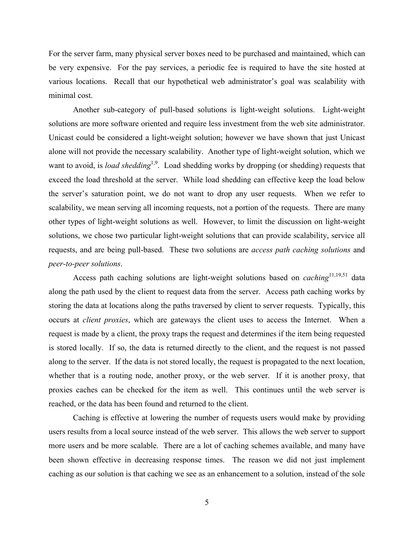For the server farm, many physical server boxes need to be purchased and maintained, which can be very expensive. For the pay services, a periodic fee is required to have the site hosted at various locations. Recall that our hypothetical web administrator's goal was scalability with minimal cost.

Another sub-category of pull-based solutions is light-weight solutions. Light-weight solutions are more software oriented and require less investment from the web site administrator. Unicast could be considered a light-weight solution; however we have shown that just Unicast alone will not provide the necessary scalability. Another type of light-weight solution, which we want to avoid, is *load shedding*<sup>1,9</sup>. Load shedding works by dropping (or shedding) requests that exceed the load threshold at the server. While load shedding can effective keep the load below the server's saturation point, we do not want to drop any user requests. When we refer to scalability, we mean serving all incoming requests, not a portion of the requests. There are many other types of light-weight solutions as well. However, to limit the discussion on light-weight solutions, we chose two particular light-weight solutions that can provide scalability, service all requests, and are being pull-based. These two solutions are *access path caching solutions* and *peer-to-peer solutions*.

Access path caching solutions are light-weight solutions based on *caching*<sup>11,19,51</sup> data along the path used by the client to request data from the server. Access path caching works by storing the data at locations along the paths traversed by client to server requests. Typically, this occurs at *client proxies*, which are gateways the client uses to access the Internet. When a request is made by a client, the proxy traps the request and determines if the item being requested is stored locally. If so, the data is returned directly to the client, and the request is not passed along to the server. If the data is not stored locally, the request is propagated to the next location, whether that is a routing node, another proxy, or the web server. If it is another proxy, that proxies caches can be checked for the item as well. This continues until the web server is reached, or the data has been found and returned to the client.

Caching is effective at lowering the number of requests users would make by providing users results from a local source instead of the web server. This allows the web server to support more users and be more scalable. There are a lot of caching schemes available, and many have been shown effective in decreasing response times. The reason we did not just implement caching as our solution is that caching we see as an enhancement to a solution, instead of the sole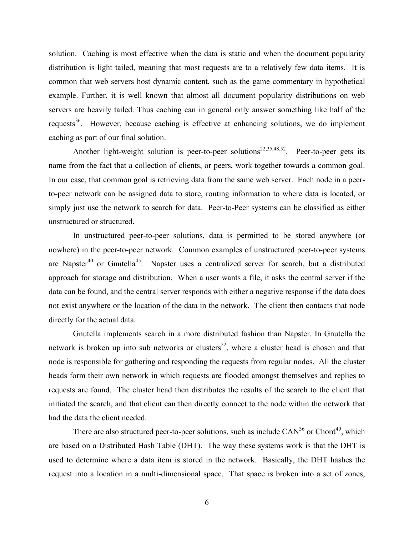solution. Caching is most effective when the data is static and when the document popularity distribution is light tailed, meaning that most requests are to a relatively few data items. It is common that web servers host dynamic content, such as the game commentary in hypothetical example. Further, it is well known that almost all document popularity distributions on web servers are heavily tailed. Thus caching can in general only answer something like half of the requests<sup>36</sup>. However, because caching is effective at enhancing solutions, we do implement caching as part of our final solution.

Another light-weight solution is peer-to-peer solutions<sup>22,35,48,52</sup>. Peer-to-peer gets its name from the fact that a collection of clients, or peers, work together towards a common goal. In our case, that common goal is retrieving data from the same web server. Each node in a peerto-peer network can be assigned data to store, routing information to where data is located, or simply just use the network to search for data. Peer-to-Peer systems can be classified as either unstructured or structured.

In unstructured peer-to-peer solutions, data is permitted to be stored anywhere (or nowhere) in the peer-to-peer network. Common examples of unstructured peer-to-peer systems are Napster<sup>40</sup> or Gnutella<sup>45</sup>. Napster uses a centralized server for search, but a distributed approach for storage and distribution. When a user wants a file, it asks the central server if the data can be found, and the central server responds with either a negative response if the data does not exist anywhere or the location of the data in the network. The client then contacts that node directly for the actual data.

Gnutella implements search in a more distributed fashion than Napster. In Gnutella the network is broken up into sub networks or clusters<sup>22</sup>, where a cluster head is chosen and that node is responsible for gathering and responding the requests from regular nodes. All the cluster heads form their own network in which requests are flooded amongst themselves and replies to requests are found. The cluster head then distributes the results of the search to the client that initiated the search, and that client can then directly connect to the node within the network that had the data the client needed.

There are also structured peer-to-peer solutions, such as include  $CAN<sup>36</sup>$  or Chord<sup>49</sup>, which are based on a Distributed Hash Table (DHT). The way these systems work is that the DHT is used to determine where a data item is stored in the network. Basically, the DHT hashes the request into a location in a multi-dimensional space. That space is broken into a set of zones,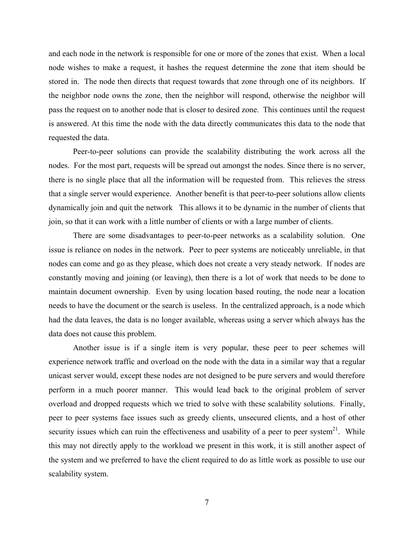and each node in the network is responsible for one or more of the zones that exist. When a local node wishes to make a request, it hashes the request determine the zone that item should be stored in. The node then directs that request towards that zone through one of its neighbors. If the neighbor node owns the zone, then the neighbor will respond, otherwise the neighbor will pass the request on to another node that is closer to desired zone. This continues until the request is answered. At this time the node with the data directly communicates this data to the node that requested the data.

Peer-to-peer solutions can provide the scalability distributing the work across all the nodes. For the most part, requests will be spread out amongst the nodes. Since there is no server, there is no single place that all the information will be requested from. This relieves the stress that a single server would experience. Another benefit is that peer-to-peer solutions allow clients dynamically join and quit the network This allows it to be dynamic in the number of clients that join, so that it can work with a little number of clients or with a large number of clients.

There are some disadvantages to peer-to-peer networks as a scalability solution. One issue is reliance on nodes in the network. Peer to peer systems are noticeably unreliable, in that nodes can come and go as they please, which does not create a very steady network. If nodes are constantly moving and joining (or leaving), then there is a lot of work that needs to be done to maintain document ownership. Even by using location based routing, the node near a location needs to have the document or the search is useless. In the centralized approach, is a node which had the data leaves, the data is no longer available, whereas using a server which always has the data does not cause this problem.

Another issue is if a single item is very popular, these peer to peer schemes will experience network traffic and overload on the node with the data in a similar way that a regular unicast server would, except these nodes are not designed to be pure servers and would therefore perform in a much poorer manner. This would lead back to the original problem of server overload and dropped requests which we tried to solve with these scalability solutions. Finally, peer to peer systems face issues such as greedy clients, unsecured clients, and a host of other security issues which can ruin the effectiveness and usability of a peer to peer system<sup>21</sup>. While this may not directly apply to the workload we present in this work, it is still another aspect of the system and we preferred to have the client required to do as little work as possible to use our scalability system.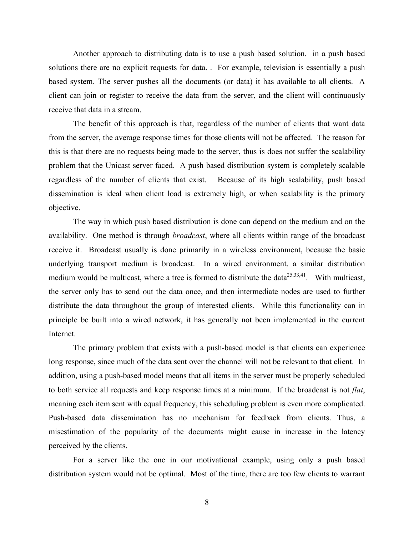Another approach to distributing data is to use a push based solution. in a push based solutions there are no explicit requests for data. . For example, television is essentially a push based system. The server pushes all the documents (or data) it has available to all clients. A client can join or register to receive the data from the server, and the client will continuously receive that data in a stream.

The benefit of this approach is that, regardless of the number of clients that want data from the server, the average response times for those clients will not be affected. The reason for this is that there are no requests being made to the server, thus is does not suffer the scalability problem that the Unicast server faced. A push based distribution system is completely scalable regardless of the number of clients that exist. Because of its high scalability, push based dissemination is ideal when client load is extremely high, or when scalability is the primary objective.

The way in which push based distribution is done can depend on the medium and on the availability. One method is through *broadcast*, where all clients within range of the broadcast receive it. Broadcast usually is done primarily in a wireless environment, because the basic underlying transport medium is broadcast. In a wired environment, a similar distribution medium would be multicast, where a tree is formed to distribute the data $^{25,33,41}$ . With multicast, the server only has to send out the data once, and then intermediate nodes are used to further distribute the data throughout the group of interested clients. While this functionality can in principle be built into a wired network, it has generally not been implemented in the current Internet.

The primary problem that exists with a push-based model is that clients can experience long response, since much of the data sent over the channel will not be relevant to that client. In addition, using a push-based model means that all items in the server must be properly scheduled to both service all requests and keep response times at a minimum. If the broadcast is not *flat*, meaning each item sent with equal frequency, this scheduling problem is even more complicated. Push-based data dissemination has no mechanism for feedback from clients. Thus, a misestimation of the popularity of the documents might cause in increase in the latency perceived by the clients.

For a server like the one in our motivational example, using only a push based distribution system would not be optimal. Most of the time, there are too few clients to warrant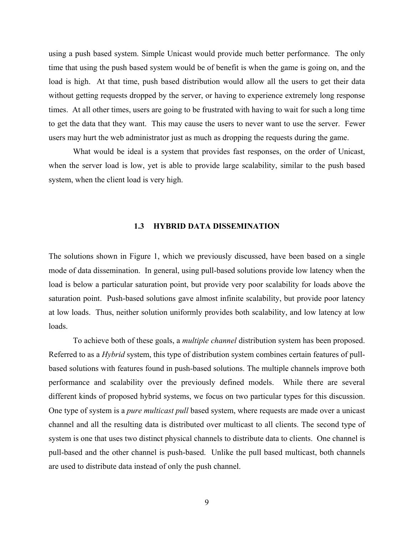<span id="page-19-0"></span>using a push based system. Simple Unicast would provide much better performance. The only time that using the push based system would be of benefit is when the game is going on, and the load is high. At that time, push based distribution would allow all the users to get their data without getting requests dropped by the server, or having to experience extremely long response times. At all other times, users are going to be frustrated with having to wait for such a long time to get the data that they want. This may cause the users to never want to use the server. Fewer users may hurt the web administrator just as much as dropping the requests during the game.

What would be ideal is a system that provides fast responses, on the order of Unicast, when the server load is low, yet is able to provide large scalability, similar to the push based system, when the client load is very high.

#### **1.3 HYBRID DATA DISSEMINATION**

The solutions shown in Figure 1, which we previously discussed, have been based on a single mode of data dissemination. In general, using pull-based solutions provide low latency when the load is below a particular saturation point, but provide very poor scalability for loads above the saturation point. Push-based solutions gave almost infinite scalability, but provide poor latency at low loads. Thus, neither solution uniformly provides both scalability, and low latency at low loads.

To achieve both of these goals, a *multiple channel* distribution system has been proposed. Referred to as a *Hybrid* system, this type of distribution system combines certain features of pullbased solutions with features found in push-based solutions. The multiple channels improve both performance and scalability over the previously defined models. While there are several different kinds of proposed hybrid systems, we focus on two particular types for this discussion. One type of system is a *pure multicast pull* based system, where requests are made over a unicast channel and all the resulting data is distributed over multicast to all clients. The second type of system is one that uses two distinct physical channels to distribute data to clients. One channel is pull-based and the other channel is push-based. Unlike the pull based multicast, both channels are used to distribute data instead of only the push channel.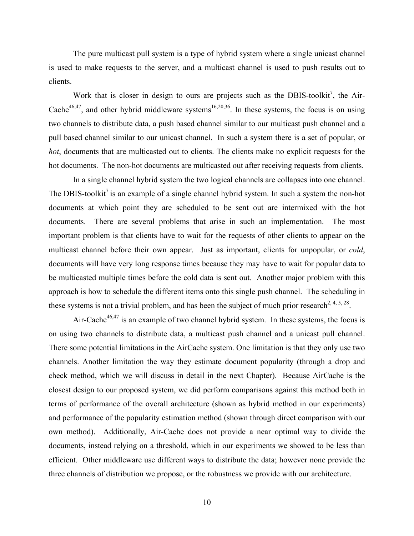The pure multicast pull system is a type of hybrid system where a single unicast channel is used to make requests to the server, and a multicast channel is used to push results out to clients.

Work that is closer in design to ours are projects such as the DBIS-toolkit<sup>7</sup>, the Air-Cache<sup>46,47</sup>, and other hybrid middleware systems<sup>16,20,36</sup>. In these systems, the focus is on using two channels to distribute data, a push based channel similar to our multicast push channel and a pull based channel similar to our unicast channel. In such a system there is a set of popular, or *hot*, documents that are multicasted out to clients. The clients make no explicit requests for the hot documents. The non-hot documents are multicasted out after receiving requests from clients.

In a single channel hybrid system the two logical channels are collapses into one channel. The DBIS-toolkit<sup>7</sup> is an example of a single channel hybrid system. In such a system the non-hot documents at which point they are scheduled to be sent out are intermixed with the hot documents. There are several problems that arise in such an implementation. The most important problem is that clients have to wait for the requests of other clients to appear on the multicast channel before their own appear. Just as important, clients for unpopular, or *cold*, documents will have very long response times because they may have to wait for popular data to be multicasted multiple times before the cold data is sent out. Another major problem with this approach is how to schedule the different items onto this single push channel. The scheduling in these systems is not a trivial problem, and has been the subject of much prior research<sup>2, 4, 5, 28</sup>.

Air-Cache $46,47$  is an example of two channel hybrid system. In these systems, the focus is on using two channels to distribute data, a multicast push channel and a unicast pull channel. There some potential limitations in the AirCache system. One limitation is that they only use two channels. Another limitation the way they estimate document popularity (through a drop and check method, which we will discuss in detail in the next Chapter). Because AirCache is the closest design to our proposed system, we did perform comparisons against this method both in terms of performance of the overall architecture (shown as hybrid method in our experiments) and performance of the popularity estimation method (shown through direct comparison with our own method). Additionally, Air-Cache does not provide a near optimal way to divide the documents, instead relying on a threshold, which in our experiments we showed to be less than efficient. Other middleware use different ways to distribute the data; however none provide the three channels of distribution we propose, or the robustness we provide with our architecture.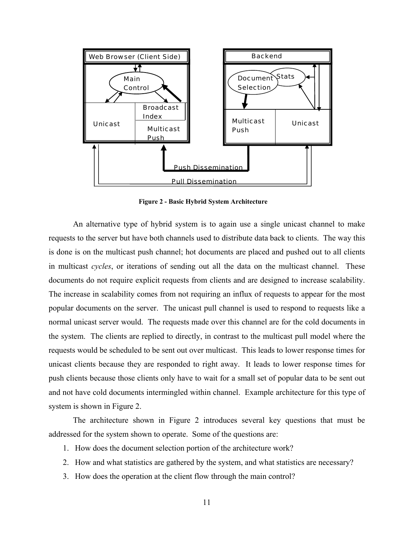<span id="page-21-0"></span>

**Figure 2 - Basic Hybrid System Architecture** 

An alternative type of hybrid system is to again use a single unicast channel to make requests to the server but have both channels used to distribute data back to clients. The way this is done is on the multicast push channel; hot documents are placed and pushed out to all clients in multicast *cycles*, or iterations of sending out all the data on the multicast channel. These documents do not require explicit requests from clients and are designed to increase scalability. The increase in scalability comes from not requiring an influx of requests to appear for the most popular documents on the server. The unicast pull channel is used to respond to requests like a normal unicast server would. The requests made over this channel are for the cold documents in the system. The clients are replied to directly, in contrast to the multicast pull model where the requests would be scheduled to be sent out over multicast. This leads to lower response times for unicast clients because they are responded to right away. It leads to lower response times for push clients because those clients only have to wait for a small set of popular data to be sent out and not have cold documents intermingled within channel. Example architecture for this type of system is shown in Figure 2.

The architecture shown in Figure 2 introduces several key questions that must be addressed for the system shown to operate. Some of the questions are:

- 1. How does the document selection portion of the architecture work?
- 2. How and what statistics are gathered by the system, and what statistics are necessary?
- 3. How does the operation at the client flow through the main control?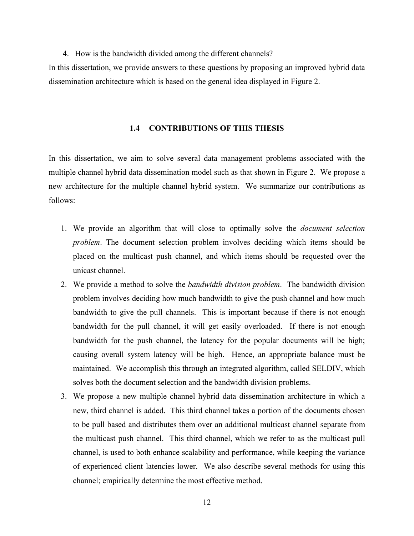<span id="page-22-0"></span>4. How is the bandwidth divided among the different channels?

In this dissertation, we provide answers to these questions by proposing an improved hybrid data dissemination architecture which is based on the general idea displayed in Figure 2.

### **1.4 CONTRIBUTIONS OF THIS THESIS**

In this dissertation, we aim to solve several data management problems associated with the multiple channel hybrid data dissemination model such as that shown in Figure 2. We propose a new architecture for the multiple channel hybrid system. We summarize our contributions as follows:

- 1. We provide an algorithm that will close to optimally solve the *document selection problem*. The document selection problem involves deciding which items should be placed on the multicast push channel, and which items should be requested over the unicast channel.
- 2. We provide a method to solve the *bandwidth division problem*. The bandwidth division problem involves deciding how much bandwidth to give the push channel and how much bandwidth to give the pull channels. This is important because if there is not enough bandwidth for the pull channel, it will get easily overloaded. If there is not enough bandwidth for the push channel, the latency for the popular documents will be high; causing overall system latency will be high. Hence, an appropriate balance must be maintained. We accomplish this through an integrated algorithm, called SELDIV, which solves both the document selection and the bandwidth division problems.
- 3. We propose a new multiple channel hybrid data dissemination architecture in which a new, third channel is added. This third channel takes a portion of the documents chosen to be pull based and distributes them over an additional multicast channel separate from the multicast push channel. This third channel, which we refer to as the multicast pull channel, is used to both enhance scalability and performance, while keeping the variance of experienced client latencies lower. We also describe several methods for using this channel; empirically determine the most effective method.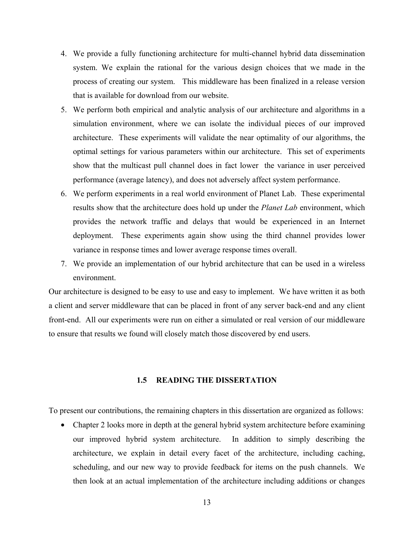- <span id="page-23-0"></span>4. We provide a fully functioning architecture for multi-channel hybrid data dissemination system. We explain the rational for the various design choices that we made in the process of creating our system. This middleware has been finalized in a release version that is available for download from our website.
- 5. We perform both empirical and analytic analysis of our architecture and algorithms in a simulation environment, where we can isolate the individual pieces of our improved architecture. These experiments will validate the near optimality of our algorithms, the optimal settings for various parameters within our architecture. This set of experiments show that the multicast pull channel does in fact lower the variance in user perceived performance (average latency), and does not adversely affect system performance.
- 6. We perform experiments in a real world environment of Planet Lab. These experimental results show that the architecture does hold up under the *Planet Lab* environment, which provides the network traffic and delays that would be experienced in an Internet deployment. These experiments again show using the third channel provides lower variance in response times and lower average response times overall.
- 7. We provide an implementation of our hybrid architecture that can be used in a wireless environment.

Our architecture is designed to be easy to use and easy to implement. We have written it as both a client and server middleware that can be placed in front of any server back-end and any client front-end. All our experiments were run on either a simulated or real version of our middleware to ensure that results we found will closely match those discovered by end users.

# **1.5 READING THE DISSERTATION**

To present our contributions, the remaining chapters in this dissertation are organized as follows:

• Chapter 2 looks more in depth at the general hybrid system architecture before examining our improved hybrid system architecture. In addition to simply describing the architecture, we explain in detail every facet of the architecture, including caching, scheduling, and our new way to provide feedback for items on the push channels. We then look at an actual implementation of the architecture including additions or changes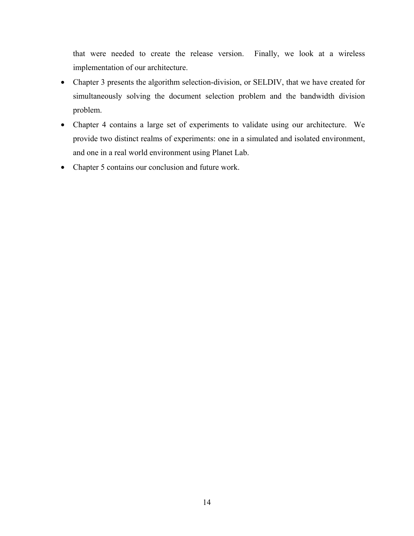that were needed to create the release version. Finally, we look at a wireless implementation of our architecture.

- Chapter 3 presents the algorithm selection-division, or SELDIV, that we have created for simultaneously solving the document selection problem and the bandwidth division problem.
- Chapter 4 contains a large set of experiments to validate using our architecture. We provide two distinct realms of experiments: one in a simulated and isolated environment, and one in a real world environment using Planet Lab.
- Chapter 5 contains our conclusion and future work.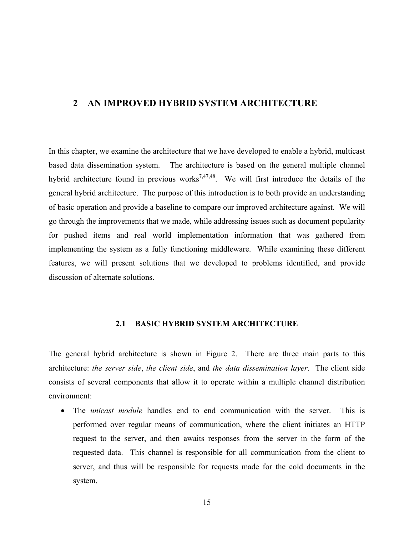# <span id="page-25-0"></span>**2 AN IMPROVED HYBRID SYSTEM ARCHITECTURE**

In this chapter, we examine the architecture that we have developed to enable a hybrid, multicast based data dissemination system. The architecture is based on the general multiple channel hybrid architecture found in previous works<sup>7,47,48</sup>. We will first introduce the details of the general hybrid architecture. The purpose of this introduction is to both provide an understanding of basic operation and provide a baseline to compare our improved architecture against. We will go through the improvements that we made, while addressing issues such as document popularity for pushed items and real world implementation information that was gathered from implementing the system as a fully functioning middleware. While examining these different features, we will present solutions that we developed to problems identified, and provide discussion of alternate solutions.

## **2.1 BASIC HYBRID SYSTEM ARCHITECTURE**

The general hybrid architecture is shown in Figure 2. There are three main parts to this architecture: *the server side*, *the client side*, and *the data dissemination layer*. The client side consists of several components that allow it to operate within a multiple channel distribution environment:

• The *unicast module* handles end to end communication with the server. This is performed over regular means of communication, where the client initiates an HTTP request to the server, and then awaits responses from the server in the form of the requested data. This channel is responsible for all communication from the client to server, and thus will be responsible for requests made for the cold documents in the system.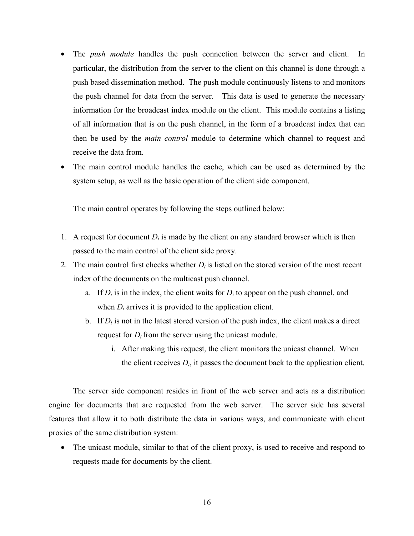- The *push module* handles the push connection between the server and client. In particular, the distribution from the server to the client on this channel is done through a push based dissemination method. The push module continuously listens to and monitors the push channel for data from the server. This data is used to generate the necessary information for the broadcast index module on the client. This module contains a listing of all information that is on the push channel, in the form of a broadcast index that can then be used by the *main control* module to determine which channel to request and receive the data from.
- The main control module handles the cache, which can be used as determined by the system setup, as well as the basic operation of the client side component.

The main control operates by following the steps outlined below:

- 1. A request for document  $D_i$  is made by the client on any standard browser which is then passed to the main control of the client side proxy.
- 2. The main control first checks whether  $D_i$  is listed on the stored version of the most recent index of the documents on the multicast push channel.
	- a. If  $D_i$  is in the index, the client waits for  $D_i$  to appear on the push channel, and when  $D_i$  arrives it is provided to the application client.
	- b. If  $D_i$  is not in the latest stored version of the push index, the client makes a direct request for  $D_i$  from the server using the unicast module.
		- i. After making this request, the client monitors the unicast channel. When the client receives  $D_i$ , it passes the document back to the application client.

The server side component resides in front of the web server and acts as a distribution engine for documents that are requested from the web server. The server side has several features that allow it to both distribute the data in various ways, and communicate with client proxies of the same distribution system:

• The unicast module, similar to that of the client proxy, is used to receive and respond to requests made for documents by the client.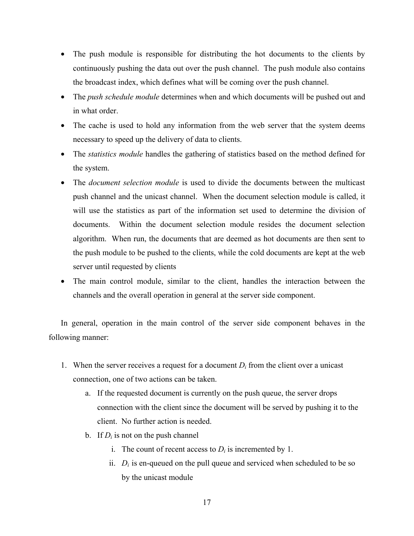- The push module is responsible for distributing the hot documents to the clients by continuously pushing the data out over the push channel. The push module also contains the broadcast index, which defines what will be coming over the push channel.
- The *push schedule module* determines when and which documents will be pushed out and in what order.
- The cache is used to hold any information from the web server that the system deems necessary to speed up the delivery of data to clients.
- The *statistics module* handles the gathering of statistics based on the method defined for the system.
- The *document selection module* is used to divide the documents between the multicast push channel and the unicast channel. When the document selection module is called, it will use the statistics as part of the information set used to determine the division of documents. Within the document selection module resides the document selection algorithm. When run, the documents that are deemed as hot documents are then sent to the push module to be pushed to the clients, while the cold documents are kept at the web server until requested by clients
- The main control module, similar to the client, handles the interaction between the channels and the overall operation in general at the server side component.

In general, operation in the main control of the server side component behaves in the following manner:

- 1. When the server receives a request for a document  $D_i$  from the client over a unicast connection, one of two actions can be taken.
	- a. If the requested document is currently on the push queue, the server drops connection with the client since the document will be served by pushing it to the client. No further action is needed.
	- b. If  $D_i$  is not on the push channel
		- i. The count of recent access to  $D_i$  is incremented by 1.
		- ii.  $D_i$  is en-queued on the pull queue and serviced when scheduled to be so by the unicast module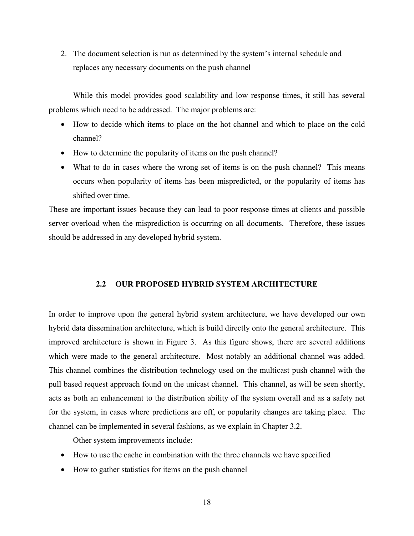<span id="page-28-0"></span>2. The document selection is run as determined by the system's internal schedule and replaces any necessary documents on the push channel

While this model provides good scalability and low response times, it still has several problems which need to be addressed. The major problems are:

- How to decide which items to place on the hot channel and which to place on the cold channel?
- How to determine the popularity of items on the push channel?
- What to do in cases where the wrong set of items is on the push channel? This means occurs when popularity of items has been mispredicted, or the popularity of items has shifted over time.

These are important issues because they can lead to poor response times at clients and possible server overload when the misprediction is occurring on all documents. Therefore, these issues should be addressed in any developed hybrid system.

### **2.2 OUR PROPOSED HYBRID SYSTEM ARCHITECTURE**

In order to improve upon the general hybrid system architecture, we have developed our own hybrid data dissemination architecture, which is build directly onto the general architecture. This improved architecture is shown in Figure 3. As this figure shows, there are several additions which were made to the general architecture. Most notably an additional channel was added. This channel combines the distribution technology used on the multicast push channel with the pull based request approach found on the unicast channel. This channel, as will be seen shortly, acts as both an enhancement to the distribution ability of the system overall and as a safety net for the system, in cases where predictions are off, or popularity changes are taking place. The channel can be implemented in several fashions, as we explain in Chapter [3.2.](#page-55-1)

Other system improvements include:

- How to use the cache in combination with the three channels we have specified
- How to gather statistics for items on the push channel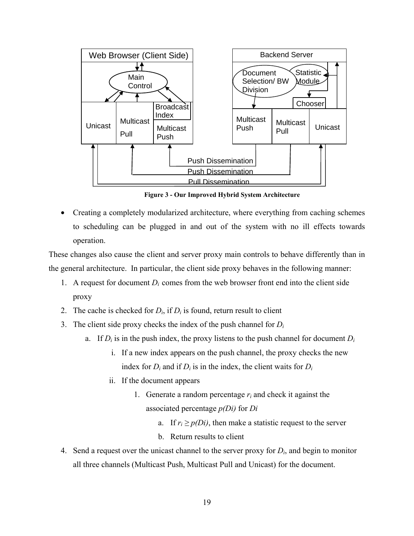<span id="page-29-0"></span>

**Figure 3 - Our Improved Hybrid System Architecture** 

• Creating a completely modularized architecture, where everything from caching schemes to scheduling can be plugged in and out of the system with no ill effects towards operation.

These changes also cause the client and server proxy main controls to behave differently than in the general architecture. In particular, the client side proxy behaves in the following manner:

- 1. A request for document  $D_i$  comes from the web browser front end into the client side proxy
- 2. The cache is checked for  $D_i$ , if  $D_i$  is found, return result to client
- 3. The client side proxy checks the index of the push channel for *Di*
	- a. If  $D_i$  is in the push index, the proxy listens to the push channel for document  $D_i$ 
		- i. If a new index appears on the push channel, the proxy checks the new index for  $D_i$  and if  $D_i$  is in the index, the client waits for  $D_i$
		- ii. If the document appears
			- 1. Generate a random percentage *ri* and check it against the associated percentage *p(Di)* for *Di*
				- a. If  $r_i \geq p(D_i)$ , then make a statistic request to the server
				- b. Return results to client
- 4. Send a request over the unicast channel to the server proxy for *Di*, and begin to monitor all three channels (Multicast Push, Multicast Pull and Unicast) for the document.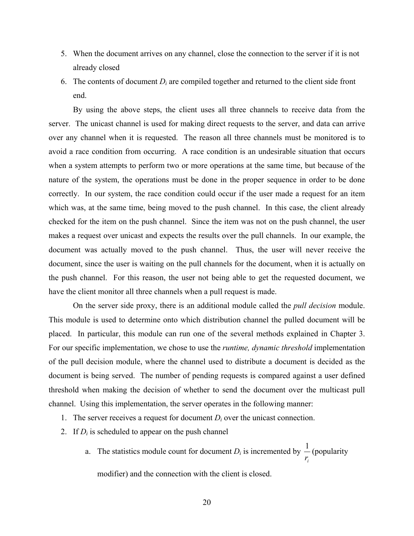- 5. When the document arrives on any channel, close the connection to the server if it is not already closed
- 6. The contents of document  $D_i$  are compiled together and returned to the client side front end.

By using the above steps, the client uses all three channels to receive data from the server. The unicast channel is used for making direct requests to the server, and data can arrive over any channel when it is requested. The reason all three channels must be monitored is to avoid a race condition from occurring. A race condition is an undesirable situation that occurs when a system attempts to perform two or more operations at the same time, but because of the nature of the system, the operations must be done in the proper sequence in order to be done correctly. In our system, the race condition could occur if the user made a request for an item which was, at the same time, being moved to the push channel. In this case, the client already checked for the item on the push channel. Since the item was not on the push channel, the user makes a request over unicast and expects the results over the pull channels. In our example, the document was actually moved to the push channel. Thus, the user will never receive the document, since the user is waiting on the pull channels for the document, when it is actually on the push channel. For this reason, the user not being able to get the requested document, we have the client monitor all three channels when a pull request is made.

On the server side proxy, there is an additional module called the *pull decision* module. This module is used to determine onto which distribution channel the pulled document will be placed. In particular, this module can run one of the several methods explained in Chapter 3. For our specific implementation, we chose to use the *runtime, dynamic threshold* implementation of the pull decision module, where the channel used to distribute a document is decided as the document is being served. The number of pending requests is compared against a user defined threshold when making the decision of whether to send the document over the multicast pull channel. Using this implementation, the server operates in the following manner:

- 1. The server receives a request for document  $D_i$  over the unicast connection.
- 2. If  $D_i$  is scheduled to appear on the push channel
	- a. The statistics module count for document  $D_i$  is incremented by *ir*  $\frac{1}{2}$  (popularity

modifier) and the connection with the client is closed.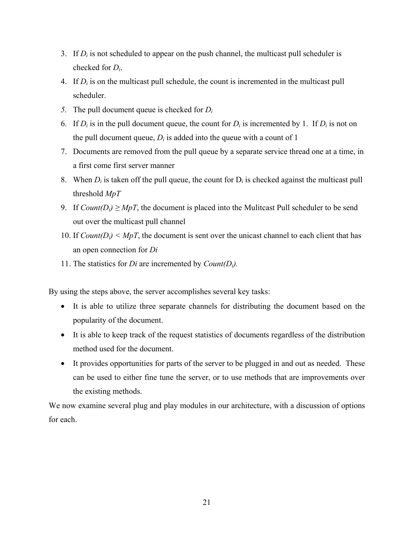- 3. If  $D_i$  is not scheduled to appear on the push channel, the multicast pull scheduler is checked for *Di*.
- 4. If *Di* is on the multicast pull schedule, the count is incremented in the multicast pull scheduler.
- *5.* The pull document queue is checked for *Di*
- 6. If  $D_i$  is in the pull document queue, the count for  $D_i$  is incremented by 1. If  $D_i$  is not on the pull document queue,  $D_i$  is added into the queue with a count of 1
- 7. Documents are removed from the pull queue by a separate service thread one at a time, in a first come first server manner
- 8. When  $D_i$  is taken off the pull queue, the count for  $D_i$  is checked against the multicast pull threshold *MpT*
- 9. If  $Count(D_i) \ge M pT$ , the document is placed into the Mulitcast Pull scheduler to be send out over the multicast pull channel
- 10. If  $Count(D_i) < MpT$ , the document is sent over the unicast channel to each client that has an open connection for *Di*
- 11. The statistics for *Di* are incremented by *Count(Di).*

By using the steps above, the server accomplishes several key tasks:

- It is able to utilize three separate channels for distributing the document based on the popularity of the document.
- It is able to keep track of the request statistics of documents regardless of the distribution method used for the document.
- It provides opportunities for parts of the server to be plugged in and out as needed. These can be used to either fine tune the server, or to use methods that are improvements over the existing methods.

We now examine several plug and play modules in our architecture, with a discussion of options for each.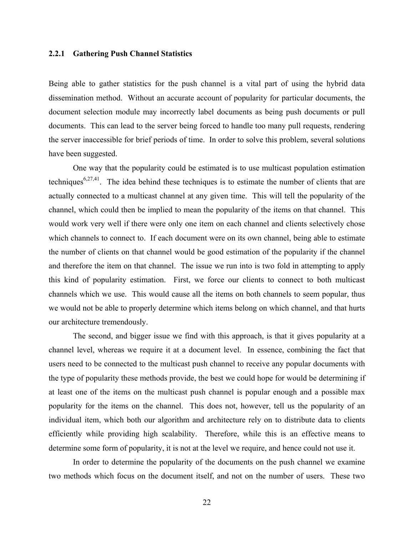## <span id="page-32-0"></span>**2.2.1 Gathering Push Channel Statistics**

Being able to gather statistics for the push channel is a vital part of using the hybrid data dissemination method. Without an accurate account of popularity for particular documents, the document selection module may incorrectly label documents as being push documents or pull documents. This can lead to the server being forced to handle too many pull requests, rendering the server inaccessible for brief periods of time. In order to solve this problem, several solutions have been suggested.

One way that the popularity could be estimated is to use multicast population estimation techniques<sup>6,27,41</sup>. The idea behind these techniques is to estimate the number of clients that are actually connected to a multicast channel at any given time. This will tell the popularity of the channel, which could then be implied to mean the popularity of the items on that channel. This would work very well if there were only one item on each channel and clients selectively chose which channels to connect to. If each document were on its own channel, being able to estimate the number of clients on that channel would be good estimation of the popularity if the channel and therefore the item on that channel. The issue we run into is two fold in attempting to apply this kind of popularity estimation. First, we force our clients to connect to both multicast channels which we use. This would cause all the items on both channels to seem popular, thus we would not be able to properly determine which items belong on which channel, and that hurts our architecture tremendously.

The second, and bigger issue we find with this approach, is that it gives popularity at a channel level, whereas we require it at a document level. In essence, combining the fact that users need to be connected to the multicast push channel to receive any popular documents with the type of popularity these methods provide, the best we could hope for would be determining if at least one of the items on the multicast push channel is popular enough and a possible max popularity for the items on the channel. This does not, however, tell us the popularity of an individual item, which both our algorithm and architecture rely on to distribute data to clients efficiently while providing high scalability. Therefore, while this is an effective means to determine some form of popularity, it is not at the level we require, and hence could not use it.

In order to determine the popularity of the documents on the push channel we examine two methods which focus on the document itself, and not on the number of users. These two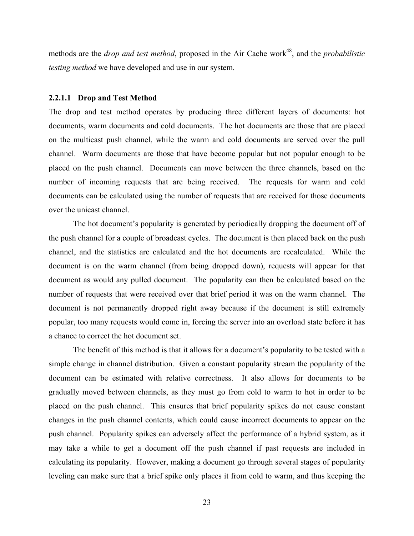<span id="page-33-0"></span>methods are the *drop and test method*, proposed in the Air Cache work<sup>48</sup>, and the *probabilistic testing method* we have developed and use in our system.

#### **2.2.1.1 Drop and Test Method**

The drop and test method operates by producing three different layers of documents: hot documents, warm documents and cold documents. The hot documents are those that are placed on the multicast push channel, while the warm and cold documents are served over the pull channel. Warm documents are those that have become popular but not popular enough to be placed on the push channel. Documents can move between the three channels, based on the number of incoming requests that are being received. The requests for warm and cold documents can be calculated using the number of requests that are received for those documents over the unicast channel.

The hot document's popularity is generated by periodically dropping the document off of the push channel for a couple of broadcast cycles. The document is then placed back on the push channel, and the statistics are calculated and the hot documents are recalculated. While the document is on the warm channel (from being dropped down), requests will appear for that document as would any pulled document. The popularity can then be calculated based on the number of requests that were received over that brief period it was on the warm channel. The document is not permanently dropped right away because if the document is still extremely popular, too many requests would come in, forcing the server into an overload state before it has a chance to correct the hot document set.

The benefit of this method is that it allows for a document's popularity to be tested with a simple change in channel distribution. Given a constant popularity stream the popularity of the document can be estimated with relative correctness. It also allows for documents to be gradually moved between channels, as they must go from cold to warm to hot in order to be placed on the push channel. This ensures that brief popularity spikes do not cause constant changes in the push channel contents, which could cause incorrect documents to appear on the push channel. Popularity spikes can adversely affect the performance of a hybrid system, as it may take a while to get a document off the push channel if past requests are included in calculating its popularity. However, making a document go through several stages of popularity leveling can make sure that a brief spike only places it from cold to warm, and thus keeping the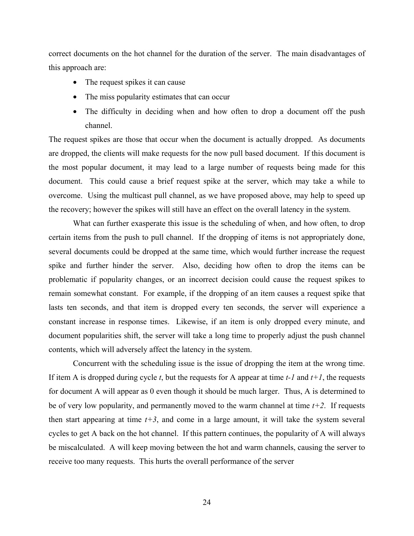correct documents on the hot channel for the duration of the server. The main disadvantages of this approach are:

- The request spikes it can cause
- The miss popularity estimates that can occur
- The difficulty in deciding when and how often to drop a document off the push channel.

The request spikes are those that occur when the document is actually dropped. As documents are dropped, the clients will make requests for the now pull based document. If this document is the most popular document, it may lead to a large number of requests being made for this document. This could cause a brief request spike at the server, which may take a while to overcome. Using the multicast pull channel, as we have proposed above, may help to speed up the recovery; however the spikes will still have an effect on the overall latency in the system.

What can further exasperate this issue is the scheduling of when, and how often, to drop certain items from the push to pull channel. If the dropping of items is not appropriately done, several documents could be dropped at the same time, which would further increase the request spike and further hinder the server. Also, deciding how often to drop the items can be problematic if popularity changes, or an incorrect decision could cause the request spikes to remain somewhat constant. For example, if the dropping of an item causes a request spike that lasts ten seconds, and that item is dropped every ten seconds, the server will experience a constant increase in response times. Likewise, if an item is only dropped every minute, and document popularities shift, the server will take a long time to properly adjust the push channel contents, which will adversely affect the latency in the system.

Concurrent with the scheduling issue is the issue of dropping the item at the wrong time. If item A is dropped during cycle *t*, but the requests for A appear at time *t-1* and *t+1*, the requests for document A will appear as 0 even though it should be much larger. Thus, A is determined to be of very low popularity, and permanently moved to the warm channel at time  $t+2$ . If requests then start appearing at time  $t+3$ , and come in a large amount, it will take the system several cycles to get A back on the hot channel. If this pattern continues, the popularity of A will always be miscalculated. A will keep moving between the hot and warm channels, causing the server to receive too many requests. This hurts the overall performance of the server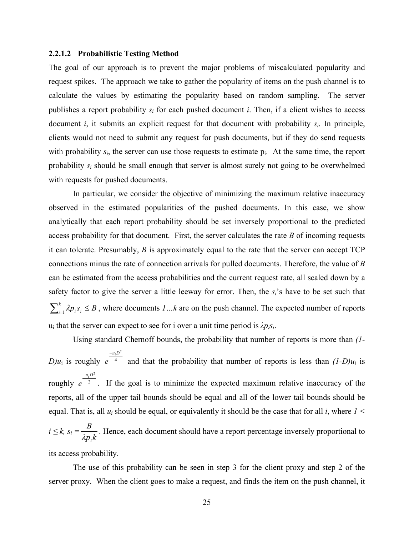#### <span id="page-35-0"></span>**2.2.1.2 Probabilistic Testing Method**

The goal of our approach is to prevent the major problems of miscalculated popularity and request spikes. The approach we take to gather the popularity of items on the push channel is to calculate the values by estimating the popularity based on random sampling. The server publishes a report probability  $s_i$  for each pushed document *i*. Then, if a client wishes to access document *i*, it submits an explicit request for that document with probability *si*. In principle, clients would not need to submit any request for push documents, but if they do send requests with probability  $s_i$ , the server can use those requests to estimate  $p_i$ . At the same time, the report probability *si* should be small enough that server is almost surely not going to be overwhelmed with requests for pushed documents.

In particular, we consider the objective of minimizing the maximum relative inaccuracy observed in the estimated popularities of the pushed documents. In this case, we show analytically that each report probability should be set inversely proportional to the predicted access probability for that document. First, the server calculates the rate *B* of incoming requests it can tolerate. Presumably, *B* is approximately equal to the rate that the server can accept TCP connections minus the rate of connection arrivals for pulled documents. Therefore, the value of *B* can be estimated from the access probabilities and the current request rate, all scaled down by a safety factor to give the server a little leeway for error. Then, the *si*'s have to be set such that  $\sum_{i=1}^{k} \lambda p_i s_i \leq B$ , where documents *1*...k are on the push channel. The expected number of reports  $u_i$  that the server can expect to see for i over a unit time period is  $\lambda p_i s_i$ .

Using standard Chernoff bounds, the probability that number of reports is more than *(1-*  $D)u_i$  is roughly e<sup>4</sup>  $u_i D^2$ *e* − and that the probability that number of reports is less than  $(1-D)u_i$  is roughly  $e^{-2}$  $u_i D^2$ *e* − . If the goal is to minimize the expected maximum relative inaccuracy of the reports, all of the upper tail bounds should be equal and all of the lower tail bounds should be equal. That is, all *ui* should be equal, or equivalently it should be the case that for all *i*, where *1 <*   $i \leq k$ ,  $s_i =$ *kp B*  $\lambda p_{_i}$ . Hence, each document should have a report percentage inversely proportional to

its access probability.

The use of this probability can be seen in step 3 for the client proxy and step 2 of the server proxy. When the client goes to make a request, and finds the item on the push channel, it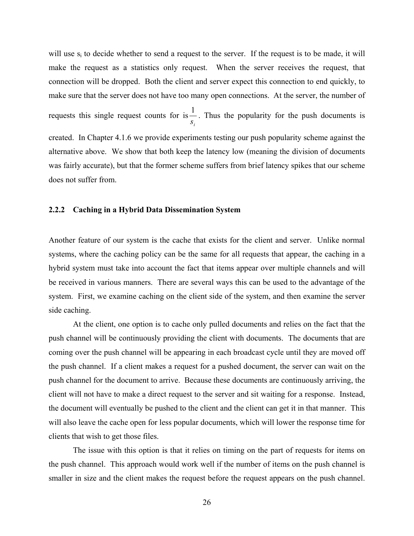will use  $s_i$  to decide whether to send a request to the server. If the request is to be made, it will make the request as a statistics only request. When the server receives the request, that connection will be dropped. Both the client and server expect this connection to end quickly, to make sure that the server does not have too many open connections. At the server, the number of requests this single request counts for is *i s*  $\frac{1}{x}$ . Thus the popularity for the push documents is created. In Chapter [4.1.6](#page-85-0) we provide experiments testing our push popularity scheme against the alternative above. We show that both keep the latency low (meaning the division of documents was fairly accurate), but that the former scheme suffers from brief latency spikes that our scheme does not suffer from.

## **2.2.2 Caching in a Hybrid Data Dissemination System**

Another feature of our system is the cache that exists for the client and server. Unlike normal systems, where the caching policy can be the same for all requests that appear, the caching in a hybrid system must take into account the fact that items appear over multiple channels and will be received in various manners. There are several ways this can be used to the advantage of the system. First, we examine caching on the client side of the system, and then examine the server side caching.

At the client, one option is to cache only pulled documents and relies on the fact that the push channel will be continuously providing the client with documents. The documents that are coming over the push channel will be appearing in each broadcast cycle until they are moved off the push channel. If a client makes a request for a pushed document, the server can wait on the push channel for the document to arrive. Because these documents are continuously arriving, the client will not have to make a direct request to the server and sit waiting for a response. Instead, the document will eventually be pushed to the client and the client can get it in that manner. This will also leave the cache open for less popular documents, which will lower the response time for clients that wish to get those files.

The issue with this option is that it relies on timing on the part of requests for items on the push channel. This approach would work well if the number of items on the push channel is smaller in size and the client makes the request before the request appears on the push channel.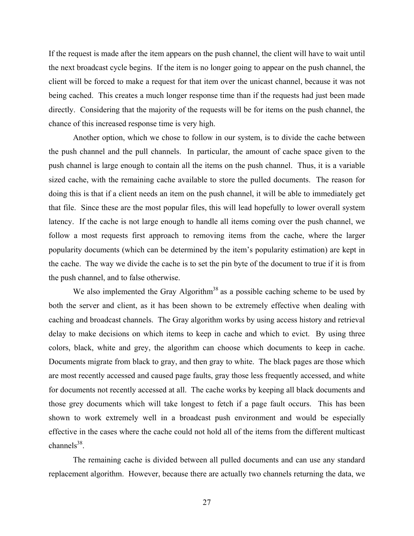If the request is made after the item appears on the push channel, the client will have to wait until the next broadcast cycle begins. If the item is no longer going to appear on the push channel, the client will be forced to make a request for that item over the unicast channel, because it was not being cached. This creates a much longer response time than if the requests had just been made directly. Considering that the majority of the requests will be for items on the push channel, the chance of this increased response time is very high.

Another option, which we chose to follow in our system, is to divide the cache between the push channel and the pull channels. In particular, the amount of cache space given to the push channel is large enough to contain all the items on the push channel. Thus, it is a variable sized cache, with the remaining cache available to store the pulled documents. The reason for doing this is that if a client needs an item on the push channel, it will be able to immediately get that file. Since these are the most popular files, this will lead hopefully to lower overall system latency. If the cache is not large enough to handle all items coming over the push channel, we follow a most requests first approach to removing items from the cache, where the larger popularity documents (which can be determined by the item's popularity estimation) are kept in the cache. The way we divide the cache is to set the pin byte of the document to true if it is from the push channel, and to false otherwise.

We also implemented the Gray Algorithm<sup>38</sup> as a possible caching scheme to be used by both the server and client, as it has been shown to be extremely effective when dealing with caching and broadcast channels. The Gray algorithm works by using access history and retrieval delay to make decisions on which items to keep in cache and which to evict. By using three colors, black, white and grey, the algorithm can choose which documents to keep in cache. Documents migrate from black to gray, and then gray to white. The black pages are those which are most recently accessed and caused page faults, gray those less frequently accessed, and white for documents not recently accessed at all. The cache works by keeping all black documents and those grey documents which will take longest to fetch if a page fault occurs. This has been shown to work extremely well in a broadcast push environment and would be especially effective in the cases where the cache could not hold all of the items from the different multicast channels $38$ .

The remaining cache is divided between all pulled documents and can use any standard replacement algorithm. However, because there are actually two channels returning the data, we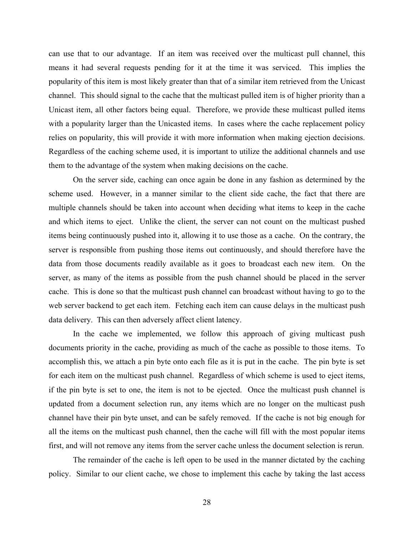can use that to our advantage. If an item was received over the multicast pull channel, this means it had several requests pending for it at the time it was serviced. This implies the popularity of this item is most likely greater than that of a similar item retrieved from the Unicast channel. This should signal to the cache that the multicast pulled item is of higher priority than a Unicast item, all other factors being equal. Therefore, we provide these multicast pulled items with a popularity larger than the Unicasted items. In cases where the cache replacement policy relies on popularity, this will provide it with more information when making ejection decisions. Regardless of the caching scheme used, it is important to utilize the additional channels and use them to the advantage of the system when making decisions on the cache.

On the server side, caching can once again be done in any fashion as determined by the scheme used. However, in a manner similar to the client side cache, the fact that there are multiple channels should be taken into account when deciding what items to keep in the cache and which items to eject. Unlike the client, the server can not count on the multicast pushed items being continuously pushed into it, allowing it to use those as a cache. On the contrary, the server is responsible from pushing those items out continuously, and should therefore have the data from those documents readily available as it goes to broadcast each new item. On the server, as many of the items as possible from the push channel should be placed in the server cache. This is done so that the multicast push channel can broadcast without having to go to the web server backend to get each item. Fetching each item can cause delays in the multicast push data delivery. This can then adversely affect client latency.

In the cache we implemented, we follow this approach of giving multicast push documents priority in the cache, providing as much of the cache as possible to those items. To accomplish this, we attach a pin byte onto each file as it is put in the cache. The pin byte is set for each item on the multicast push channel. Regardless of which scheme is used to eject items, if the pin byte is set to one, the item is not to be ejected. Once the multicast push channel is updated from a document selection run, any items which are no longer on the multicast push channel have their pin byte unset, and can be safely removed. If the cache is not big enough for all the items on the multicast push channel, then the cache will fill with the most popular items first, and will not remove any items from the server cache unless the document selection is rerun.

The remainder of the cache is left open to be used in the manner dictated by the caching policy. Similar to our client cache, we chose to implement this cache by taking the last access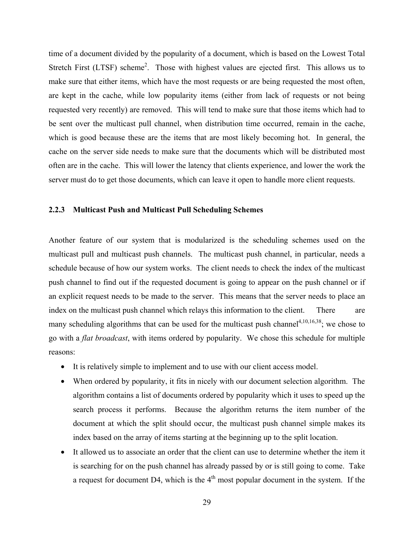time of a document divided by the popularity of a document, which is based on the Lowest Total Stretch First (LTSF) scheme<sup>2</sup>. Those with highest values are ejected first. This allows us to make sure that either items, which have the most requests or are being requested the most often, are kept in the cache, while low popularity items (either from lack of requests or not being requested very recently) are removed. This will tend to make sure that those items which had to be sent over the multicast pull channel, when distribution time occurred, remain in the cache, which is good because these are the items that are most likely becoming hot. In general, the cache on the server side needs to make sure that the documents which will be distributed most often are in the cache. This will lower the latency that clients experience, and lower the work the server must do to get those documents, which can leave it open to handle more client requests.

# **2.2.3 Multicast Push and Multicast Pull Scheduling Schemes**

Another feature of our system that is modularized is the scheduling schemes used on the multicast pull and multicast push channels. The multicast push channel, in particular, needs a schedule because of how our system works. The client needs to check the index of the multicast push channel to find out if the requested document is going to appear on the push channel or if an explicit request needs to be made to the server. This means that the server needs to place an index on the multicast push channel which relays this information to the client. There are many scheduling algorithms that can be used for the multicast push channel<sup>4,10,16,38</sup>; we chose to go with a *flat broadcast*, with items ordered by popularity. We chose this schedule for multiple reasons:

- It is relatively simple to implement and to use with our client access model.
- When ordered by popularity, it fits in nicely with our document selection algorithm. The algorithm contains a list of documents ordered by popularity which it uses to speed up the search process it performs. Because the algorithm returns the item number of the document at which the split should occur, the multicast push channel simple makes its index based on the array of items starting at the beginning up to the split location.
- It allowed us to associate an order that the client can use to determine whether the item it is searching for on the push channel has already passed by or is still going to come. Take a request for document D4, which is the  $4<sup>th</sup>$  most popular document in the system. If the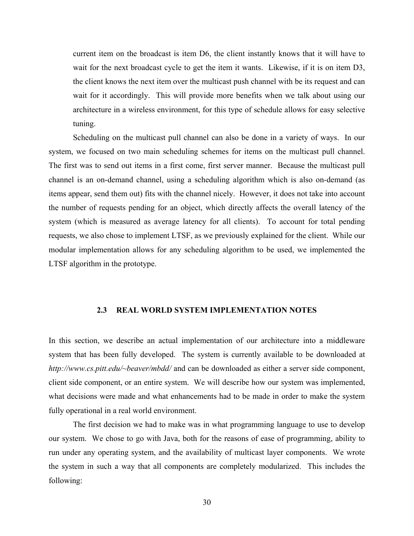current item on the broadcast is item D6, the client instantly knows that it will have to wait for the next broadcast cycle to get the item it wants. Likewise, if it is on item D3, the client knows the next item over the multicast push channel with be its request and can wait for it accordingly. This will provide more benefits when we talk about using our architecture in a wireless environment, for this type of schedule allows for easy selective tuning.

Scheduling on the multicast pull channel can also be done in a variety of ways. In our system, we focused on two main scheduling schemes for items on the multicast pull channel. The first was to send out items in a first come, first server manner. Because the multicast pull channel is an on-demand channel, using a scheduling algorithm which is also on-demand (as items appear, send them out) fits with the channel nicely. However, it does not take into account the number of requests pending for an object, which directly affects the overall latency of the system (which is measured as average latency for all clients). To account for total pending requests, we also chose to implement LTSF, as we previously explained for the client. While our modular implementation allows for any scheduling algorithm to be used, we implemented the LTSF algorithm in the prototype.

#### **2.3 REAL WORLD SYSTEM IMPLEMENTATION NOTES**

In this section, we describe an actual implementation of our architecture into a middleware system that has been fully developed. The system is currently available to be downloaded at *http://www.cs.pitt.edu/~beaver/mbdd/* and can be downloaded as either a server side component, client side component, or an entire system. We will describe how our system was implemented, what decisions were made and what enhancements had to be made in order to make the system fully operational in a real world environment.

The first decision we had to make was in what programming language to use to develop our system. We chose to go with Java, both for the reasons of ease of programming, ability to run under any operating system, and the availability of multicast layer components. We wrote the system in such a way that all components are completely modularized. This includes the following: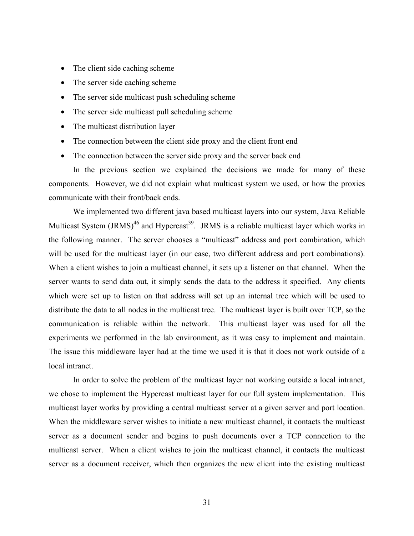- The client side caching scheme
- The server side caching scheme
- The server side multicast push scheduling scheme
- The server side multicast pull scheduling scheme
- The multicast distribution layer
- The connection between the client side proxy and the client front end
- The connection between the server side proxy and the server back end

In the previous section we explained the decisions we made for many of these components. However, we did not explain what multicast system we used, or how the proxies communicate with their front/back ends.

We implemented two different java based multicast layers into our system, Java Reliable Multicast System  $\text{(JRMS)}^{46}$  and Hypercast<sup>39</sup>. JRMS is a reliable multicast layer which works in the following manner. The server chooses a "multicast" address and port combination, which will be used for the multicast layer (in our case, two different address and port combinations). When a client wishes to join a multicast channel, it sets up a listener on that channel. When the server wants to send data out, it simply sends the data to the address it specified. Any clients which were set up to listen on that address will set up an internal tree which will be used to distribute the data to all nodes in the multicast tree. The multicast layer is built over TCP, so the communication is reliable within the network. This multicast layer was used for all the experiments we performed in the lab environment, as it was easy to implement and maintain. The issue this middleware layer had at the time we used it is that it does not work outside of a local intranet.

In order to solve the problem of the multicast layer not working outside a local intranet, we chose to implement the Hypercast multicast layer for our full system implementation. This multicast layer works by providing a central multicast server at a given server and port location. When the middleware server wishes to initiate a new multicast channel, it contacts the multicast server as a document sender and begins to push documents over a TCP connection to the multicast server. When a client wishes to join the multicast channel, it contacts the multicast server as a document receiver, which then organizes the new client into the existing multicast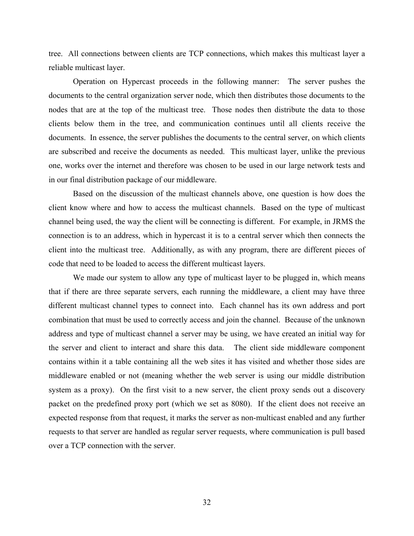tree. All connections between clients are TCP connections, which makes this multicast layer a reliable multicast layer.

Operation on Hypercast proceeds in the following manner: The server pushes the documents to the central organization server node, which then distributes those documents to the nodes that are at the top of the multicast tree. Those nodes then distribute the data to those clients below them in the tree, and communication continues until all clients receive the documents. In essence, the server publishes the documents to the central server, on which clients are subscribed and receive the documents as needed. This multicast layer, unlike the previous one, works over the internet and therefore was chosen to be used in our large network tests and in our final distribution package of our middleware.

Based on the discussion of the multicast channels above, one question is how does the client know where and how to access the multicast channels. Based on the type of multicast channel being used, the way the client will be connecting is different. For example, in JRMS the connection is to an address, which in hypercast it is to a central server which then connects the client into the multicast tree. Additionally, as with any program, there are different pieces of code that need to be loaded to access the different multicast layers.

We made our system to allow any type of multicast layer to be plugged in, which means that if there are three separate servers, each running the middleware, a client may have three different multicast channel types to connect into. Each channel has its own address and port combination that must be used to correctly access and join the channel. Because of the unknown address and type of multicast channel a server may be using, we have created an initial way for the server and client to interact and share this data. The client side middleware component contains within it a table containing all the web sites it has visited and whether those sides are middleware enabled or not (meaning whether the web server is using our middle distribution system as a proxy). On the first visit to a new server, the client proxy sends out a discovery packet on the predefined proxy port (which we set as 8080). If the client does not receive an expected response from that request, it marks the server as non-multicast enabled and any further requests to that server are handled as regular server requests, where communication is pull based over a TCP connection with the server.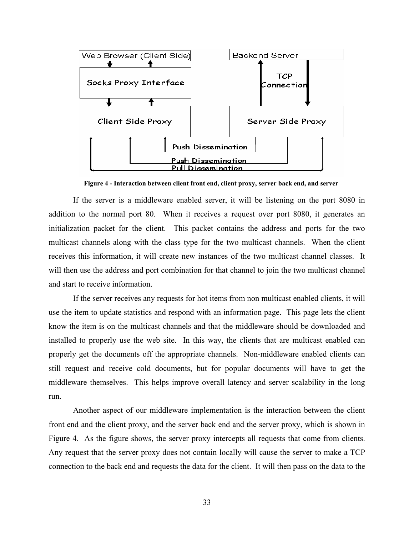

**Figure 4 - Interaction between client front end, client proxy, server back end, and server** 

If the server is a middleware enabled server, it will be listening on the port 8080 in addition to the normal port 80. When it receives a request over port 8080, it generates an initialization packet for the client. This packet contains the address and ports for the two multicast channels along with the class type for the two multicast channels. When the client receives this information, it will create new instances of the two multicast channel classes. It will then use the address and port combination for that channel to join the two multicast channel and start to receive information.

If the server receives any requests for hot items from non multicast enabled clients, it will use the item to update statistics and respond with an information page. This page lets the client know the item is on the multicast channels and that the middleware should be downloaded and installed to properly use the web site. In this way, the clients that are multicast enabled can properly get the documents off the appropriate channels. Non-middleware enabled clients can still request and receive cold documents, but for popular documents will have to get the middleware themselves. This helps improve overall latency and server scalability in the long run.

Another aspect of our middleware implementation is the interaction between the client front end and the client proxy, and the server back end and the server proxy, which is shown in Figure 4. As the figure shows, the server proxy intercepts all requests that come from clients. Any request that the server proxy does not contain locally will cause the server to make a TCP connection to the back end and requests the data for the client. It will then pass on the data to the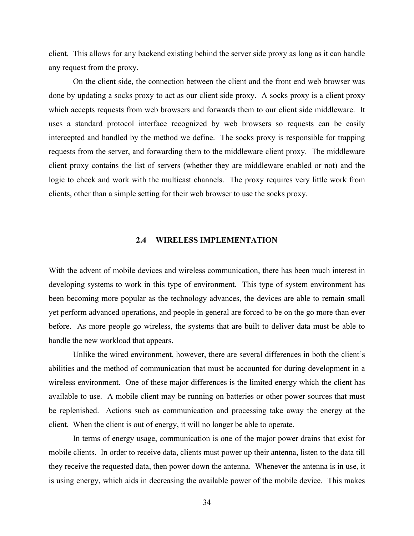client. This allows for any backend existing behind the server side proxy as long as it can handle any request from the proxy.

On the client side, the connection between the client and the front end web browser was done by updating a socks proxy to act as our client side proxy. A socks proxy is a client proxy which accepts requests from web browsers and forwards them to our client side middleware. It uses a standard protocol interface recognized by web browsers so requests can be easily intercepted and handled by the method we define. The socks proxy is responsible for trapping requests from the server, and forwarding them to the middleware client proxy. The middleware client proxy contains the list of servers (whether they are middleware enabled or not) and the logic to check and work with the multicast channels. The proxy requires very little work from clients, other than a simple setting for their web browser to use the socks proxy.

# **2.4 WIRELESS IMPLEMENTATION**

With the advent of mobile devices and wireless communication, there has been much interest in developing systems to work in this type of environment. This type of system environment has been becoming more popular as the technology advances, the devices are able to remain small yet perform advanced operations, and people in general are forced to be on the go more than ever before. As more people go wireless, the systems that are built to deliver data must be able to handle the new workload that appears.

Unlike the wired environment, however, there are several differences in both the client's abilities and the method of communication that must be accounted for during development in a wireless environment. One of these major differences is the limited energy which the client has available to use. A mobile client may be running on batteries or other power sources that must be replenished. Actions such as communication and processing take away the energy at the client. When the client is out of energy, it will no longer be able to operate.

In terms of energy usage, communication is one of the major power drains that exist for mobile clients. In order to receive data, clients must power up their antenna, listen to the data till they receive the requested data, then power down the antenna. Whenever the antenna is in use, it is using energy, which aids in decreasing the available power of the mobile device. This makes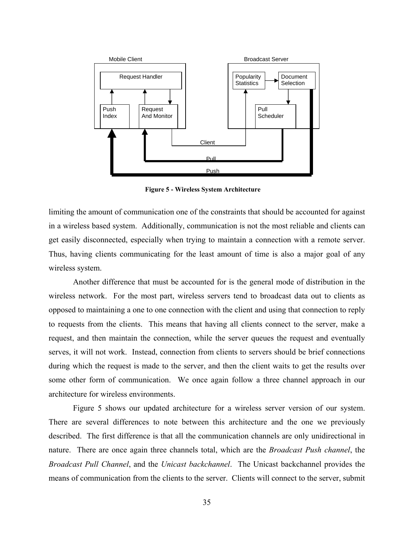

**Figure 5 - Wireless System Architecture** 

limiting the amount of communication one of the constraints that should be accounted for against in a wireless based system. Additionally, communication is not the most reliable and clients can get easily disconnected, especially when trying to maintain a connection with a remote server. Thus, having clients communicating for the least amount of time is also a major goal of any wireless system.

Another difference that must be accounted for is the general mode of distribution in the wireless network. For the most part, wireless servers tend to broadcast data out to clients as opposed to maintaining a one to one connection with the client and using that connection to reply to requests from the clients. This means that having all clients connect to the server, make a request, and then maintain the connection, while the server queues the request and eventually serves, it will not work. Instead, connection from clients to servers should be brief connections during which the request is made to the server, and then the client waits to get the results over some other form of communication. We once again follow a three channel approach in our architecture for wireless environments.

Figure 5 shows our updated architecture for a wireless server version of our system. There are several differences to note between this architecture and the one we previously described. The first difference is that all the communication channels are only unidirectional in nature. There are once again three channels total, which are the *Broadcast Push channel*, the *Broadcast Pull Channel*, and the *Unicast backchannel*. The Unicast backchannel provides the means of communication from the clients to the server. Clients will connect to the server, submit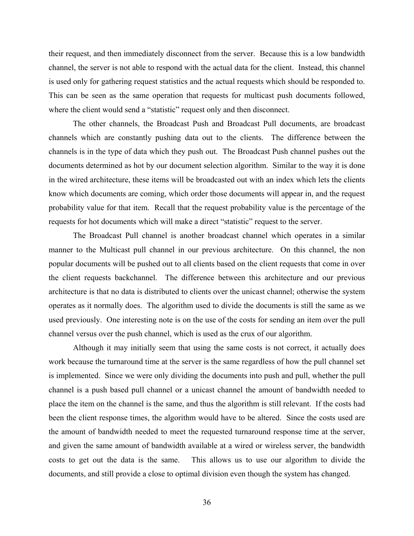their request, and then immediately disconnect from the server. Because this is a low bandwidth channel, the server is not able to respond with the actual data for the client. Instead, this channel is used only for gathering request statistics and the actual requests which should be responded to. This can be seen as the same operation that requests for multicast push documents followed, where the client would send a "statistic" request only and then disconnect.

The other channels, the Broadcast Push and Broadcast Pull documents, are broadcast channels which are constantly pushing data out to the clients. The difference between the channels is in the type of data which they push out. The Broadcast Push channel pushes out the documents determined as hot by our document selection algorithm. Similar to the way it is done in the wired architecture, these items will be broadcasted out with an index which lets the clients know which documents are coming, which order those documents will appear in, and the request probability value for that item. Recall that the request probability value is the percentage of the requests for hot documents which will make a direct "statistic" request to the server.

The Broadcast Pull channel is another broadcast channel which operates in a similar manner to the Multicast pull channel in our previous architecture. On this channel, the non popular documents will be pushed out to all clients based on the client requests that come in over the client requests backchannel. The difference between this architecture and our previous architecture is that no data is distributed to clients over the unicast channel; otherwise the system operates as it normally does. The algorithm used to divide the documents is still the same as we used previously. One interesting note is on the use of the costs for sending an item over the pull channel versus over the push channel, which is used as the crux of our algorithm.

Although it may initially seem that using the same costs is not correct, it actually does work because the turnaround time at the server is the same regardless of how the pull channel set is implemented. Since we were only dividing the documents into push and pull, whether the pull channel is a push based pull channel or a unicast channel the amount of bandwidth needed to place the item on the channel is the same, and thus the algorithm is still relevant. If the costs had been the client response times, the algorithm would have to be altered. Since the costs used are the amount of bandwidth needed to meet the requested turnaround response time at the server, and given the same amount of bandwidth available at a wired or wireless server, the bandwidth costs to get out the data is the same. This allows us to use our algorithm to divide the documents, and still provide a close to optimal division even though the system has changed.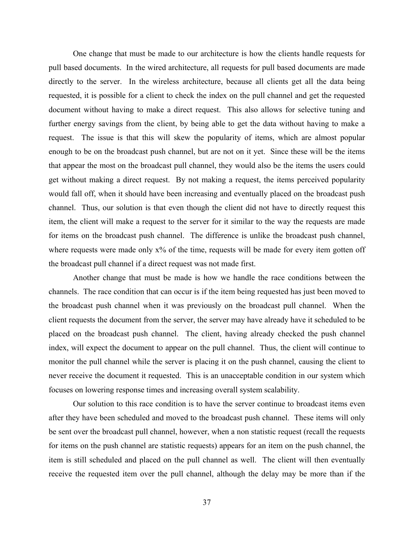One change that must be made to our architecture is how the clients handle requests for pull based documents. In the wired architecture, all requests for pull based documents are made directly to the server. In the wireless architecture, because all clients get all the data being requested, it is possible for a client to check the index on the pull channel and get the requested document without having to make a direct request. This also allows for selective tuning and further energy savings from the client, by being able to get the data without having to make a request. The issue is that this will skew the popularity of items, which are almost popular enough to be on the broadcast push channel, but are not on it yet. Since these will be the items that appear the most on the broadcast pull channel, they would also be the items the users could get without making a direct request. By not making a request, the items perceived popularity would fall off, when it should have been increasing and eventually placed on the broadcast push channel. Thus, our solution is that even though the client did not have to directly request this item, the client will make a request to the server for it similar to the way the requests are made for items on the broadcast push channel. The difference is unlike the broadcast push channel, where requests were made only  $x\%$  of the time, requests will be made for every item gotten off the broadcast pull channel if a direct request was not made first.

Another change that must be made is how we handle the race conditions between the channels. The race condition that can occur is if the item being requested has just been moved to the broadcast push channel when it was previously on the broadcast pull channel. When the client requests the document from the server, the server may have already have it scheduled to be placed on the broadcast push channel. The client, having already checked the push channel index, will expect the document to appear on the pull channel. Thus, the client will continue to monitor the pull channel while the server is placing it on the push channel, causing the client to never receive the document it requested. This is an unacceptable condition in our system which focuses on lowering response times and increasing overall system scalability.

Our solution to this race condition is to have the server continue to broadcast items even after they have been scheduled and moved to the broadcast push channel. These items will only be sent over the broadcast pull channel, however, when a non statistic request (recall the requests for items on the push channel are statistic requests) appears for an item on the push channel, the item is still scheduled and placed on the pull channel as well. The client will then eventually receive the requested item over the pull channel, although the delay may be more than if the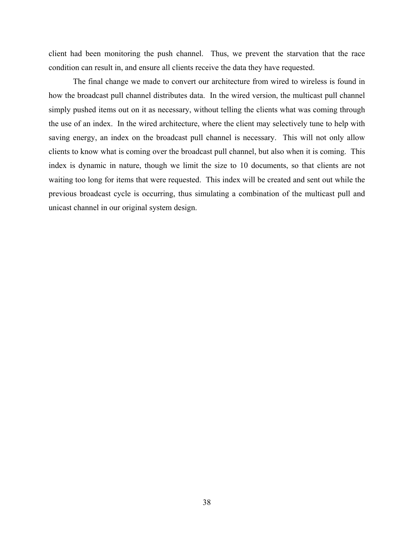client had been monitoring the push channel. Thus, we prevent the starvation that the race condition can result in, and ensure all clients receive the data they have requested.

The final change we made to convert our architecture from wired to wireless is found in how the broadcast pull channel distributes data. In the wired version, the multicast pull channel simply pushed items out on it as necessary, without telling the clients what was coming through the use of an index. In the wired architecture, where the client may selectively tune to help with saving energy, an index on the broadcast pull channel is necessary. This will not only allow clients to know what is coming over the broadcast pull channel, but also when it is coming. This index is dynamic in nature, though we limit the size to 10 documents, so that clients are not waiting too long for items that were requested. This index will be created and sent out while the previous broadcast cycle is occurring, thus simulating a combination of the multicast pull and unicast channel in our original system design.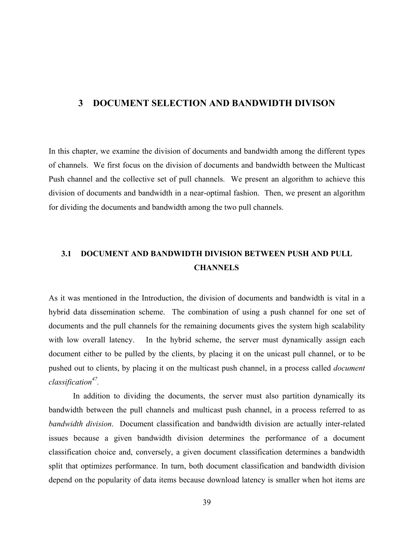# **3 DOCUMENT SELECTION AND BANDWIDTH DIVISON**

In this chapter, we examine the division of documents and bandwidth among the different types of channels. We first focus on the division of documents and bandwidth between the Multicast Push channel and the collective set of pull channels. We present an algorithm to achieve this division of documents and bandwidth in a near-optimal fashion. Then, we present an algorithm for dividing the documents and bandwidth among the two pull channels.

# **3.1 DOCUMENT AND BANDWIDTH DIVISION BETWEEN PUSH AND PULL CHANNELS**

As it was mentioned in the Introduction, the division of documents and bandwidth is vital in a hybrid data dissemination scheme. The combination of using a push channel for one set of documents and the pull channels for the remaining documents gives the system high scalability with low overall latency. In the hybrid scheme, the server must dynamically assign each document either to be pulled by the clients, by placing it on the unicast pull channel, or to be pushed out to clients, by placing it on the multicast push channel, in a process called *document classification47.*

In addition to dividing the documents, the server must also partition dynamically its bandwidth between the pull channels and multicast push channel, in a process referred to as *bandwidth division*. Document classification and bandwidth division are actually inter-related issues because a given bandwidth division determines the performance of a document classification choice and, conversely, a given document classification determines a bandwidth split that optimizes performance. In turn, both document classification and bandwidth division depend on the popularity of data items because download latency is smaller when hot items are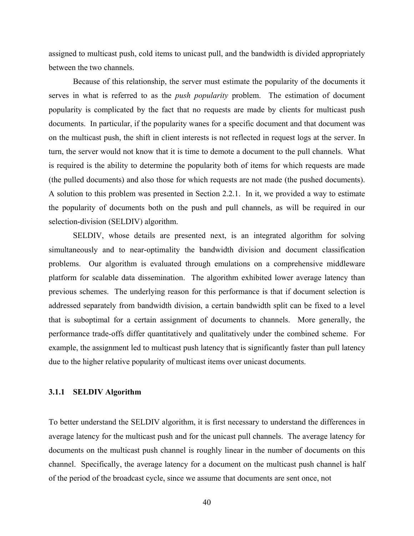assigned to multicast push, cold items to unicast pull, and the bandwidth is divided appropriately between the two channels.

Because of this relationship, the server must estimate the popularity of the documents it serves in what is referred to as the *push popularity* problem. The estimation of document popularity is complicated by the fact that no requests are made by clients for multicast push documents. In particular, if the popularity wanes for a specific document and that document was on the multicast push, the shift in client interests is not reflected in request logs at the server. In turn, the server would not know that it is time to demote a document to the pull channels. What is required is the ability to determine the popularity both of items for which requests are made (the pulled documents) and also those for which requests are not made (the pushed documents). A solution to this problem was presented in Section [2.2.1.](#page-32-0) In it, we provided a way to estimate the popularity of documents both on the push and pull channels, as will be required in our selection-division (SELDIV) algorithm.

SELDIV, whose details are presented next, is an integrated algorithm for solving simultaneously and to near-optimality the bandwidth division and document classification problems. Our algorithm is evaluated through emulations on a comprehensive middleware platform for scalable data dissemination. The algorithm exhibited lower average latency than previous schemes. The underlying reason for this performance is that if document selection is addressed separately from bandwidth division, a certain bandwidth split can be fixed to a level that is suboptimal for a certain assignment of documents to channels. More generally, the performance trade-offs differ quantitatively and qualitatively under the combined scheme. For example, the assignment led to multicast push latency that is significantly faster than pull latency due to the higher relative popularity of multicast items over unicast documents.

# <span id="page-50-0"></span>**3.1.1 SELDIV Algorithm**

To better understand the SELDIV algorithm, it is first necessary to understand the differences in average latency for the multicast push and for the unicast pull channels. The average latency for documents on the multicast push channel is roughly linear in the number of documents on this channel. Specifically, the average latency for a document on the multicast push channel is half of the period of the broadcast cycle, since we assume that documents are sent once, not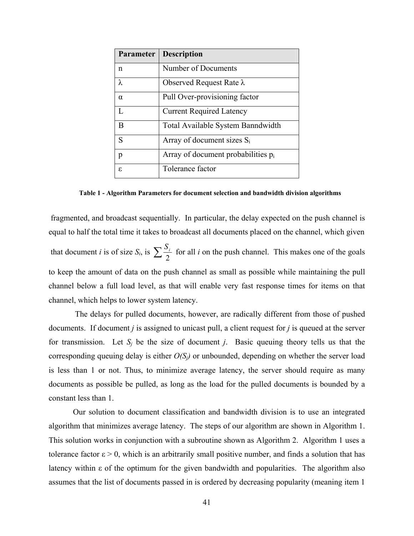| Parameter | <b>Description</b>                 |
|-----------|------------------------------------|
| n         | Number of Documents                |
| $\lambda$ | Observed Request Rate $\lambda$    |
| $\alpha$  | Pull Over-provisioning factor      |
| L         | <b>Current Required Latency</b>    |
| B         | Total Available System Banndwidth  |
| S         | Array of document sizes $S_i$      |
| p         | Array of document probabilities pi |
| ε.        | Tolerance factor                   |

**Table 1 - Algorithm Parameters for document selection and bandwidth division algorithms** 

<span id="page-51-0"></span> fragmented, and broadcast sequentially. In particular, the delay expected on the push channel is equal to half the total time it takes to broadcast all documents placed on the channel, which given that document *i* is of size  $S_i$ , is  $\sum_{i=1}^{S_i}$  for all *i* on the push channel. This makes one of the goals to keep the amount of data on the push channel as small as possible while maintaining the pull channel below a full load level, as that will enable very fast response times for items on that channel, which helps to lower system latency.

 The delays for pulled documents, however, are radically different from those of pushed documents. If document *j* is assigned to unicast pull, a client request for *j* is queued at the server for transmission. Let  $S_i$  be the size of document *j*. Basic queuing theory tells us that the corresponding queuing delay is either *O(Sj)* or unbounded, depending on whether the server load is less than 1 or not. Thus, to minimize average latency, the server should require as many documents as possible be pulled, as long as the load for the pulled documents is bounded by a constant less than 1.

Our solution to document classification and bandwidth division is to use an integrated algorithm that minimizes average latency. The steps of our algorithm are shown in Algorithm 1. This solution works in conjunction with a subroutine shown as Algorithm 2. Algorithm 1 uses a tolerance factor  $\varepsilon > 0$ , which is an arbitrarily small positive number, and finds a solution that has latency within ε of the optimum for the given bandwidth and popularities. The algorithm also assumes that the list of documents passed in is ordered by decreasing popularity (meaning item 1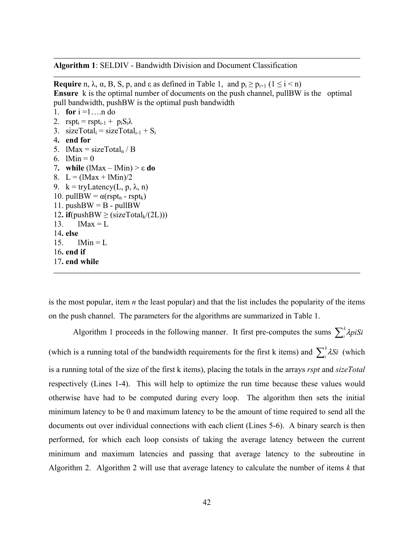**Algorithm 1**: SELDIV - Bandwidth Division and Document Classification

**Require** n,  $\lambda$ ,  $\alpha$ , B, S, p, and  $\varepsilon$  as defined in Table 1, and  $p_i \ge p_{i+1}$  ( $1 \le i \le n$ ) **Ensure** k is the optimal number of documents on the push channel, pullBW is the optimal pull bandwidth, pushBW is the optimal push bandwidth 1. **for**  $i = 1...n$  do 2.  $rspt_i = rspt_{i-1} + p_iS_i\lambda$ 3. sizeTotal<sub>i</sub> = sizeTotal<sub>i-1</sub> +  $S_i$ 4**. end for**  5.  $lMax = sizeTotal_n / B$ 

- 6.  $1 \text{Min} = 0$
- 7**. while** (lMax lMin) > ε **do** 8.  $L = (1Max + 1Min)/2$ 9.  $k = tryLatency(L, p, \lambda, n)$
- 10. pullBW =  $\alpha$ (rspt<sub>n</sub> rspt<sub>k</sub>)
- 11. pushBW =  $B \text{pullBW}$
- 12. **if**(pushBW  $\geq$  (sizeTotal<sub>k</sub>/(2L)))

13.  $1 \text{Max} = L$ 

14**. else**  15.  $lMin = L$ 

- 
- 16**. end if**  17**. end while**

is the most popular, item *n* the least popular) and that the list includes the popularity of the items on the push channel. The parameters for the algorithms are summarized in [Table 1.](#page-51-0)

Algorithm 1 proceeds in the following manner. It first pre-computes the sums  $\sum_{i}^{k} \lambda p_i S_i$ (which is a running total of the bandwidth requirements for the first k items) and  $\sum_i^k \lambda S_i$  (which is a running total of the size of the first k items), placing the totals in the arrays *rspt* and *sizeTotal* respectively (Lines 1-4). This will help to optimize the run time because these values would otherwise have had to be computed during every loop. The algorithm then sets the initial minimum latency to be 0 and maximum latency to be the amount of time required to send all the documents out over individual connections with each client (Lines 5-6). A binary search is then performed, for which each loop consists of taking the average latency between the current minimum and maximum latencies and passing that average latency to the subroutine in Algorithm 2. Algorithm 2 will use that average latency to calculate the number of items *k* that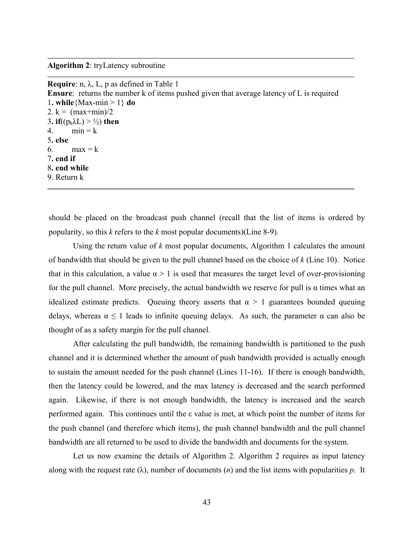**Algorithm 2**: tryLatency subroutine

| <b>Require:</b> n, $\lambda$ , L, p as defined in Table 1                                       |
|-------------------------------------------------------------------------------------------------|
| <b>Ensure:</b> returns the number k of items pushed given that average latency of L is required |
| 1. while {Max-min > 1} do                                                                       |
| 2. $k = (max + min)/2$                                                                          |
| 3. if( $(p_k\lambda L) > \frac{1}{2}$ ) then                                                    |
| 4. $min = k$                                                                                    |
| 5. else                                                                                         |
| 6. max = $k$                                                                                    |
| 7. end if                                                                                       |
| 8. end while                                                                                    |
| 9. Return k                                                                                     |
|                                                                                                 |

should be placed on the broadcast push channel (recall that the list of items is ordered by popularity, so this *k* refers to the *k* most popular documents)(Line 8-9).

Using the return value of *k* most popular documents, Algorithm 1 calculates the amount of bandwidth that should be given to the pull channel based on the choice of *k* (Line 10). Notice that in this calculation, a value  $\alpha > 1$  is used that measures the target level of over-provisioning for the pull channel. More precisely, the actual bandwidth we reserve for pull is  $\alpha$  times what an idealized estimate predicts. Queuing theory asserts that  $\alpha > 1$  guarantees bounded queuing delays, whereas  $\alpha \leq 1$  leads to infinite queuing delays. As such, the parameter  $\alpha$  can also be thought of as a safety margin for the pull channel.

After calculating the pull bandwidth, the remaining bandwidth is partitioned to the push channel and it is determined whether the amount of push bandwidth provided is actually enough to sustain the amount needed for the push channel (Lines 11-16). If there is enough bandwidth, then the latency could be lowered, and the max latency is decreased and the search performed again. Likewise, if there is not enough bandwidth, the latency is increased and the search performed again. This continues until the ε value is met, at which point the number of items for the push channel (and therefore which items), the push channel bandwidth and the pull channel bandwidth are all returned to be used to divide the bandwidth and documents for the system.

Let us now examine the details of Algorithm 2. Algorithm 2 requires as input latency along with the request rate (λ), number of documents (*n*) and the list items with popularities *p*. It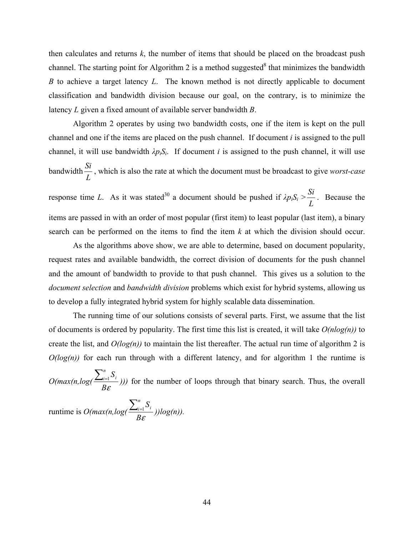then calculates and returns *k*, the number of items that should be placed on the broadcast push channel. The starting point for Algorithm 2 is a method suggested  $\delta$  that minimizes the bandwidth *B* to achieve a target latency *L*. The known method is not directly applicable to document classification and bandwidth division because our goal, on the contrary, is to minimize the latency *L* given a fixed amount of available server bandwidth *B*.

Algorithm 2 operates by using two bandwidth costs, one if the item is kept on the pull channel and one if the items are placed on the push channel. If document *i* is assigned to the pull channel, it will use bandwidth  $\lambda p_i S_i$ . If document *i* is assigned to the push channel, it will use bandwidth *L Si* , which is also the rate at which the document must be broadcast to give *worst-case* response time *L*. As it was stated<sup>30</sup> a document should be pushed if  $\lambda p_i S_i$  > *L*  $\frac{Si}{I}$ . Because the items are passed in with an order of most popular (first item) to least popular (last item), a binary search can be performed on the items to find the item *k* at which the division should occur.

 As the algorithms above show, we are able to determine, based on document popularity, request rates and available bandwidth, the correct division of documents for the push channel and the amount of bandwidth to provide to that push channel. This gives us a solution to the *document selection* and *bandwidth division* problems which exist for hybrid systems, allowing us to develop a fully integrated hybrid system for highly scalable data dissemination.

The running time of our solutions consists of several parts. First, we assume that the list of documents is ordered by popularity. The first time this list is created, it will take *O(nlog(n))* to create the list, and  $O(log(n))$  to maintain the list thereafter. The actual run time of algorithm 2 is  $O(log(n))$  for each run through with a different latency, and for algorithm 1 the runtime is

 $O(max(n,log(\frac{2n+1}{B\epsilon}))$  $\frac{\sum_{i=1}^{n} S_i}{\sum_{i=1}^{n} S_i}$ ))) for the number of loops through that binary search. Thus, the overall

runtime is  $O(max(n, log(\frac{2n+1}{BC}))$  $\frac{\sum_{i=1}^{n} S_i}{\sum_{i=1}^{n} (log(n))}.$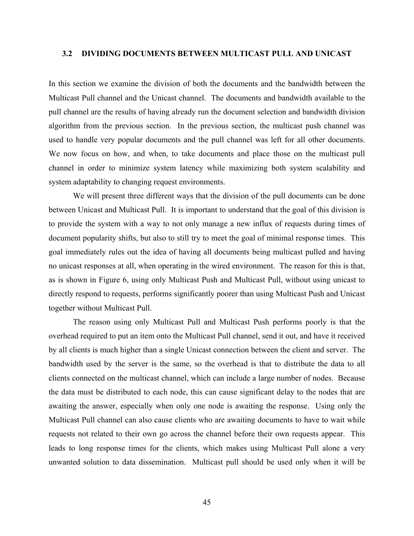## **3.2 DIVIDING DOCUMENTS BETWEEN MULTICAST PULL AND UNICAST**

In this section we examine the division of both the documents and the bandwidth between the Multicast Pull channel and the Unicast channel. The documents and bandwidth available to the pull channel are the results of having already run the document selection and bandwidth division algorithm from the previous section. In the previous section, the multicast push channel was used to handle very popular documents and the pull channel was left for all other documents. We now focus on how, and when, to take documents and place those on the multicast pull channel in order to minimize system latency while maximizing both system scalability and system adaptability to changing request environments.

We will present three different ways that the division of the pull documents can be done between Unicast and Multicast Pull. It is important to understand that the goal of this division is to provide the system with a way to not only manage a new influx of requests during times of document popularity shifts, but also to still try to meet the goal of minimal response times. This goal immediately rules out the idea of having all documents being multicast pulled and having no unicast responses at all, when operating in the wired environment. The reason for this is that, as is shown in Figure 6, using only Multicast Push and Multicast Pull, without using unicast to directly respond to requests, performs significantly poorer than using Multicast Push and Unicast together without Multicast Pull.

The reason using only Multicast Pull and Multicast Push performs poorly is that the overhead required to put an item onto the Multicast Pull channel, send it out, and have it received by all clients is much higher than a single Unicast connection between the client and server. The bandwidth used by the server is the same, so the overhead is that to distribute the data to all clients connected on the multicast channel, which can include a large number of nodes. Because the data must be distributed to each node, this can cause significant delay to the nodes that are awaiting the answer, especially when only one node is awaiting the response. Using only the Multicast Pull channel can also cause clients who are awaiting documents to have to wait while requests not related to their own go across the channel before their own requests appear. This leads to long response times for the clients, which makes using Multicast Pull alone a very unwanted solution to data dissemination. Multicast pull should be used only when it will be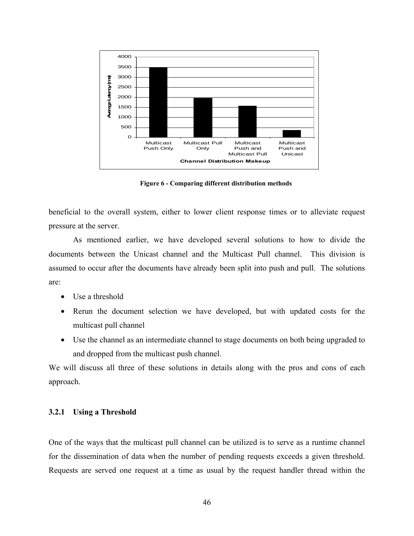

**Figure 6 - Comparing different distribution methods** 

beneficial to the overall system, either to lower client response times or to alleviate request pressure at the server.

As mentioned earlier, we have developed several solutions to how to divide the documents between the Unicast channel and the Multicast Pull channel. This division is assumed to occur after the documents have already been split into push and pull. The solutions are:

- Use a threshold
- Rerun the document selection we have developed, but with updated costs for the multicast pull channel
- Use the channel as an intermediate channel to stage documents on both being upgraded to and dropped from the multicast push channel.

We will discuss all three of these solutions in details along with the pros and cons of each approach.

# **3.2.1 Using a Threshold**

One of the ways that the multicast pull channel can be utilized is to serve as a runtime channel for the dissemination of data when the number of pending requests exceeds a given threshold. Requests are served one request at a time as usual by the request handler thread within the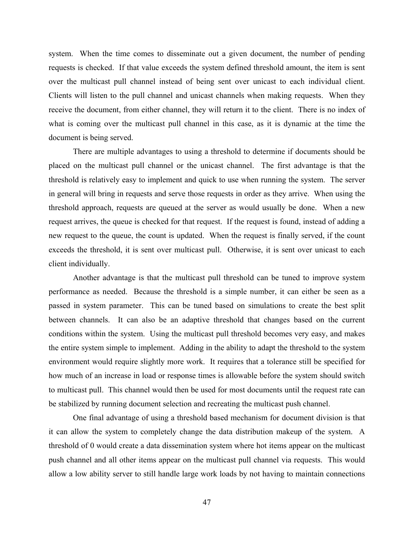system. When the time comes to disseminate out a given document, the number of pending requests is checked. If that value exceeds the system defined threshold amount, the item is sent over the multicast pull channel instead of being sent over unicast to each individual client. Clients will listen to the pull channel and unicast channels when making requests. When they receive the document, from either channel, they will return it to the client. There is no index of what is coming over the multicast pull channel in this case, as it is dynamic at the time the document is being served.

There are multiple advantages to using a threshold to determine if documents should be placed on the multicast pull channel or the unicast channel. The first advantage is that the threshold is relatively easy to implement and quick to use when running the system. The server in general will bring in requests and serve those requests in order as they arrive. When using the threshold approach, requests are queued at the server as would usually be done. When a new request arrives, the queue is checked for that request. If the request is found, instead of adding a new request to the queue, the count is updated. When the request is finally served, if the count exceeds the threshold, it is sent over multicast pull. Otherwise, it is sent over unicast to each client individually.

Another advantage is that the multicast pull threshold can be tuned to improve system performance as needed. Because the threshold is a simple number, it can either be seen as a passed in system parameter. This can be tuned based on simulations to create the best split between channels. It can also be an adaptive threshold that changes based on the current conditions within the system. Using the multicast pull threshold becomes very easy, and makes the entire system simple to implement. Adding in the ability to adapt the threshold to the system environment would require slightly more work. It requires that a tolerance still be specified for how much of an increase in load or response times is allowable before the system should switch to multicast pull. This channel would then be used for most documents until the request rate can be stabilized by running document selection and recreating the multicast push channel.

One final advantage of using a threshold based mechanism for document division is that it can allow the system to completely change the data distribution makeup of the system. A threshold of 0 would create a data dissemination system where hot items appear on the multicast push channel and all other items appear on the multicast pull channel via requests. This would allow a low ability server to still handle large work loads by not having to maintain connections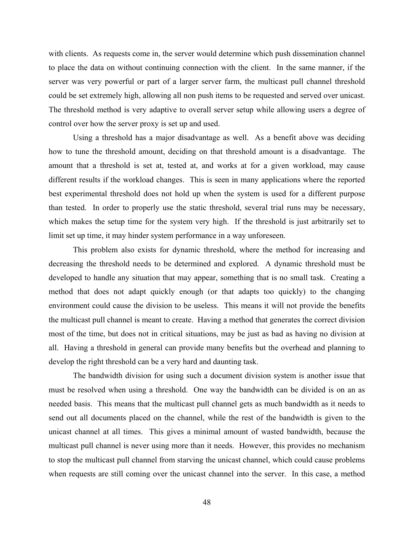with clients. As requests come in, the server would determine which push dissemination channel to place the data on without continuing connection with the client. In the same manner, if the server was very powerful or part of a larger server farm, the multicast pull channel threshold could be set extremely high, allowing all non push items to be requested and served over unicast. The threshold method is very adaptive to overall server setup while allowing users a degree of control over how the server proxy is set up and used.

Using a threshold has a major disadvantage as well. As a benefit above was deciding how to tune the threshold amount, deciding on that threshold amount is a disadvantage. The amount that a threshold is set at, tested at, and works at for a given workload, may cause different results if the workload changes. This is seen in many applications where the reported best experimental threshold does not hold up when the system is used for a different purpose than tested. In order to properly use the static threshold, several trial runs may be necessary, which makes the setup time for the system very high. If the threshold is just arbitrarily set to limit set up time, it may hinder system performance in a way unforeseen.

This problem also exists for dynamic threshold, where the method for increasing and decreasing the threshold needs to be determined and explored. A dynamic threshold must be developed to handle any situation that may appear, something that is no small task. Creating a method that does not adapt quickly enough (or that adapts too quickly) to the changing environment could cause the division to be useless. This means it will not provide the benefits the multicast pull channel is meant to create. Having a method that generates the correct division most of the time, but does not in critical situations, may be just as bad as having no division at all. Having a threshold in general can provide many benefits but the overhead and planning to develop the right threshold can be a very hard and daunting task.

The bandwidth division for using such a document division system is another issue that must be resolved when using a threshold. One way the bandwidth can be divided is on an as needed basis. This means that the multicast pull channel gets as much bandwidth as it needs to send out all documents placed on the channel, while the rest of the bandwidth is given to the unicast channel at all times. This gives a minimal amount of wasted bandwidth, because the multicast pull channel is never using more than it needs. However, this provides no mechanism to stop the multicast pull channel from starving the unicast channel, which could cause problems when requests are still coming over the unicast channel into the server. In this case, a method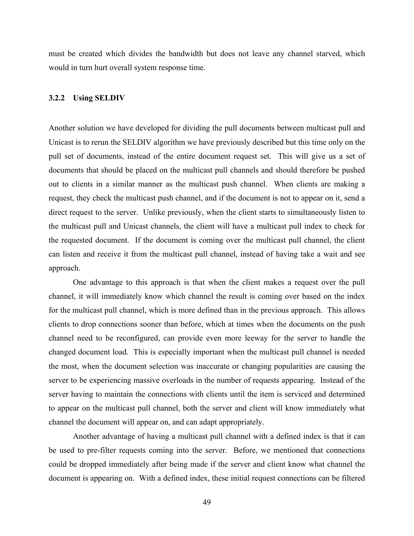must be created which divides the bandwidth but does not leave any channel starved, which would in turn hurt overall system response time.

## **3.2.2 Using SELDIV**

Another solution we have developed for dividing the pull documents between multicast pull and Unicast is to rerun the SELDIV algorithm we have previously described but this time only on the pull set of documents, instead of the entire document request set. This will give us a set of documents that should be placed on the multicast pull channels and should therefore be pushed out to clients in a similar manner as the multicast push channel. When clients are making a request, they check the multicast push channel, and if the document is not to appear on it, send a direct request to the server. Unlike previously, when the client starts to simultaneously listen to the multicast pull and Unicast channels, the client will have a multicast pull index to check for the requested document. If the document is coming over the multicast pull channel, the client can listen and receive it from the multicast pull channel, instead of having take a wait and see approach.

One advantage to this approach is that when the client makes a request over the pull channel, it will immediately know which channel the result is coming over based on the index for the multicast pull channel, which is more defined than in the previous approach. This allows clients to drop connections sooner than before, which at times when the documents on the push channel need to be reconfigured, can provide even more leeway for the server to handle the changed document load. This is especially important when the multicast pull channel is needed the most, when the document selection was inaccurate or changing popularities are causing the server to be experiencing massive overloads in the number of requests appearing. Instead of the server having to maintain the connections with clients until the item is serviced and determined to appear on the multicast pull channel, both the server and client will know immediately what channel the document will appear on, and can adapt appropriately.

Another advantage of having a multicast pull channel with a defined index is that it can be used to pre-filter requests coming into the server. Before, we mentioned that connections could be dropped immediately after being made if the server and client know what channel the document is appearing on. With a defined index, these initial request connections can be filtered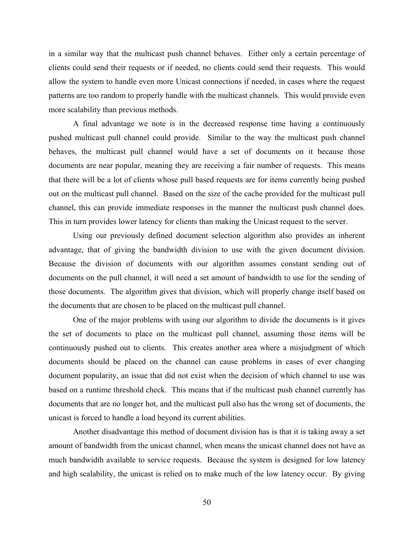in a similar way that the multicast push channel behaves. Either only a certain percentage of clients could send their requests or if needed, no clients could send their requests. This would allow the system to handle even more Unicast connections if needed, in cases where the request patterns are too random to properly handle with the multicast channels. This would provide even more scalability than previous methods.

A final advantage we note is in the decreased response time having a continuously pushed multicast pull channel could provide. Similar to the way the multicast push channel behaves, the multicast pull channel would have a set of documents on it because those documents are near popular, meaning they are receiving a fair number of requests. This means that there will be a lot of clients whose pull based requests are for items currently being pushed out on the multicast pull channel. Based on the size of the cache provided for the multicast pull channel, this can provide immediate responses in the manner the multicast push channel does. This in turn provides lower latency for clients than making the Unicast request to the server.

Using our previously defined document selection algorithm also provides an inherent advantage, that of giving the bandwidth division to use with the given document division. Because the division of documents with our algorithm assumes constant sending out of documents on the pull channel, it will need a set amount of bandwidth to use for the sending of those documents. The algorithm gives that division, which will properly change itself based on the documents that are chosen to be placed on the multicast pull channel.

One of the major problems with using our algorithm to divide the documents is it gives the set of documents to place on the multicast pull channel, assuming those items will be continuously pushed out to clients. This creates another area where a misjudgment of which documents should be placed on the channel can cause problems in cases of ever changing document popularity, an issue that did not exist when the decision of which channel to use was based on a runtime threshold check. This means that if the multicast push channel currently has documents that are no longer hot, and the multicast pull also has the wrong set of documents, the unicast is forced to handle a load beyond its current abilities.

Another disadvantage this method of document division has is that it is taking away a set amount of bandwidth from the unicast channel, when means the unicast channel does not have as much bandwidth available to service requests. Because the system is designed for low latency and high scalability, the unicast is relied on to make much of the low latency occur. By giving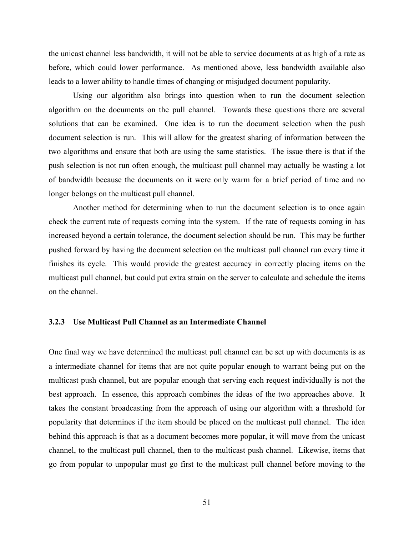the unicast channel less bandwidth, it will not be able to service documents at as high of a rate as before, which could lower performance. As mentioned above, less bandwidth available also leads to a lower ability to handle times of changing or misjudged document popularity.

Using our algorithm also brings into question when to run the document selection algorithm on the documents on the pull channel. Towards these questions there are several solutions that can be examined. One idea is to run the document selection when the push document selection is run. This will allow for the greatest sharing of information between the two algorithms and ensure that both are using the same statistics. The issue there is that if the push selection is not run often enough, the multicast pull channel may actually be wasting a lot of bandwidth because the documents on it were only warm for a brief period of time and no longer belongs on the multicast pull channel.

Another method for determining when to run the document selection is to once again check the current rate of requests coming into the system. If the rate of requests coming in has increased beyond a certain tolerance, the document selection should be run. This may be further pushed forward by having the document selection on the multicast pull channel run every time it finishes its cycle. This would provide the greatest accuracy in correctly placing items on the multicast pull channel, but could put extra strain on the server to calculate and schedule the items on the channel.

# **3.2.3 Use Multicast Pull Channel as an Intermediate Channel**

One final way we have determined the multicast pull channel can be set up with documents is as a intermediate channel for items that are not quite popular enough to warrant being put on the multicast push channel, but are popular enough that serving each request individually is not the best approach. In essence, this approach combines the ideas of the two approaches above. It takes the constant broadcasting from the approach of using our algorithm with a threshold for popularity that determines if the item should be placed on the multicast pull channel. The idea behind this approach is that as a document becomes more popular, it will move from the unicast channel, to the multicast pull channel, then to the multicast push channel. Likewise, items that go from popular to unpopular must go first to the multicast pull channel before moving to the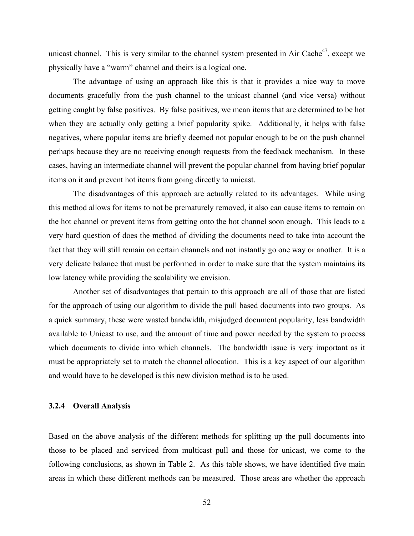unicast channel. This is very similar to the channel system presented in Air Cache $47$ , except we physically have a "warm" channel and theirs is a logical one.

The advantage of using an approach like this is that it provides a nice way to move documents gracefully from the push channel to the unicast channel (and vice versa) without getting caught by false positives. By false positives, we mean items that are determined to be hot when they are actually only getting a brief popularity spike. Additionally, it helps with false negatives, where popular items are briefly deemed not popular enough to be on the push channel perhaps because they are no receiving enough requests from the feedback mechanism. In these cases, having an intermediate channel will prevent the popular channel from having brief popular items on it and prevent hot items from going directly to unicast.

The disadvantages of this approach are actually related to its advantages. While using this method allows for items to not be prematurely removed, it also can cause items to remain on the hot channel or prevent items from getting onto the hot channel soon enough. This leads to a very hard question of does the method of dividing the documents need to take into account the fact that they will still remain on certain channels and not instantly go one way or another. It is a very delicate balance that must be performed in order to make sure that the system maintains its low latency while providing the scalability we envision.

Another set of disadvantages that pertain to this approach are all of those that are listed for the approach of using our algorithm to divide the pull based documents into two groups. As a quick summary, these were wasted bandwidth, misjudged document popularity, less bandwidth available to Unicast to use, and the amount of time and power needed by the system to process which documents to divide into which channels. The bandwidth issue is very important as it must be appropriately set to match the channel allocation. This is a key aspect of our algorithm and would have to be developed is this new division method is to be used.

# **3.2.4 Overall Analysis**

Based on the above analysis of the different methods for splitting up the pull documents into those to be placed and serviced from multicast pull and those for unicast, we come to the following conclusions, as shown in [Table 2.](#page-63-0) As this table shows, we have identified five main areas in which these different methods can be measured. Those areas are whether the approach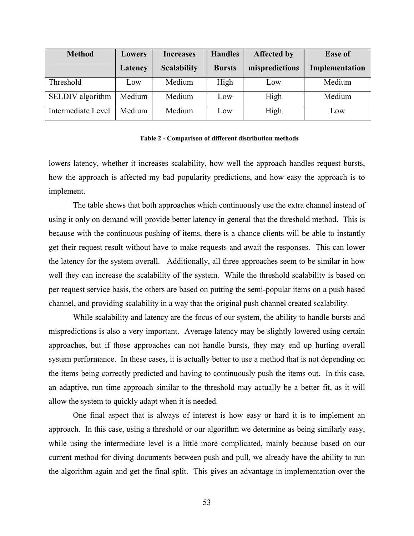| <b>Method</b>      | <b>Lowers</b> | <b>Increases</b>   | <b>Handles</b> | Affected by    | <b>Ease of</b> |
|--------------------|---------------|--------------------|----------------|----------------|----------------|
|                    | Latency       | <b>Scalability</b> | <b>Bursts</b>  | mispredictions | Implementation |
| Threshold          | Low           | Medium             | High           | Low            | Medium         |
| SELDIV algorithm   | Medium        | Medium             | Low            | High           | Medium         |
| Intermediate Level | Medium        | Medium             | Low            | High           | Low            |

#### **Table 2 - Comparison of different distribution methods**

<span id="page-63-0"></span>lowers latency, whether it increases scalability, how well the approach handles request bursts, how the approach is affected my bad popularity predictions, and how easy the approach is to implement.

The table shows that both approaches which continuously use the extra channel instead of using it only on demand will provide better latency in general that the threshold method. This is because with the continuous pushing of items, there is a chance clients will be able to instantly get their request result without have to make requests and await the responses. This can lower the latency for the system overall. Additionally, all three approaches seem to be similar in how well they can increase the scalability of the system. While the threshold scalability is based on per request service basis, the others are based on putting the semi-popular items on a push based channel, and providing scalability in a way that the original push channel created scalability.

While scalability and latency are the focus of our system, the ability to handle bursts and mispredictions is also a very important. Average latency may be slightly lowered using certain approaches, but if those approaches can not handle bursts, they may end up hurting overall system performance. In these cases, it is actually better to use a method that is not depending on the items being correctly predicted and having to continuously push the items out. In this case, an adaptive, run time approach similar to the threshold may actually be a better fit, as it will allow the system to quickly adapt when it is needed.

One final aspect that is always of interest is how easy or hard it is to implement an approach. In this case, using a threshold or our algorithm we determine as being similarly easy, while using the intermediate level is a little more complicated, mainly because based on our current method for diving documents between push and pull, we already have the ability to run the algorithm again and get the final split. This gives an advantage in implementation over the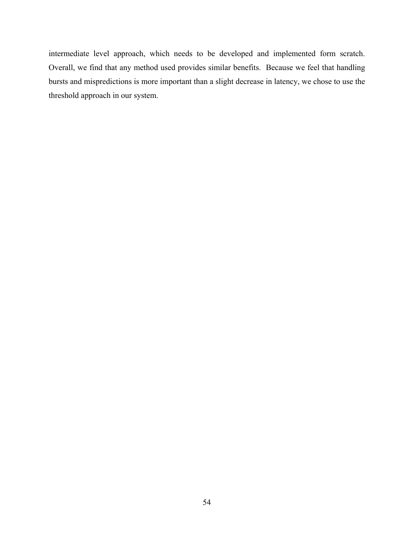intermediate level approach, which needs to be developed and implemented form scratch. Overall, we find that any method used provides similar benefits. Because we feel that handling bursts and mispredictions is more important than a slight decrease in latency, we chose to use the threshold approach in our system.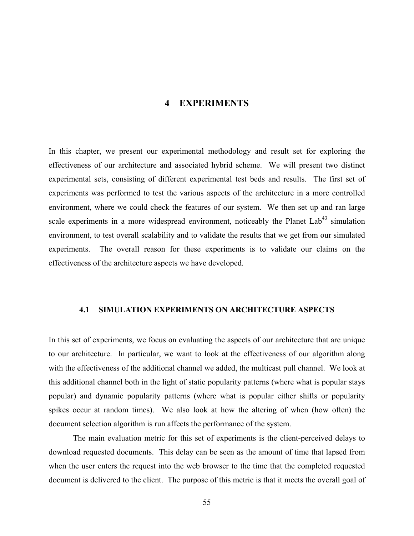# **4 EXPERIMENTS**

In this chapter, we present our experimental methodology and result set for exploring the effectiveness of our architecture and associated hybrid scheme. We will present two distinct experimental sets, consisting of different experimental test beds and results. The first set of experiments was performed to test the various aspects of the architecture in a more controlled environment, where we could check the features of our system. We then set up and ran large scale experiments in a more widespread environment, noticeably the Planet  $Lab<sup>43</sup>$  simulation environment, to test overall scalability and to validate the results that we get from our simulated experiments. The overall reason for these experiments is to validate our claims on the effectiveness of the architecture aspects we have developed.

# **4.1 SIMULATION EXPERIMENTS ON ARCHITECTURE ASPECTS**

In this set of experiments, we focus on evaluating the aspects of our architecture that are unique to our architecture. In particular, we want to look at the effectiveness of our algorithm along with the effectiveness of the additional channel we added, the multicast pull channel. We look at this additional channel both in the light of static popularity patterns (where what is popular stays popular) and dynamic popularity patterns (where what is popular either shifts or popularity spikes occur at random times). We also look at how the altering of when (how often) the document selection algorithm is run affects the performance of the system.

The main evaluation metric for this set of experiments is the client-perceived delays to download requested documents. This delay can be seen as the amount of time that lapsed from when the user enters the request into the web browser to the time that the completed requested document is delivered to the client. The purpose of this metric is that it meets the overall goal of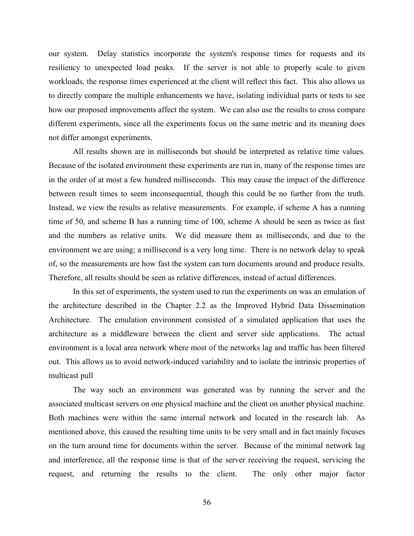our system. Delay statistics incorporate the system's response times for requests and its resiliency to unexpected load peaks. If the server is not able to properly scale to given workloads, the response times experienced at the client will reflect this fact. This also allows us to directly compare the multiple enhancements we have, isolating individual parts or tests to see how our proposed improvements affect the system. We can also use the results to cross compare different experiments, since all the experiments focus on the same metric and its meaning does not differ amongst experiments.

All results shown are in milliseconds but should be interpreted as relative time values. Because of the isolated environment these experiments are run in, many of the response times are in the order of at most a few hundred milliseconds. This may cause the impact of the difference between result times to seem inconsequential, though this could be no further from the truth. Instead, we view the results as relative measurements. For example, if scheme A has a running time of 50, and scheme B has a running time of 100, scheme A should be seen as twice as fast and the numbers as relative units. We did measure them as milliseconds, and due to the environment we are using; a millisecond is a very long time. There is no network delay to speak of, so the measurements are how fast the system can turn documents around and produce results. Therefore, all results should be seen as relative differences, instead of actual differences.

In this set of experiments, the system used to run the experiments on was an emulation of the architecture described in the Chapter [2.2](#page-28-0) as the Improved Hybrid Data Dissemination Architecture. The emulation environment consisted of a simulated application that uses the architecture as a middleware between the client and server side applications. The actual environment is a local area network where most of the networks lag and traffic has been filtered out. This allows us to avoid network-induced variability and to isolate the intrinsic properties of multicast pull

The way such an environment was generated was by running the server and the associated multicast servers on one physical machine and the client on another physical machine. Both machines were within the same internal network and located in the research lab. As mentioned above, this caused the resulting time units to be very small and in fact mainly focuses on the turn around time for documents within the server. Because of the minimal network lag and interference, all the response time is that of the server receiving the request, servicing the request, and returning the results to the client. The only other major factor

56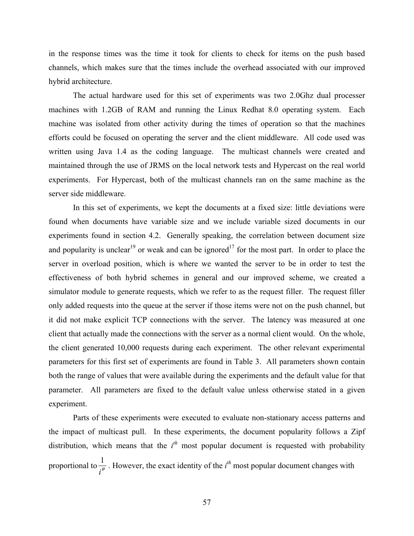in the response times was the time it took for clients to check for items on the push based channels, which makes sure that the times include the overhead associated with our improved hybrid architecture.

The actual hardware used for this set of experiments was two 2.0Ghz dual processer machines with 1.2GB of RAM and running the Linux Redhat 8.0 operating system. Each machine was isolated from other activity during the times of operation so that the machines efforts could be focused on operating the server and the client middleware. All code used was written using Java 1.4 as the coding language. The multicast channels were created and maintained through the use of JRMS on the local network tests and Hypercast on the real world experiments. For Hypercast, both of the multicast channels ran on the same machine as the server side middleware.

In this set of experiments, we kept the documents at a fixed size: little deviations were found when documents have variable size and we include variable sized documents in our experiments found in section [4.2](#page-87-0). Generally speaking, the correlation between document size and popularity is unclear<sup>19</sup> or weak and can be ignored<sup>17</sup> for the most part. In order to place the server in overload position, which is where we wanted the server to be in order to test the effectiveness of both hybrid schemes in general and our improved scheme, we created a simulator module to generate requests, which we refer to as the request filler. The request filler only added requests into the queue at the server if those items were not on the push channel, but it did not make explicit TCP connections with the server. The latency was measured at one client that actually made the connections with the server as a normal client would. On the whole, the client generated 10,000 requests during each experiment. The other relevant experimental parameters for this first set of experiments are found in [Table 3.](#page-68-0) All parameters shown contain both the range of values that were available during the experiments and the default value for that parameter. All parameters are fixed to the default value unless otherwise stated in a given experiment.

Parts of these experiments were executed to evaluate non-stationary access patterns and the impact of multicast pull. In these experiments, the document popularity follows a Zipf distribution, which means that the  $i<sup>th</sup>$  most popular document is requested with probability proportional to  $\frac{1}{i^{\theta}}$  $\frac{1}{a}$ . However, the exact identity of the  $i^{th}$  most popular document changes with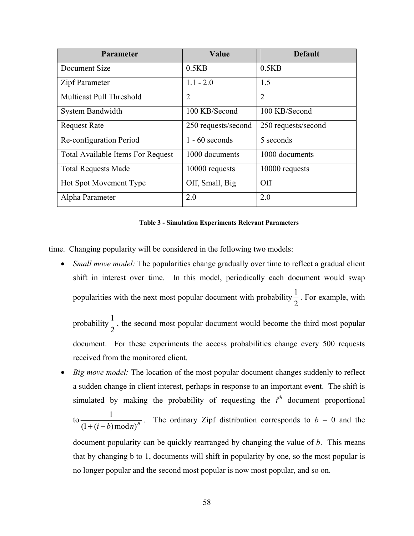| <b>Parameter</b>                         | Value               | <b>Default</b>      |
|------------------------------------------|---------------------|---------------------|
| Document Size                            | 0.5KB               | 0.5KB               |
| Zipf Parameter                           | $1.1 - 2.0$         | 1.5                 |
| <b>Multicast Pull Threshold</b>          | $\overline{2}$      | $\overline{2}$      |
| System Bandwidth                         | 100 KB/Second       | 100 KB/Second       |
| <b>Request Rate</b>                      | 250 requests/second | 250 requests/second |
| Re-configuration Period                  | $1 - 60$ seconds    | 5 seconds           |
| <b>Total Available Items For Request</b> | 1000 documents      | 1000 documents      |
| <b>Total Requests Made</b>               | 10000 requests      | 10000 requests      |
| <b>Hot Spot Movement Type</b>            | Off, Small, Big     | <b>Off</b>          |
| Alpha Parameter                          | 2.0                 | 2.0                 |

#### **Table 3 - Simulation Experiments Relevant Parameters**

<span id="page-68-0"></span>time. Changing popularity will be considered in the following two models:

• *Small move model:* The popularities change gradually over time to reflect a gradual client shift in interest over time. In this model, periodically each document would swap popularities with the next most popular document with probability  $\frac{1}{2}$  $\frac{1}{2}$ . For example, with

probability  $\frac{1}{2}$  $\frac{1}{6}$ , the second most popular document would become the third most popular document. For these experiments the access probabilities change every 500 requests received from the monitored client.

• *Big move model:* The location of the most popular document changes suddenly to reflect a sudden change in client interest, perhaps in response to an important event. The shift is simulated by making the probability of requesting the  $i<sup>th</sup>$  document proportional to  $\frac{1}{(1+(i-b)\bmod n)^{\theta}}$ 1  $\frac{1}{+(i-b)\bmod n}$ . The ordinary Zipf distribution corresponds to *b* = 0 and the

document popularity can be quickly rearranged by changing the value of *b*. This means that by changing b to 1, documents will shift in popularity by one, so the most popular is no longer popular and the second most popular is now most popular, and so on.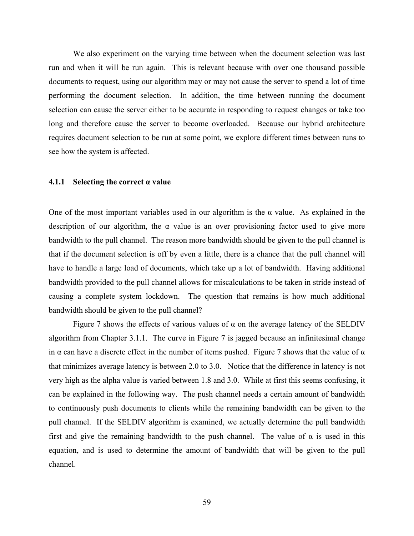We also experiment on the varying time between when the document selection was last run and when it will be run again. This is relevant because with over one thousand possible documents to request, using our algorithm may or may not cause the server to spend a lot of time performing the document selection. In addition, the time between running the document selection can cause the server either to be accurate in responding to request changes or take too long and therefore cause the server to become overloaded. Because our hybrid architecture requires document selection to be run at some point, we explore different times between runs to see how the system is affected.

## **4.1.1 Selecting the correct α value**

One of the most important variables used in our algorithm is the  $\alpha$  value. As explained in the description of our algorithm, the  $\alpha$  value is an over provisioning factor used to give more bandwidth to the pull channel. The reason more bandwidth should be given to the pull channel is that if the document selection is off by even a little, there is a chance that the pull channel will have to handle a large load of documents, which take up a lot of bandwidth. Having additional bandwidth provided to the pull channel allows for miscalculations to be taken in stride instead of causing a complete system lockdown. The question that remains is how much additional bandwidth should be given to the pull channel?

Figure 7 shows the effects of various values of  $\alpha$  on the average latency of the SELDIV algorithm from Chapter [3.1.1](#page-50-0). The curve in Figure 7 is jagged because an infinitesimal change in  $\alpha$  can have a discrete effect in the number of items pushed. Figure 7 shows that the value of  $\alpha$ that minimizes average latency is between 2.0 to 3.0. Notice that the difference in latency is not very high as the alpha value is varied between 1.8 and 3.0. While at first this seems confusing, it can be explained in the following way. The push channel needs a certain amount of bandwidth to continuously push documents to clients while the remaining bandwidth can be given to the pull channel. If the SELDIV algorithm is examined, we actually determine the pull bandwidth first and give the remaining bandwidth to the push channel. The value of  $\alpha$  is used in this equation, and is used to determine the amount of bandwidth that will be given to the pull channel.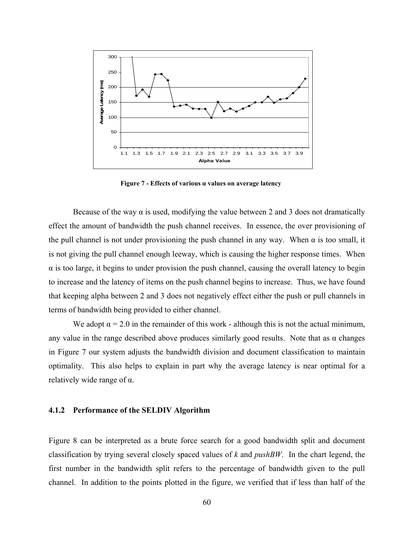

**Figure 7 - Effects of various α values on average latency** 

Because of the way  $\alpha$  is used, modifying the value between 2 and 3 does not dramatically effect the amount of bandwidth the push channel receives. In essence, the over provisioning of the pull channel is not under provisioning the push channel in any way. When  $\alpha$  is too small, it is not giving the pull channel enough leeway, which is causing the higher response times. When  $\alpha$  is too large, it begins to under provision the push channel, causing the overall latency to begin to increase and the latency of items on the push channel begins to increase. Thus, we have found that keeping alpha between 2 and 3 does not negatively effect either the push or pull channels in terms of bandwidth being provided to either channel.

We adopt  $\alpha = 2.0$  in the remainder of this work - although this is not the actual minimum, any value in the range described above produces similarly good results. Note that as  $\alpha$  changes in Figure 7 our system adjusts the bandwidth division and document classification to maintain optimality. This also helps to explain in part why the average latency is near optimal for a relatively wide range of α.

# **4.1.2 Performance of the SELDIV Algorithm**

Figure 8 can be interpreted as a brute force search for a good bandwidth split and document classification by trying several closely spaced values of *k* and *pushBW*. In the chart legend, the first number in the bandwidth split refers to the percentage of bandwidth given to the pull channel. In addition to the points plotted in the figure, we verified that if less than half of the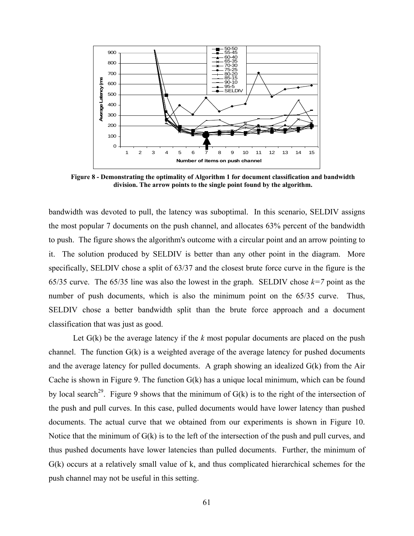

**Figure 8 - Demonstrating the optimality of Algorithm 1 for document classification and bandwidth division. The arrow points to the single point found by the algorithm.** 

bandwidth was devoted to pull, the latency was suboptimal. In this scenario, SELDIV assigns the most popular 7 documents on the push channel, and allocates 63% percent of the bandwidth to push. The figure shows the algorithm's outcome with a circular point and an arrow pointing to it. The solution produced by SELDIV is better than any other point in the diagram. More specifically, SELDIV chose a split of 63/37 and the closest brute force curve in the figure is the 65/35 curve. The 65/35 line was also the lowest in the graph. SELDIV chose  $k=7$  point as the number of push documents, which is also the minimum point on the 65/35 curve. Thus, SELDIV chose a better bandwidth split than the brute force approach and a document classification that was just as good.

Let  $G(k)$  be the average latency if the  $k$  most popular documents are placed on the push channel. The function  $G(k)$  is a weighted average of the average latency for pushed documents and the average latency for pulled documents. A graph showing an idealized G(k) from the Air Cache is shown in Figure 9. The function  $G(k)$  has a unique local minimum, which can be found by local search<sup>29</sup>. Figure 9 shows that the minimum of  $G(k)$  is to the right of the intersection of the push and pull curves. In this case, pulled documents would have lower latency than pushed documents. The actual curve that we obtained from our experiments is shown in Figure 10. Notice that the minimum of  $G(k)$  is to the left of the intersection of the push and pull curves, and thus pushed documents have lower latencies than pulled documents. Further, the minimum of G(k) occurs at a relatively small value of k, and thus complicated hierarchical schemes for the push channel may not be useful in this setting.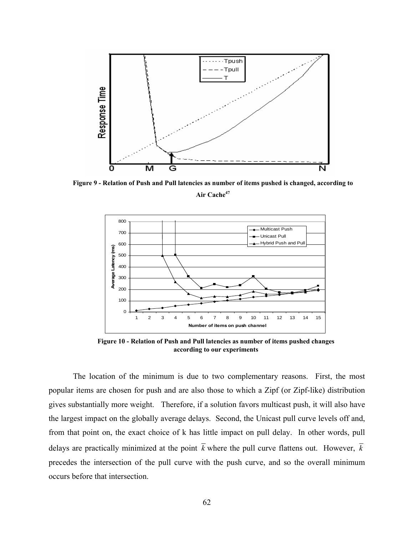

**Figure 9 - Relation of Push and Pull latencies as number of items pushed is changed, according to**  Air Cache<sup>47</sup>



**Figure 10 - Relation of Push and Pull latencies as number of items pushed changes according to our experiments** 

The locatio n of the minimum is due to two complementary reasons. First, the most popular item s are chosen for push and are also those to which a Zipf (or Zipf-like) distribution gives substantially more weight. Therefore, if a solution favors multicast push, it will also have from that point on, the exact choice of k has little impact on pull delay. In other words, pull delays are pr actically minimized at the point *k* where the pull curve flattens out. However, *k* the largest impact on the globally average delays. Second, the Unicast pull curve levels off and, precedes the intersection of the pull curve with the push curve, and so the overall minimum occurs before that intersection.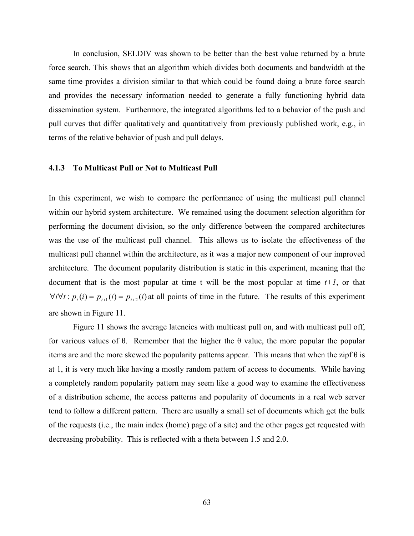In conclusion, SELDIV was shown to be better than the best value returned by a brute force search. This shows that an algorithm which divides both documents and bandwidth at the same time provides a division similar to that which could be found doing a brute force search and provides the necessary information needed to generate a fully functioning hybrid data dissemination system. Furthermore, the integrated algorithms led to a behavior of the push and pull curves that differ qualitatively and quantitatively from previously published work, e.g., in terms of the relative behavior of push and pull delays.

#### **4.1.3 To Multicast Pull or Not to Multicast Pull**

In this experiment, we wish to compare the performance of using the multicast pull channel within our hybrid system architecture. We remained using the document selection algorithm for performing the document division, so the only difference between the compared architectures was the use of the multicast pull channel. This allows us to isolate the effectiveness of the multicast pull channel within the architecture, as it was a major new component of our improved architecture. The document popularity distribution is static in this experiment, meaning that the document that is the most popular at time t will be the most popular at time  $t+1$ , or that  $\forall i \forall t : p_i(i) = p_{i+1}(i) = p_{i+2}(i)$  at all points of time in the future. The results of this experiment are shown in Figure 11.

Figure 11 shows the average latencies with multicast pull on, and with multicast pull off, for various values of θ. Remember that the higher the θ value, the more popular the popular items are and the more skewed the popularity patterns appear. This means that when the zipf  $\theta$  is at 1, it is very much like having a mostly random pattern of access to documents. While having a completely random popularity pattern may seem like a good way to examine the effectiveness of a distribution scheme, the access patterns and popularity of documents in a real web server tend to follow a different pattern. There are usually a small set of documents which get the bulk of the requests (i.e., the main index (home) page of a site) and the other pages get requested with decreasing probability. This is reflected with a theta between 1.5 and 2.0.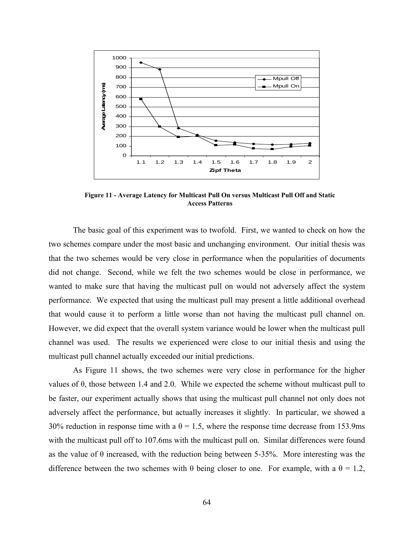

**Figure 11 - Average Latency for Multicast Pull On versus Multicast Pull Off and Static Access Patterns** 

The basic goal of this experiment was to twofold. First, we wanted to check on how the two schemes compare under the most basic and unchanging environment. Our initial thesis was that the two schemes would be very close in performance when the popularities of documents did not change. Second, while we felt the two schemes would be close in performance, we wanted to make sure that having the multicast pull on would not adversely affect the system performance. We expected that using the multicast pull may present a little additional overhead that would cause it to perform a little worse than not having the multicast pull channel on. However, we did expect that the overall system variance would be lower when the multicast pull channel was used. The results we experienced were close to our initial thesis and using the multicast pull channel actually exceeded our initial predictions.

As Figure 11 shows, the two schemes were very close in performance for the higher values of θ, those between 1.4 and 2.0. While we expected the scheme without multicast pull to be faster, our experiment actually shows that using the multicast pull channel not only does not adversely affect the performance, but actually increases it slightly. In particular, we showed a 30% reduction in response time with a  $\theta = 1.5$ , where the response time decrease from 153.9ms with the multicast pull off to 107.6ms with the multicast pull on. Similar differences were found as the value of  $\theta$  increased, with the reduction being between 5-35%. More interesting was the difference between the two schemes with  $\theta$  being closer to one. For example, with a  $\theta = 1.2$ ,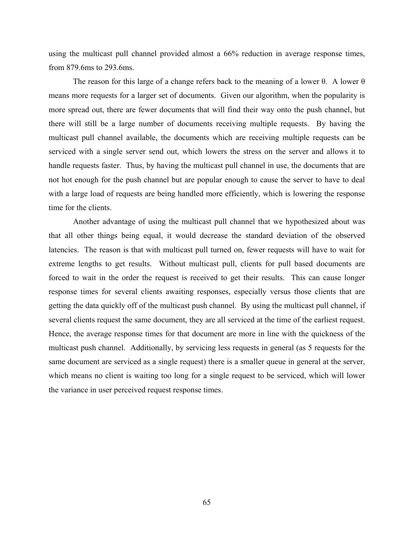using the multicast pull channel provided almost a 66% reduction in average response times, from 879.6ms to 293.6ms.

The reason for this large of a change refers back to the meaning of a lower  $\theta$ . A lower  $\theta$ means more requests for a larger set of documents. Given our algorithm, when the popularity is more spread out, there are fewer documents that will find their way onto the push channel, but there will still be a large number of documents receiving multiple requests. By having the multicast pull channel available, the documents which are receiving multiple requests can be serviced with a single server send out, which lowers the stress on the server and allows it to handle requests faster. Thus, by having the multicast pull channel in use, the documents that are not hot enough for the push channel but are popular enough to cause the server to have to deal with a large load of requests are being handled more efficiently, which is lowering the response time for the clients.

Another advantage of using the multicast pull channel that we hypothesized about was that all other things being equal, it would decrease the standard deviation of the observed latencies. The reason is that with multicast pull turned on, fewer requests will have to wait for extreme lengths to get results. Without multicast pull, clients for pull based documents are forced to wait in the order the request is received to get their results. This can cause longer response times for several clients awaiting responses, especially versus those clients that are getting the data quickly off of the multicast push channel. By using the multicast pull channel, if several clients request the same document, they are all serviced at the time of the earliest request. Hence, the average response times for that document are more in line with the quickness of the multicast push channel. Additionally, by servicing less requests in general (as 5 requests for the same document are serviced as a single request) there is a smaller queue in general at the server, which means no client is waiting too long for a single request to be serviced, which will lower the variance in user perceived request response times.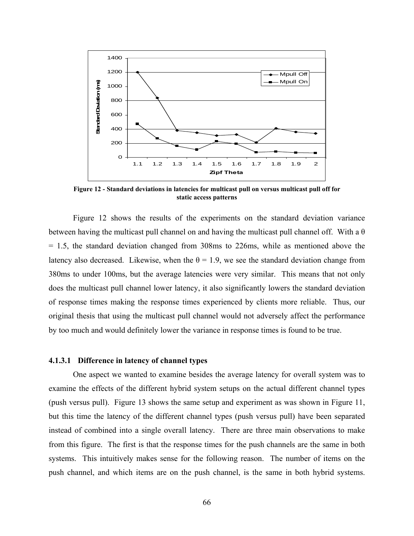

**Figure 12 - Standard deviations in latencies for multicast pull on versus multicast pull off for static access patterns** 

Figure 12 shows the results of the experiments on the standard deviation variance between having the multicast pull channel on and having the multicast pull channel off. With a  $\theta$ = 1.5, the standard deviation changed from 308ms to 226ms, while as mentioned above the latency also decreased. Likewise, when the  $\theta = 1.9$ , we see the standard deviation change from 380ms to under 100ms, but the average latencies were very similar. This means that not only does the multicast pull channel lower latency, it also significantly lowers the standard deviation of response times making the response times experienced by clients more reliable. Thus, our original thesis that using the multicast pull channel would not adversely affect the performance by too much and would definitely lower the variance in response times is found to be true.

#### **4.1.3.1 Difference in latency of channel types**

One aspect we wanted to examine besides the average latency for overall system was to examine the effects of the different hybrid system setups on the actual different channel types (push versus pull). Figure 13 shows the same setup and experiment as was shown in Figure 11, but this time the latency of the different channel types (push versus pull) have been separated instead of combined into a single overall latency. There are three main observations to make from this figure. The first is that the response times for the push channels are the same in both systems. This intuitively makes sense for the following reason. The number of items on the push channel, and which items are on the push channel, is the same in both hybrid systems.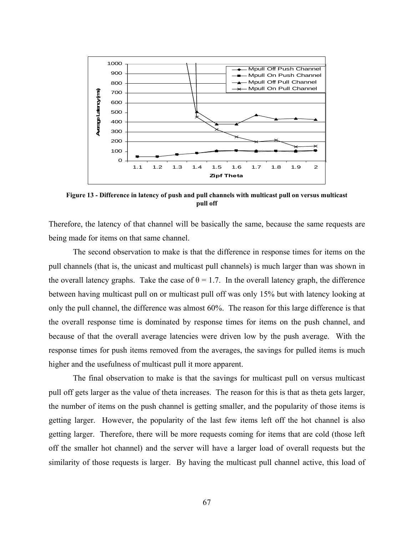

**Figure 13 - Difference in latency of push and pull channels with multicast pull on versus multicast pull off** 

Therefore, the latency of that channel will be basically the same, because the same requests are being made for items on that same channel.

The second observation to make is that the difference in response times for items on the pull channels (that is, the unicast and multicast pull channels) is much larger than was shown in the overall latency graphs. Take the case of  $\theta = 1.7$ . In the overall latency graph, the difference between having multicast pull on or multicast pull off was only 15% but with latency looking at only the pull channel, the difference was almost 60%. The reason for this large difference is that the overall response time is dominated by response times for items on the push channel, and because of that the overall average latencies were driven low by the push average. With the response times for push items removed from the averages, the savings for pulled items is much higher and the usefulness of multicast pull it more apparent.

The final observation to make is that the savings for multicast pull on versus multicast pull off gets larger as the value of theta increases. The reason for this is that as theta gets larger, the number of items on the push channel is getting smaller, and the popularity of those items is getting larger. However, the popularity of the last few items left off the hot channel is also getting larger. Therefore, there will be more requests coming for items that are cold (those left off the smaller hot channel) and the server will have a larger load of overall requests but the similarity of those requests is larger. By having the multicast pull channel active, this load of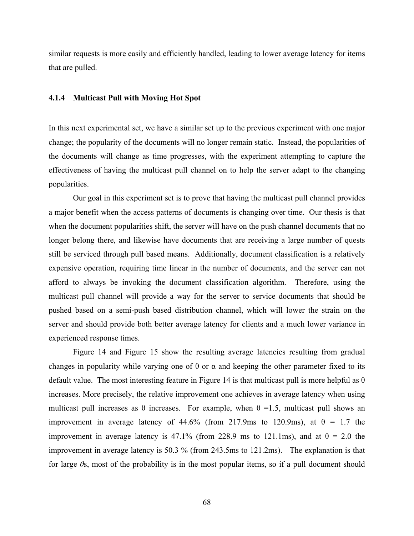similar requests is more easily and efficiently handled, leading to lower average latency for items that are pulled.

#### **4.1.4 Multicast Pull with Moving Hot Spot**

In this next experimental set, we have a similar set up to the previous experiment with one major change; the popularity of the documents will no longer remain static. Instead, the popularities of the documents will change as time progresses, with the experiment attempting to capture the effectiveness of having the multicast pull channel on to help the server adapt to the changing popularities.

Our goal in this experiment set is to prove that having the multicast pull channel provides a major benefit when the access patterns of documents is changing over time. Our thesis is that when the document popularities shift, the server will have on the push channel documents that no longer belong there, and likewise have documents that are receiving a large number of quests still be serviced through pull based means. Additionally, document classification is a relatively expensive operation, requiring time linear in the number of documents, and the server can not afford to always be invoking the document classification algorithm. Therefore, using the multicast pull channel will provide a way for the server to service documents that should be pushed based on a semi-push based distribution channel, which will lower the strain on the server and should provide both better average latency for clients and a much lower variance in experienced response times.

Figure 14 and Figure 15 show the resulting average latencies resulting from gradual changes in popularity while varying one of  $\theta$  or  $\alpha$  and keeping the other parameter fixed to its default value. The most interesting feature in Figure 14 is that multicast pull is more helpful as  $\theta$ increases. More precisely, the relative improvement one achieves in average latency when using multicast pull increases as  $\theta$  increases. For example, when  $\theta = 1.5$ , multicast pull shows an improvement in average latency of 44.6% (from 217.9ms to 120.9ms), at  $\theta = 1.7$  the improvement in average latency is 47.1% (from 228.9 ms to 121.1ms), and at  $\theta = 2.0$  the improvement in average latency is 50.3 % (from 243.5ms to 121.2ms). The explanation is that for large *θ*s, most of the probability is in the most popular items, so if a pull document should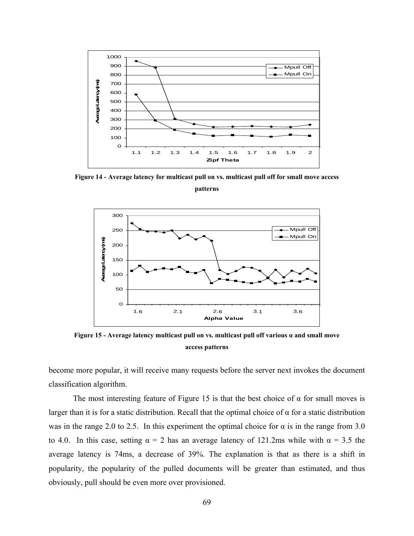

**Figure 14 - Average latency for multicast pull on vs. multicast pull off for small move access** 

**patterns** 



**Figure 15 - Average latency multicast pull on vs. multicast pull off various α and small move access patterns** 

become more popular, it will receive many requests before the server next invokes the document classification algorithm.

The most interesting feature of Figure 15 is that the best choice of  $\alpha$  for small moves is larger than it is for a static distribution. Recall that the optimal choice of  $\alpha$  for a static distribution was in the range 2.0 to 2.5. In this experiment the optimal choice for  $\alpha$  is in the range from 3.0 to 4.0. In this case, setting  $\alpha = 2$  has an average latency of 121.2ms while with  $\alpha = 3.5$  the average latency is 74ms, a decrease of 39%. The explanation is that as there is a shift in popularity, the popularity of the pulled documents will be greater than estimated, and thus obviously, pull should be even more over provisioned.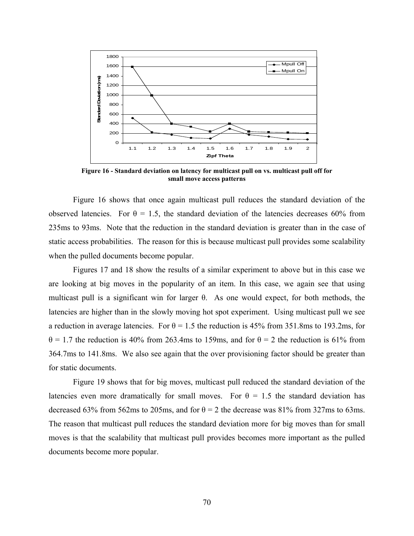

**Figure 16 - Standard deviation on latency for multicast pull on vs. multicast pull off for small move access patterns** 

Figure 16 shows that once again multicast pull reduces the standard deviation of the observed latencies. For  $\theta = 1.5$ , the standard deviation of the latencies decreases 60% from 235ms to 93ms. Note that the reduction in the standard deviation is greater than in the case of static access probabilities. The reason for this is because multicast pull provides some scalability when the pulled documents become popular.

Figures 17 and 18 show the results of a similar experiment to above but in this case we are looking at big moves in the popularity of an item. In this case, we again see that using multicast pull is a significant win for larger  $\theta$ . As one would expect, for both methods, the latencies are higher than in the slowly moving hot spot experiment. Using multicast pull we see a reduction in average latencies. For  $\theta = 1.5$  the reduction is 45% from 351.8ms to 193.2ms, for  $\theta$  = 1.7 the reduction is 40% from 263.4ms to 159ms, and for  $\theta$  = 2 the reduction is 61% from 364.7ms to 141.8ms. We also see again that the over provisioning factor should be greater than for static documents.

Figure 19 shows that for big moves, multicast pull reduced the standard deviation of the latencies even more dramatically for small moves. For  $\theta = 1.5$  the standard deviation has decreased 63% from 562ms to 205ms, and for  $\theta = 2$  the decrease was 81% from 327ms to 63ms. The reason that multicast pull reduces the standard deviation more for big moves than for small moves is that the scalability that multicast pull provides becomes more important as the pulled documents become more popular.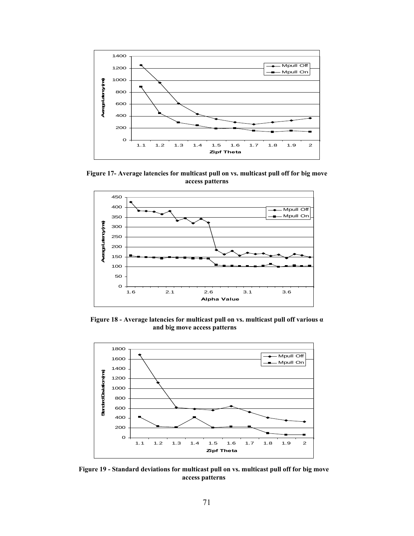

**Figure 17- Average latencies for multicast pull on vs. multicast pull off for big move access patterns** 



**Figure 18 - Average latencies for multicast pull on vs. multicast pull off various α and big move access patterns** 



**Figure 19 - Standard deviations for multicast pull on vs. multicast pull off for big move access patterns**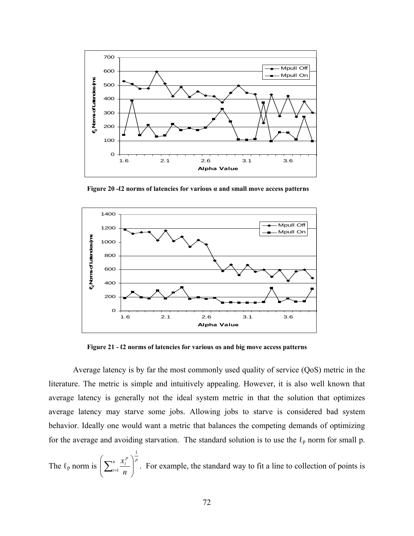

**Figure 20 -ℓ2 norms of latencies for various α and small move access patterns** 



**Figure 21 - ℓ2 norms of latencies for various αs and big move access patterns** 

Average latency is by far the most commonly used quality of service (QoS) metric in the literature. The metric is simple and intuitively appealing. However, it is also well known that average latency is generally not the ideal system metric in that the solution that optimizes average latency may starve some jobs. Allowing jobs to starve is considered bad system behavior. Ideally one would want a metric that balances the competing demands of optimizing for the average and avoiding starvation. The standard solution is to use the  $\ell_p$  norm for small p.

The  $\ell_p$  norm is  $\left(\sum_{i=1}^n \frac{x_i^p}{\ell}\right)^p$ *i p i n x* 1  $\frac{\lambda_i}{\eta}$ ⎠ ⎞  $\begin{bmatrix} \phantom{-} \end{bmatrix}$ ⎝  $\left(\sum_{i=1}^n \frac{x_i^p}{n}\right)^p$ . For example, the standard way to fit a line to collection of points is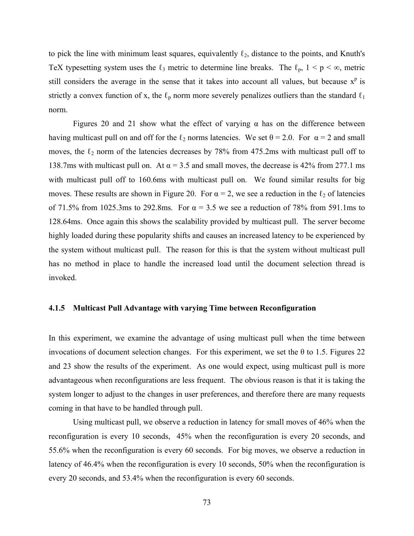to pick the line with minimum least squares, equivalently  $\ell_2$ , distance to the points, and Knuth's TeX typesetting system uses the  $\ell_3$  metric to determine line breaks. The  $\ell_p$ ,  $1 \le p \le \infty$ , metric still considers the average in the sense that it takes into account all values, but because  $x<sup>p</sup>$  is strictly a convex function of x, the  $\ell_p$  norm more severely penalizes outliers than the standard  $\ell_1$ norm.

Figures 20 and 21 show what the effect of varying  $\alpha$  has on the difference between having multicast pull on and off for the  $\ell_2$  norms latencies. We set  $\theta = 2.0$ . For  $\alpha = 2$  and small moves, the  $\ell_2$  norm of the latencies decreases by 78% from 475.2ms with multicast pull off to 138.7ms with multicast pull on. At  $\alpha$  = 3.5 and small moves, the decrease is 42% from 277.1 ms with multicast pull off to 160.6ms with multicast pull on. We found similar results for big moves. These results are shown in Figure 20. For  $\alpha = 2$ , we see a reduction in the  $\ell_2$  of latencies of 71.5% from 1025.3ms to 292.8ms. For  $\alpha = 3.5$  we see a reduction of 78% from 591.1ms to 128.64ms. Once again this shows the scalability provided by multicast pull. The server become highly loaded during these popularity shifts and causes an increased latency to be experienced by the system without multicast pull. The reason for this is that the system without multicast pull has no method in place to handle the increased load until the document selection thread is invoked.

#### **4.1.5 Multicast Pull Advantage with varying Time between Reconfiguration**

In this experiment, we examine the advantage of using multicast pull when the time between invocations of document selection changes. For this experiment, we set the  $\theta$  to 1.5. Figures 22 and 23 show the results of the experiment. As one would expect, using multicast pull is more advantageous when reconfigurations are less frequent. The obvious reason is that it is taking the system longer to adjust to the changes in user preferences, and therefore there are many requests coming in that have to be handled through pull.

Using multicast pull, we observe a reduction in latency for small moves of 46% when the reconfiguration is every 10 seconds, 45% when the reconfiguration is every 20 seconds, and 55.6% when the reconfiguration is every 60 seconds. For big moves, we observe a reduction in latency of 46.4% when the reconfiguration is every 10 seconds, 50% when the reconfiguration is every 20 seconds, and 53.4% when the reconfiguration is every 60 seconds.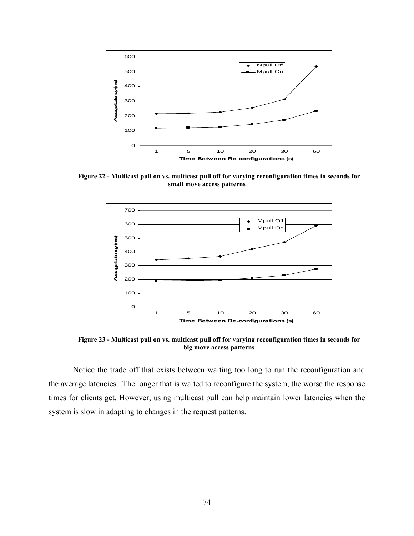

**Figure 22 - Multicast pull on vs. multicast pull off for varying reconfiguration times in seconds for small move access patterns** 



**Figure 23 - Multicast pull on vs. multicast pull off for varying reconfiguration times in seconds for big move access patterns** 

Notice the trade off that exists between waiting too long to run the reconfiguration and the average latencies. The longer that is waited to reconfigure the system, the worse the response times for clients get. However, using multicast pull can help maintain lower latencies when the system is slow in adapting to changes in the request patterns.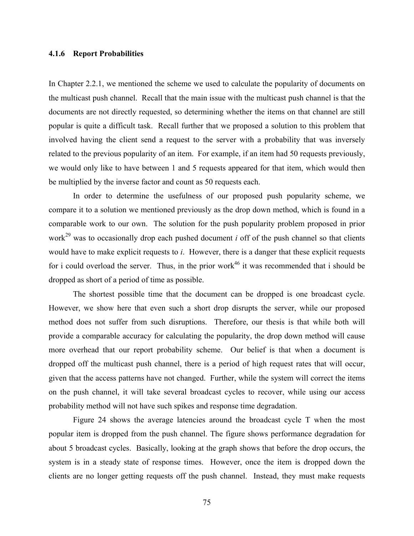#### **4.1.6 Report Probabilities**

In Chapter [2.2.1,](#page-32-0) we mentioned the scheme we used to calculate the popularity of documents on the multicast push channel. Recall that the main issue with the multicast push channel is that the documents are not directly requested, so determining whether the items on that channel are still popular is quite a difficult task. Recall further that we proposed a solution to this problem that involved having the client send a request to the server with a probability that was inversely related to the previous popularity of an item. For example, if an item had 50 requests previously, we would only like to have between 1 and 5 requests appeared for that item, which would then be multiplied by the inverse factor and count as 50 requests each.

In order to determine the usefulness of our proposed push popularity scheme, we compare it to a solution we mentioned previously as the drop down method, which is found in a comparable work to our own. The solution for the push popularity problem proposed in prior work<sup>29</sup> was to occasionally drop each pushed document  $i$  off of the push channel so that clients would have to make explicit requests to *i*. However, there is a danger that these explicit requests for i could overload the server. Thus, in the prior work<sup>46</sup> it was recommended that i should be dropped as short of a period of time as possible.

The shortest possible time that the document can be dropped is one broadcast cycle. However, we show here that even such a short drop disrupts the server, while our proposed method does not suffer from such disruptions. Therefore, our thesis is that while both will provide a comparable accuracy for calculating the popularity, the drop down method will cause more overhead that our report probability scheme. Our belief is that when a document is dropped off the multicast push channel, there is a period of high request rates that will occur, given that the access patterns have not changed. Further, while the system will correct the items on the push channel, it will take several broadcast cycles to recover, while using our access probability method will not have such spikes and response time degradation.

Figure 24 shows the average latencies around the broadcast cycle T when the most popular item is dropped from the push channel. The figure shows performance degradation for about 5 broadcast cycles. Basically, looking at the graph shows that before the drop occurs, the system is in a steady state of response times. However, once the item is dropped down the clients are no longer getting requests off the push channel. Instead, they must make requests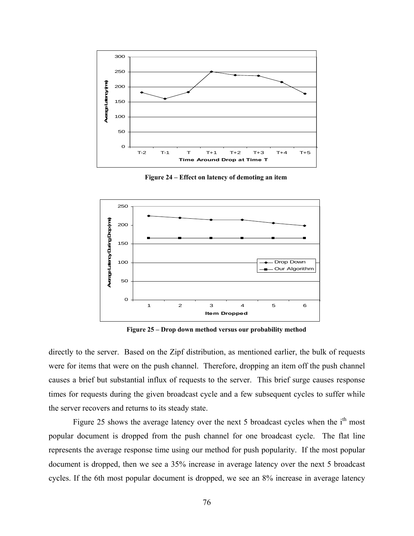

**Figure 24 – Effect on latency of demoting an item** 



**Figure 25 – Drop down method versus our probability method** 

directly to the server. Based on the Zipf distribution, as mentioned earlier, the bulk of requests were for items that were on the push channel. Therefore, dropping an item off the push channel causes a brief but substantial influx of requests to the server. This brief surge causes response times for requests during the given broadcast cycle and a few subsequent cycles to suffer while the server recovers and returns to its steady state.

Figure 25 shows the average latency over the next 5 broadcast cycles when the i<sup>th</sup> most popular document is dropped from the push channel for one broadcast cycle. The flat line represents the average response time using our method for push popularity. If the most popular document is dropped, then we see a 35% increase in average latency over the next 5 broadcast cycles. If the 6th most popular document is dropped, we see an 8% increase in average latency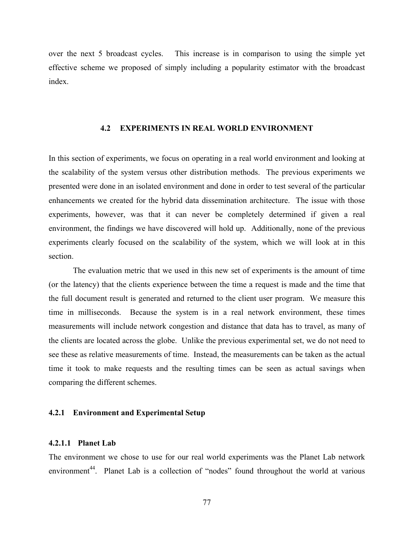over the next 5 broadcast cycles. This increase is in comparison to using the simple yet effective scheme we proposed of simply including a popularity estimator with the broadcast index.

#### **4.2 EXPERIMENTS IN REAL WORLD ENVIRONMENT**

In this section of experiments, we focus on operating in a real world environment and looking at the scalability of the system versus other distribution methods. The previous experiments we presented were done in an isolated environment and done in order to test several of the particular enhancements we created for the hybrid data dissemination architecture. The issue with those experiments, however, was that it can never be completely determined if given a real environment, the findings we have discovered will hold up. Additionally, none of the previous experiments clearly focused on the scalability of the system, which we will look at in this section.

The evaluation metric that we used in this new set of experiments is the amount of time (or the latency) that the clients experience between the time a request is made and the time that the full document result is generated and returned to the client user program. We measure this time in milliseconds. Because the system is in a real network environment, these times measurements will include network congestion and distance that data has to travel, as many of the clients are located across the globe. Unlike the previous experimental set, we do not need to see these as relative measurements of time. Instead, the measurements can be taken as the actual time it took to make requests and the resulting times can be seen as actual savings when comparing the different schemes.

#### **4.2.1 Environment and Experimental Setup**

## **4.2.1.1 Planet Lab**

The environment we chose to use for our real world experiments was the Planet Lab network environment<sup>44</sup>. Planet Lab is a collection of "nodes" found throughout the world at various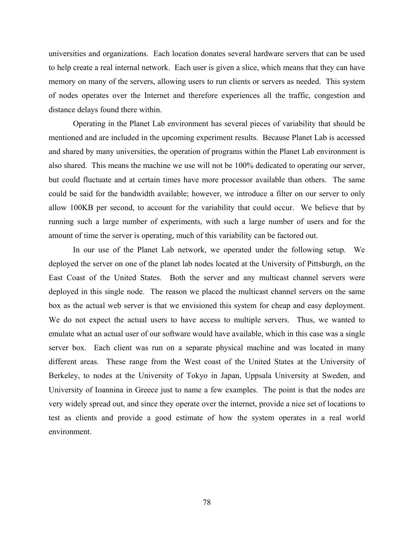universities and organizations. Each location donates several hardware servers that can be used to help create a real internal network. Each user is given a slice, which means that they can have memory on many of the servers, allowing users to run clients or servers as needed. This system of nodes operates over the Internet and therefore experiences all the traffic, congestion and distance delays found there within.

Operating in the Planet Lab environment has several pieces of variability that should be mentioned and are included in the upcoming experiment results. Because Planet Lab is accessed and shared by many universities, the operation of programs within the Planet Lab environment is also shared. This means the machine we use will not be 100% dedicated to operating our server, but could fluctuate and at certain times have more processor available than others. The same could be said for the bandwidth available; however, we introduce a filter on our server to only allow 100KB per second, to account for the variability that could occur. We believe that by running such a large number of experiments, with such a large number of users and for the amount of time the server is operating, much of this variability can be factored out.

 In our use of the Planet Lab network, we operated under the following setup. We deployed the server on one of the planet lab nodes located at the University of Pittsburgh, on the East Coast of the United States. Both the server and any multicast channel servers were deployed in this single node. The reason we placed the multicast channel servers on the same box as the actual web server is that we envisioned this system for cheap and easy deployment. We do not expect the actual users to have access to multiple servers. Thus, we wanted to emulate what an actual user of our software would have available, which in this case was a single server box. Each client was run on a separate physical machine and was located in many different areas. These range from the West coast of the United States at the University of Berkeley, to nodes at the University of Tokyo in Japan, Uppsala University at Sweden, and University of Ioannina in Greece just to name a few examples. The point is that the nodes are very widely spread out, and since they operate over the internet, provide a nice set of locations to test as clients and provide a good estimate of how the system operates in a real world environment.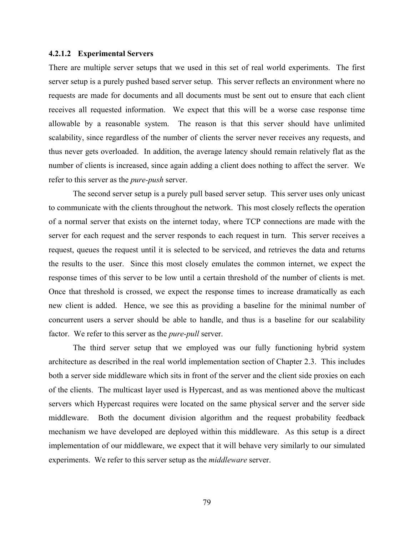#### **4.2.1.2 Experimental Servers**

There are multiple server setups that we used in this set of real world experiments. The first server setup is a purely pushed based server setup. This server reflects an environment where no requests are made for documents and all documents must be sent out to ensure that each client receives all requested information. We expect that this will be a worse case response time allowable by a reasonable system. The reason is that this server should have unlimited scalability, since regardless of the number of clients the server never receives any requests, and thus never gets overloaded. In addition, the average latency should remain relatively flat as the number of clients is increased, since again adding a client does nothing to affect the server. We refer to this server as the *pure-push* server.

The second server setup is a purely pull based server setup. This server uses only unicast to communicate with the clients throughout the network. This most closely reflects the operation of a normal server that exists on the internet today, where TCP connections are made with the server for each request and the server responds to each request in turn. This server receives a request, queues the request until it is selected to be serviced, and retrieves the data and returns the results to the user. Since this most closely emulates the common internet, we expect the response times of this server to be low until a certain threshold of the number of clients is met. Once that threshold is crossed, we expect the response times to increase dramatically as each new client is added. Hence, we see this as providing a baseline for the minimal number of concurrent users a server should be able to handle, and thus is a baseline for our scalability factor. We refer to this server as the *pure-pull* server.

The third server setup that we employed was our fully functioning hybrid system architecture as described in the real world implementation section of Chapter [2.3](#page-40-0). This includes both a server side middleware which sits in front of the server and the client side proxies on each of the clients. The multicast layer used is Hypercast, and as was mentioned above the multicast servers which Hypercast requires were located on the same physical server and the server side middleware. Both the document division algorithm and the request probability feedback mechanism we have developed are deployed within this middleware. As this setup is a direct implementation of our middleware, we expect that it will behave very similarly to our simulated experiments. We refer to this server setup as the *middleware* server.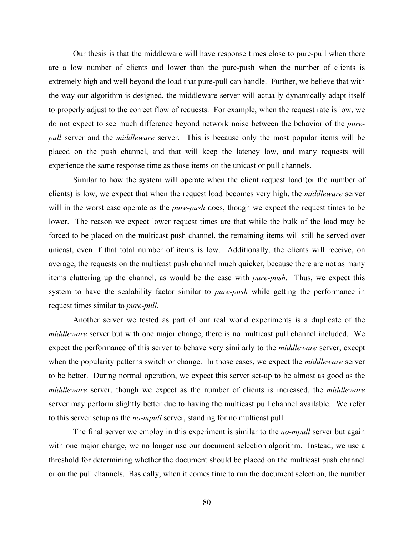Our thesis is that the middleware will have response times close to pure-pull when there are a low number of clients and lower than the pure-push when the number of clients is extremely high and well beyond the load that pure-pull can handle. Further, we believe that with the way our algorithm is designed, the middleware server will actually dynamically adapt itself to properly adjust to the correct flow of requests. For example, when the request rate is low, we do not expect to see much difference beyond network noise between the behavior of the *purepull* server and the *middleware* server. This is because only the most popular items will be placed on the push channel, and that will keep the latency low, and many requests will experience the same response time as those items on the unicast or pull channels.

Similar to how the system will operate when the client request load (or the number of clients) is low, we expect that when the request load becomes very high, the *middleware* server will in the worst case operate as the *pure-push* does, though we expect the request times to be lower. The reason we expect lower request times are that while the bulk of the load may be forced to be placed on the multicast push channel, the remaining items will still be served over unicast, even if that total number of items is low. Additionally, the clients will receive, on average, the requests on the multicast push channel much quicker, because there are not as many items cluttering up the channel, as would be the case with *pure-push*. Thus, we expect this system to have the scalability factor similar to *pure-push* while getting the performance in request times similar to *pure-pull*.

Another server we tested as part of our real world experiments is a duplicate of the *middleware* server but with one major change, there is no multicast pull channel included. We expect the performance of this server to behave very similarly to the *middleware* server, except when the popularity patterns switch or change. In those cases, we expect the *middleware* server to be better. During normal operation, we expect this server set-up to be almost as good as the *middleware* server, though we expect as the number of clients is increased, the *middleware* server may perform slightly better due to having the multicast pull channel available. We refer to this server setup as the *no-mpull* server, standing for no multicast pull.

The final server we employ in this experiment is similar to the *no-mpull* server but again with one major change, we no longer use our document selection algorithm. Instead, we use a threshold for determining whether the document should be placed on the multicast push channel or on the pull channels. Basically, when it comes time to run the document selection, the number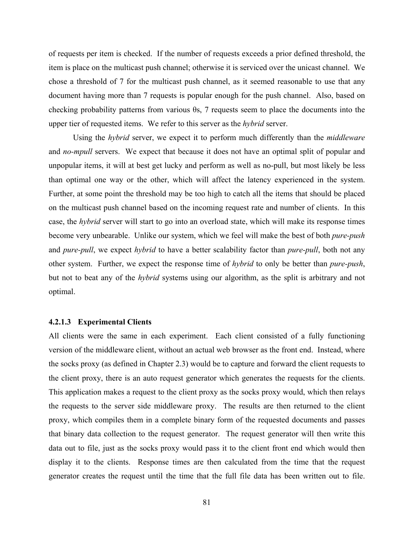of requests per item is checked. If the number of requests exceeds a prior defined threshold, the item is place on the multicast push channel; otherwise it is serviced over the unicast channel. We chose a threshold of 7 for the multicast push channel, as it seemed reasonable to use that any document having more than 7 requests is popular enough for the push channel. Also, based on checking probability patterns from various θs, 7 requests seem to place the documents into the upper tier of requested items. We refer to this server as the *hybrid* server.

Using the *hybrid* server, we expect it to perform much differently than the *middleware* and *no-mpull* servers. We expect that because it does not have an optimal split of popular and unpopular items, it will at best get lucky and perform as well as no-pull, but most likely be less than optimal one way or the other, which will affect the latency experienced in the system. Further, at some point the threshold may be too high to catch all the items that should be placed on the multicast push channel based on the incoming request rate and number of clients. In this case, the *hybrid* server will start to go into an overload state, which will make its response times become very unbearable. Unlike our system, which we feel will make the best of both *pure-push* and *pure-pull*, we expect *hybrid* to have a better scalability factor than *pure-pull*, both not any other system. Further, we expect the response time of *hybrid* to only be better than *pure-push*, but not to beat any of the *hybrid* systems using our algorithm, as the split is arbitrary and not optimal.

### **4.2.1.3 Experimental Clients**

All clients were the same in each experiment. Each client consisted of a fully functioning version of the middleware client, without an actual web browser as the front end. Instead, where the socks proxy (as defined in Chapter [2.3\)](#page-40-0) would be to capture and forward the client requests to the client proxy, there is an auto request generator which generates the requests for the clients. This application makes a request to the client proxy as the socks proxy would, which then relays the requests to the server side middleware proxy. The results are then returned to the client proxy, which compiles them in a complete binary form of the requested documents and passes that binary data collection to the request generator. The request generator will then write this data out to file, just as the socks proxy would pass it to the client front end which would then display it to the clients. Response times are then calculated from the time that the request generator creates the request until the time that the full file data has been written out to file.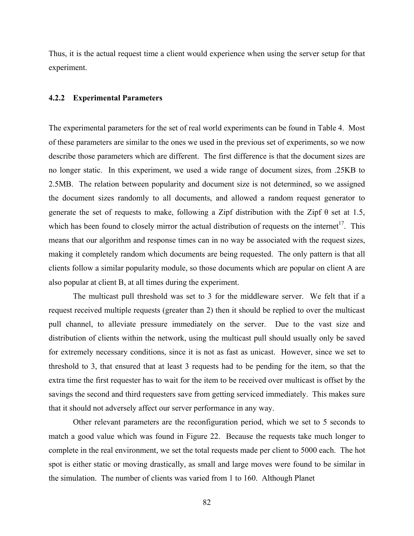Thus, it is the actual request time a client would experience when using the server setup for that experiment.

#### **4.2.2 Experimental Parameters**

The experimental parameters for the set of real world experiments can be found in Table 4. Most of these parameters are similar to the ones we used in the previous set of experiments, so we now describe those parameters which are different. The first difference is that the document sizes are no longer static. In this experiment, we used a wide range of document sizes, from .25KB to 2.5MB. The relation between popularity and document size is not determined, so we assigned the document sizes randomly to all documents, and allowed a random request generator to generate the set of requests to make, following a Zipf distribution with the Zipf  $\theta$  set at 1.5, which has been found to closely mirror the actual distribution of requests on the internet<sup>17</sup>. This means that our algorithm and response times can in no way be associated with the request sizes, making it completely random which documents are being requested. The only pattern is that all clients follow a similar popularity module, so those documents which are popular on client A are also popular at client B, at all times during the experiment.

The multicast pull threshold was set to 3 for the middleware server. We felt that if a request received multiple requests (greater than 2) then it should be replied to over the multicast pull channel, to alleviate pressure immediately on the server. Due to the vast size and distribution of clients within the network, using the multicast pull should usually only be saved for extremely necessary conditions, since it is not as fast as unicast. However, since we set to threshold to 3, that ensured that at least 3 requests had to be pending for the item, so that the extra time the first requester has to wait for the item to be received over multicast is offset by the savings the second and third requesters save from getting serviced immediately. This makes sure that it should not adversely affect our server performance in any way.

Other relevant parameters are the reconfiguration period, which we set to 5 seconds to match a good value which was found in Figure 22. Because the requests take much longer to complete in the real environment, we set the total requests made per client to 5000 each. The hot spot is either static or moving drastically, as small and large moves were found to be similar in the simulation. The number of clients was varied from 1 to 160. Although Planet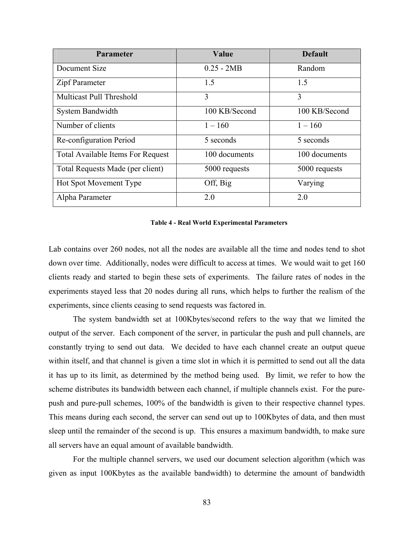| <b>Parameter</b>                         | Value         | <b>Default</b> |
|------------------------------------------|---------------|----------------|
| Document Size                            | $0.25 - 2MB$  | Random         |
| Zipf Parameter                           | 1.5           | 1.5            |
| Multicast Pull Threshold                 | 3             | 3              |
| System Bandwidth                         | 100 KB/Second | 100 KB/Second  |
| Number of clients                        | $1 - 160$     | $1 - 160$      |
| Re-configuration Period                  | 5 seconds     | 5 seconds      |
| <b>Total Available Items For Request</b> | 100 documents | 100 documents  |
| Total Requests Made (per client)         | 5000 requests | 5000 requests  |
| <b>Hot Spot Movement Type</b>            | Off, Big      | Varying        |
| Alpha Parameter                          | 2.0           | 2.0            |

#### **Table 4 - Real World Experimental Parameters**

Lab contains over 260 nodes, not all the nodes are available all the time and nodes tend to shot down over time. Additionally, nodes were difficult to access at times. We would wait to get 160 clients ready and started to begin these sets of experiments. The failure rates of nodes in the experiments stayed less that 20 nodes during all runs, which helps to further the realism of the experiments, since clients ceasing to send requests was factored in.

The system bandwidth set at 100Kbytes/second refers to the way that we limited the output of the server. Each component of the server, in particular the push and pull channels, are constantly trying to send out data. We decided to have each channel create an output queue within itself, and that channel is given a time slot in which it is permitted to send out all the data it has up to its limit, as determined by the method being used. By limit, we refer to how the scheme distributes its bandwidth between each channel, if multiple channels exist. For the purepush and pure-pull schemes, 100% of the bandwidth is given to their respective channel types. This means during each second, the server can send out up to 100Kbytes of data, and then must sleep until the remainder of the second is up. This ensures a maximum bandwidth, to make sure all servers have an equal amount of available bandwidth.

For the multiple channel servers, we used our document selection algorithm (which was given as input 100Kbytes as the available bandwidth) to determine the amount of bandwidth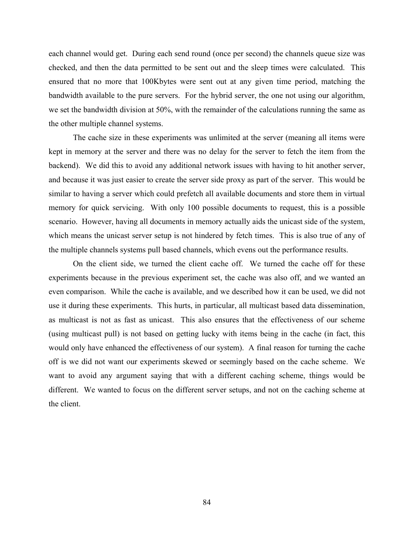each channel would get. During each send round (once per second) the channels queue size was checked, and then the data permitted to be sent out and the sleep times were calculated. This ensured that no more that 100Kbytes were sent out at any given time period, matching the bandwidth available to the pure servers. For the hybrid server, the one not using our algorithm, we set the bandwidth division at 50%, with the remainder of the calculations running the same as the other multiple channel systems.

The cache size in these experiments was unlimited at the server (meaning all items were kept in memory at the server and there was no delay for the server to fetch the item from the backend). We did this to avoid any additional network issues with having to hit another server, and because it was just easier to create the server side proxy as part of the server. This would be similar to having a server which could prefetch all available documents and store them in virtual memory for quick servicing. With only 100 possible documents to request, this is a possible scenario. However, having all documents in memory actually aids the unicast side of the system, which means the unicast server setup is not hindered by fetch times. This is also true of any of the multiple channels systems pull based channels, which evens out the performance results.

On the client side, we turned the client cache off. We turned the cache off for these experiments because in the previous experiment set, the cache was also off, and we wanted an even comparison. While the cache is available, and we described how it can be used, we did not use it during these experiments. This hurts, in particular, all multicast based data dissemination, as multicast is not as fast as unicast. This also ensures that the effectiveness of our scheme (using multicast pull) is not based on getting lucky with items being in the cache (in fact, this would only have enhanced the effectiveness of our system). A final reason for turning the cache off is we did not want our experiments skewed or seemingly based on the cache scheme. We want to avoid any argument saying that with a different caching scheme, things would be different. We wanted to focus on the different server setups, and not on the caching scheme at the client.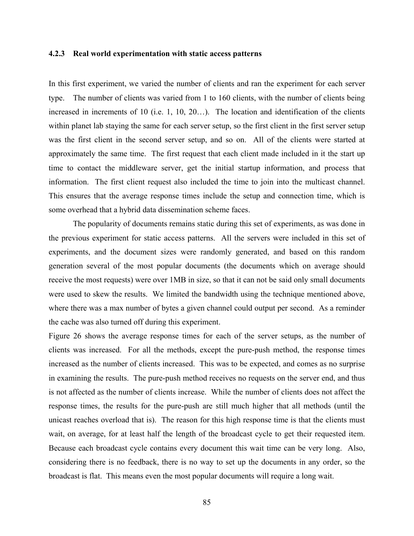#### **4.2.3 Real world experimentation with static access patterns**

In this first experiment, we varied the number of clients and ran the experiment for each server type. The number of clients was varied from 1 to 160 clients, with the number of clients being increased in increments of 10 (i.e. 1, 10, 20…). The location and identification of the clients within planet lab staying the same for each server setup, so the first client in the first server setup was the first client in the second server setup, and so on. All of the clients were started at approximately the same time. The first request that each client made included in it the start up time to contact the middleware server, get the initial startup information, and process that information. The first client request also included the time to join into the multicast channel. This ensures that the average response times include the setup and connection time, which is some overhead that a hybrid data dissemination scheme faces.

The popularity of documents remains static during this set of experiments, as was done in the previous experiment for static access patterns. All the servers were included in this set of experiments, and the document sizes were randomly generated, and based on this random generation several of the most popular documents (the documents which on average should receive the most requests) were over 1MB in size, so that it can not be said only small documents were used to skew the results. We limited the bandwidth using the technique mentioned above, where there was a max number of bytes a given channel could output per second. As a reminder the cache was also turned off during this experiment.

Figure 26 shows the average response times for each of the server setups, as the number of clients was increased. For all the methods, except the pure-push method, the response times increased as the number of clients increased. This was to be expected, and comes as no surprise in examining the results. The pure-push method receives no requests on the server end, and thus is not affected as the number of clients increase. While the number of clients does not affect the response times, the results for the pure-push are still much higher that all methods (until the unicast reaches overload that is). The reason for this high response time is that the clients must wait, on average, for at least half the length of the broadcast cycle to get their requested item. Because each broadcast cycle contains every document this wait time can be very long. Also, considering there is no feedback, there is no way to set up the documents in any order, so the broadcast is flat. This means even the most popular documents will require a long wait.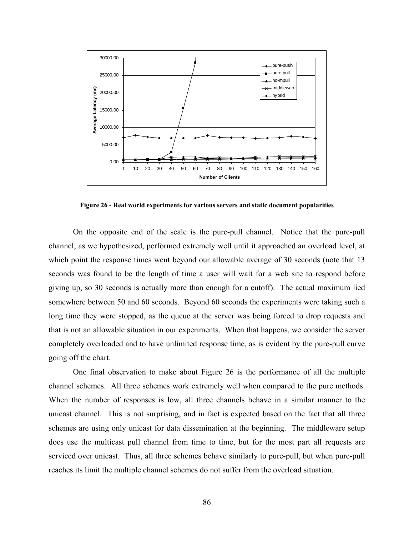

**Figure 26 - Real world experiments for various servers and static document popularities** 

On the opposite end of the scale is the pure-pull channel. Notice that the pure-pull channel, as we hypothesized, performed extremely well until it approached an overload level, at which point the response times went beyond our allowable average of 30 seconds (note that 13 seconds was found to be the length of time a user will wait for a web site to respond before giving up, so 30 seconds is actually more than enough for a cutoff). The actual maximum lied somewhere between 50 and 60 seconds. Beyond 60 seconds the experiments were taking such a long time they were stopped, as the queue at the server was being forced to drop requests and that is not an allowable situation in our experiments. When that happens, we consider the server completely overloaded and to have unlimited response time, as is evident by the pure-pull curve going off the chart.

One final observation to make about Figure 26 is the performance of all the multiple channel schemes. All three schemes work extremely well when compared to the pure methods. When the number of responses is low, all three channels behave in a similar manner to the unicast channel. This is not surprising, and in fact is expected based on the fact that all three schemes are using only unicast for data dissemination at the beginning. The middleware setup does use the multicast pull channel from time to time, but for the most part all requests are serviced over unicast. Thus, all three schemes behave similarly to pure-pull, but when pure-pull reaches its limit the multiple channel schemes do not suffer from the overload situation.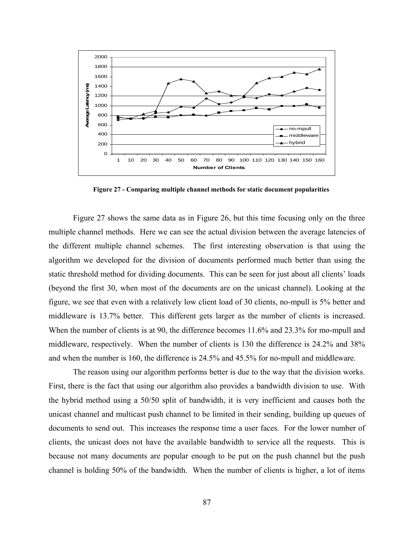

**Figure 27 - Comparing multiple channel methods for static document popularities** 

Figure 27 shows the same data as in Figure 26, but this time focusing only on the three multiple channel methods. Here we can see the actual division between the average latencies of the different multiple channel schemes. The first interesting observation is that using the algorithm we developed for the division of documents performed much better than using the static threshold method for dividing documents. This can be seen for just about all clients' loads (beyond the first 30, when most of the documents are on the unicast channel). Looking at the figure, we see that even with a relatively low client load of 30 clients, no-mpull is 5% better and middleware is 13.7% better. This different gets larger as the number of clients is increased. When the number of clients is at 90, the difference becomes 11.6% and 23.3% for mo-mpull and middleware, respectively. When the number of clients is 130 the difference is 24.2% and 38% and when the number is 160, the difference is 24.5% and 45.5% for no-mpull and middleware.

The reason using our algorithm performs better is due to the way that the division works. First, there is the fact that using our algorithm also provides a bandwidth division to use. With the hybrid method using a 50/50 split of bandwidth, it is very inefficient and causes both the unicast channel and multicast push channel to be limited in their sending, building up queues of documents to send out. This increases the response time a user faces. For the lower number of clients, the unicast does not have the available bandwidth to service all the requests. This is because not many documents are popular enough to be put on the push channel but the push channel is holding 50% of the bandwidth. When the number of clients is higher, a lot of items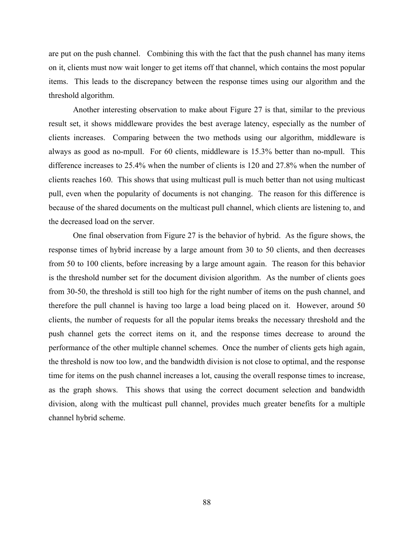are put on the push channel. Combining this with the fact that the push channel has many items on it, clients must now wait longer to get items off that channel, which contains the most popular items. This leads to the discrepancy between the response times using our algorithm and the threshold algorithm.

Another interesting observation to make about Figure 27 is that, similar to the previous result set, it shows middleware provides the best average latency, especially as the number of clients increases. Comparing between the two methods using our algorithm, middleware is always as good as no-mpull. For 60 clients, middleware is 15.3% better than no-mpull. This difference increases to 25.4% when the number of clients is 120 and 27.8% when the number of clients reaches 160. This shows that using multicast pull is much better than not using multicast pull, even when the popularity of documents is not changing. The reason for this difference is because of the shared documents on the multicast pull channel, which clients are listening to, and the decreased load on the server.

One final observation from Figure 27 is the behavior of hybrid. As the figure shows, the response times of hybrid increase by a large amount from 30 to 50 clients, and then decreases from 50 to 100 clients, before increasing by a large amount again. The reason for this behavior is the threshold number set for the document division algorithm. As the number of clients goes from 30-50, the threshold is still too high for the right number of items on the push channel, and therefore the pull channel is having too large a load being placed on it. However, around 50 clients, the number of requests for all the popular items breaks the necessary threshold and the push channel gets the correct items on it, and the response times decrease to around the performance of the other multiple channel schemes. Once the number of clients gets high again, the threshold is now too low, and the bandwidth division is not close to optimal, and the response time for items on the push channel increases a lot, causing the overall response times to increase, as the graph shows. This shows that using the correct document selection and bandwidth division, along with the multicast pull channel, provides much greater benefits for a multiple channel hybrid scheme.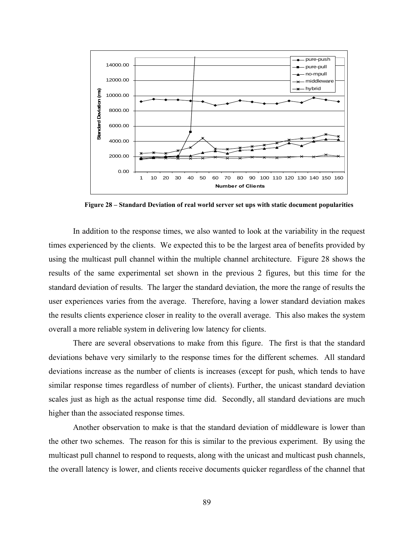

**Figure 28 – Standard Deviation of real world server set ups with static document popularities** 

In addition to the response times, we also wanted to look at the variability in the request times experienced by the clients. We expected this to be the largest area of benefits provided by using the multicast pull channel within the multiple channel architecture. Figure 28 shows the results of the same experimental set shown in the previous 2 figures, but this time for the standard deviation of results. The larger the standard deviation, the more the range of results the user experiences varies from the average. Therefore, having a lower standard deviation makes the results clients experience closer in reality to the overall average. This also makes the system overall a more reliable system in delivering low latency for clients.

There are several observations to make from this figure. The first is that the standard deviations behave very similarly to the response times for the different schemes. All standard deviations increase as the number of clients is increases (except for push, which tends to have similar response times regardless of number of clients). Further, the unicast standard deviation scales just as high as the actual response time did. Secondly, all standard deviations are much higher than the associated response times.

Another observation to make is that the standard deviation of middleware is lower than the other two schemes. The reason for this is similar to the previous experiment. By using the multicast pull channel to respond to requests, along with the unicast and multicast push channels, the overall latency is lower, and clients receive documents quicker regardless of the channel that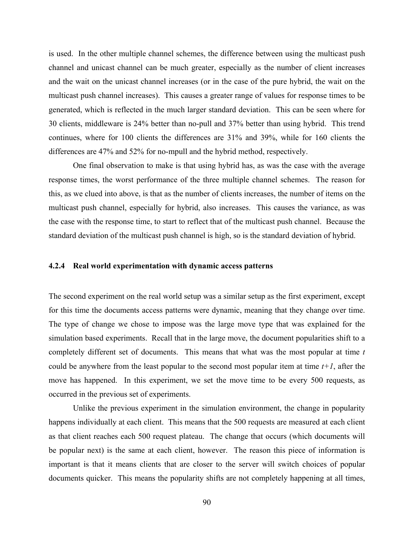is used. In the other multiple channel schemes, the difference between using the multicast push channel and unicast channel can be much greater, especially as the number of client increases and the wait on the unicast channel increases (or in the case of the pure hybrid, the wait on the multicast push channel increases). This causes a greater range of values for response times to be generated, which is reflected in the much larger standard deviation. This can be seen where for 30 clients, middleware is 24% better than no-pull and 37% better than using hybrid. This trend continues, where for 100 clients the differences are 31% and 39%, while for 160 clients the differences are 47% and 52% for no-mpull and the hybrid method, respectively.

One final observation to make is that using hybrid has, as was the case with the average response times, the worst performance of the three multiple channel schemes. The reason for this, as we clued into above, is that as the number of clients increases, the number of items on the multicast push channel, especially for hybrid, also increases. This causes the variance, as was the case with the response time, to start to reflect that of the multicast push channel. Because the standard deviation of the multicast push channel is high, so is the standard deviation of hybrid.

## **4.2.4 Real world experimentation with dynamic access patterns**

The second experiment on the real world setup was a similar setup as the first experiment, except for this time the documents access patterns were dynamic, meaning that they change over time. The type of change we chose to impose was the large move type that was explained for the simulation based experiments. Recall that in the large move, the document popularities shift to a completely different set of documents. This means that what was the most popular at time *t* could be anywhere from the least popular to the second most popular item at time  $t+1$ , after the move has happened. In this experiment, we set the move time to be every 500 requests, as occurred in the previous set of experiments.

Unlike the previous experiment in the simulation environment, the change in popularity happens individually at each client. This means that the 500 requests are measured at each client as that client reaches each 500 request plateau. The change that occurs (which documents will be popular next) is the same at each client, however. The reason this piece of information is important is that it means clients that are closer to the server will switch choices of popular documents quicker. This means the popularity shifts are not completely happening at all times,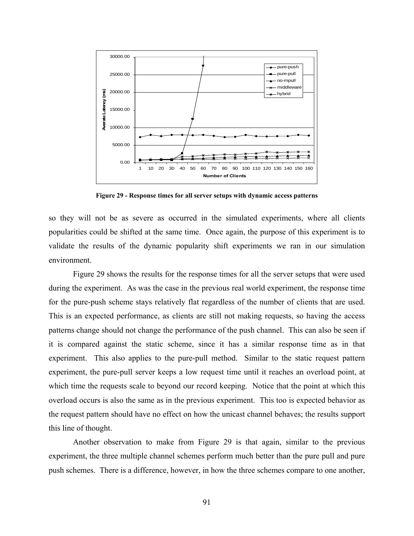

**Figure 29 - Response times for all server setups with dynamic access patterns** 

so they will not be as severe as occurred in the simulated experiments, where all clients popularities could be shifted at the same time. Once again, the purpose of this experiment is to validate the results of the dynamic popularity shift experiments we ran in our simulation environment.

Figure 29 shows the results for the response times for all the server setups that were used during the experiment. As was the case in the previous real world experiment, the response time for the pure-push scheme stays relatively flat regardless of the number of clients that are used. This is an expected performance, as clients are still not making requests, so having the access patterns change should not change the performance of the push channel. This can also be seen if it is compared against the static scheme, since it has a similar response time as in that experiment. This also applies to the pure-pull method. Similar to the static request pattern experiment, the pure-pull server keeps a low request time until it reaches an overload point, at which time the requests scale to beyond our record keeping. Notice that the point at which this overload occurs is also the same as in the previous experiment. This too is expected behavior as the request pattern should have no effect on how the unicast channel behaves; the results support this line of thought.

Another observation to make from Figure 29 is that again, similar to the previous experiment, the three multiple channel schemes perform much better than the pure pull and pure push schemes. There is a difference, however, in how the three schemes compare to one another,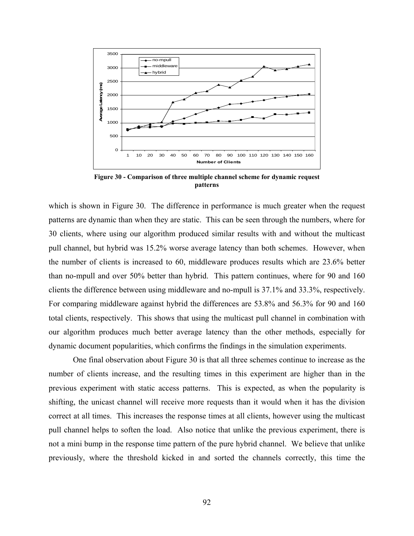

**Figure 30 - Comparison of three multiple channel scheme for dynamic request patterns** 

which is shown in Figure 30. The difference in performance is much greater when the request patterns are dynamic than when they are static. This can be seen through the numbers, where for 30 clients, where using our algorithm produced similar results with and without the multicast pull channel, but hybrid was 15.2% worse average latency than both schemes. However, when the number of clients is increased to 60, middleware produces results which are 23.6% better than no-mpull and over 50% better than hybrid. This pattern continues, where for 90 and 160 clients the difference between using middleware and no-mpull is 37.1% and 33.3%, respectively. For comparing middleware against hybrid the differences are 53.8% and 56.3% for 90 and 160 total clients, respectively. This shows that using the multicast pull channel in combination with our algorithm produces much better average latency than the other methods, especially for dynamic document popularities, which confirms the findings in the simulation experiments.

One final observation about Figure 30 is that all three schemes continue to increase as the number of clients increase, and the resulting times in this experiment are higher than in the previous experiment with static access patterns. This is expected, as when the popularity is shifting, the unicast channel will receive more requests than it would when it has the division correct at all times. This increases the response times at all clients, however using the multicast pull channel helps to soften the load. Also notice that unlike the previous experiment, there is not a mini bump in the response time pattern of the pure hybrid channel. We believe that unlike previously, where the threshold kicked in and sorted the channels correctly, this time the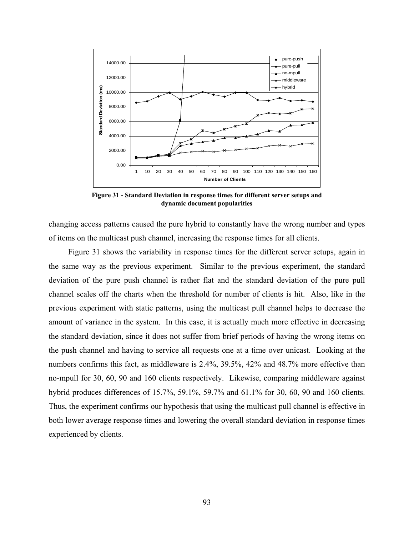

**Figure 31 - Standard Deviation in response times for different server setups and dynamic document popularities** 

changing access patterns caused the pure hybrid to constantly have the wrong number and types of items on the multicast push channel, increasing the response times for all clients.

Figure 31 shows the variability in response times for the different server setups, again in the same way as the previous experiment. Similar to the previous experiment, the standard deviation of the pure push channel is rather flat and the standard deviation of the pure pull channel scales off the charts when the threshold for number of clients is hit. Also, like in the previous experiment with static patterns, using the multicast pull channel helps to decrease the amount of variance in the system. In this case, it is actually much more effective in decreasing the standard deviation, since it does not suffer from brief periods of having the wrong items on the push channel and having to service all requests one at a time over unicast. Looking at the numbers confirms this fact, as middleware is 2.4%, 39.5%, 42% and 48.7% more effective than no-mpull for 30, 60, 90 and 160 clients respectively. Likewise, comparing middleware against hybrid produces differences of 15.7%, 59.1%, 59.7% and 61.1% for 30, 60, 90 and 160 clients. Thus, the experiment confirms our hypothesis that using the multicast pull channel is effective in both lower average response times and lowering the overall standard deviation in response times experienced by clients.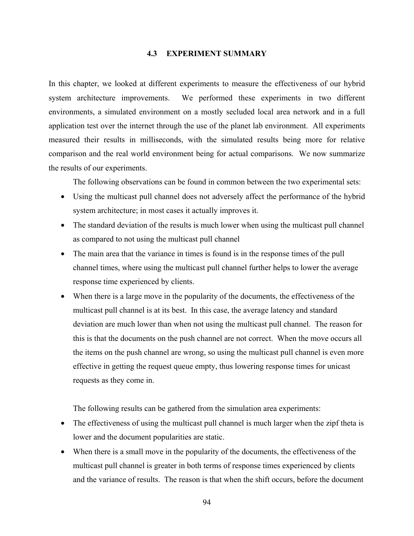# **4.3 EXPERIMENT SUMMARY**

In this chapter, we looked at different experiments to measure the effectiveness of our hybrid system architecture improvements. We performed these experiments in two different environments, a simulated environment on a mostly secluded local area network and in a full application test over the internet through the use of the planet lab environment. All experiments measured their results in milliseconds, with the simulated results being more for relative comparison and the real world environment being for actual comparisons. We now summarize the results of our experiments.

The following observations can be found in common between the two experimental sets:

- Using the multicast pull channel does not adversely affect the performance of the hybrid system architecture; in most cases it actually improves it.
- The standard deviation of the results is much lower when using the multicast pull channel as compared to not using the multicast pull channel
- The main area that the variance in times is found is in the response times of the pull channel times, where using the multicast pull channel further helps to lower the average response time experienced by clients.
- When there is a large move in the popularity of the documents, the effectiveness of the multicast pull channel is at its best. In this case, the average latency and standard deviation are much lower than when not using the multicast pull channel. The reason for this is that the documents on the push channel are not correct. When the move occurs all the items on the push channel are wrong, so using the multicast pull channel is even more effective in getting the request queue empty, thus lowering response times for unicast requests as they come in.

The following results can be gathered from the simulation area experiments:

- The effectiveness of using the multicast pull channel is much larger when the zipf theta is lower and the document popularities are static.
- When there is a small move in the popularity of the documents, the effectiveness of the multicast pull channel is greater in both terms of response times experienced by clients and the variance of results. The reason is that when the shift occurs, before the document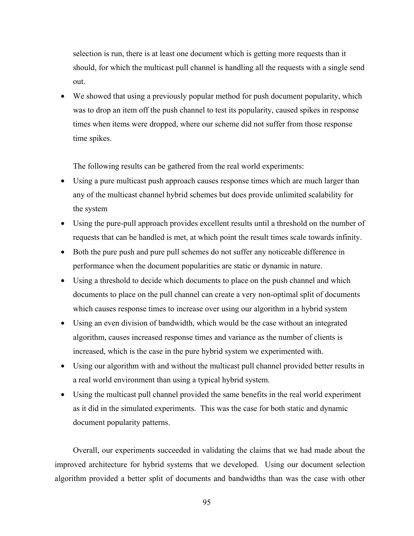selection is run, there is at least one document which is getting more requests than it should, for which the multicast pull channel is handling all the requests with a single send out.

• We showed that using a previously popular method for push document popularity, which was to drop an item off the push channel to test its popularity, caused spikes in response times when items were dropped, where our scheme did not suffer from those response time spikes.

The following results can be gathered from the real world experiments:

- Using a pure multicast push approach causes response times which are much larger than any of the multicast channel hybrid schemes but does provide unlimited scalability for the system
- Using the pure-pull approach provides excellent results until a threshold on the number of requests that can be handled is met, at which point the result times scale towards infinity.
- Both the pure push and pure pull schemes do not suffer any noticeable difference in performance when the document popularities are static or dynamic in nature.
- Using a threshold to decide which documents to place on the push channel and which documents to place on the pull channel can create a very non-optimal split of documents which causes response times to increase over using our algorithm in a hybrid system
- Using an even division of bandwidth, which would be the case without an integrated algorithm, causes increased response times and variance as the number of clients is increased, which is the case in the pure hybrid system we experimented with.
- Using our algorithm with and without the multicast pull channel provided better results in a real world environment than using a typical hybrid system.
- Using the multicast pull channel provided the same benefits in the real world experiment as it did in the simulated experiments. This was the case for both static and dynamic document popularity patterns.

Overall, our experiments succeeded in validating the claims that we had made about the improved architecture for hybrid systems that we developed. Using our document selection algorithm provided a better split of documents and bandwidths than was the case with other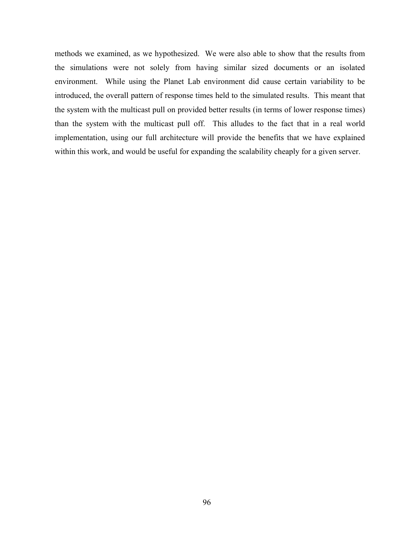methods we examined, as we hypothesized. We were also able to show that the results from the simulations were not solely from having similar sized documents or an isolated environment. While using the Planet Lab environment did cause certain variability to be introduced, the overall pattern of response times held to the simulated results. This meant that the system with the multicast pull on provided better results (in terms of lower response times) than the system with the multicast pull off. This alludes to the fact that in a real world implementation, using our full architecture will provide the benefits that we have explained within this work, and would be useful for expanding the scalability cheaply for a given server.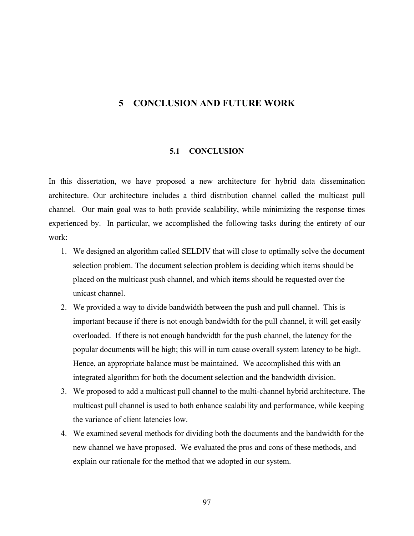# **5 CONCLUSION AND FUTURE WORK**

#### **5.1 CONCLUSION**

In this dissertation, we have proposed a new architecture for hybrid data dissemination architecture. Our architecture includes a third distribution channel called the multicast pull channel. Our main goal was to both provide scalability, while minimizing the response times experienced by. In particular, we accomplished the following tasks during the entirety of our work:

- 1. We designed an algorithm called SELDIV that will close to optimally solve the document selection problem. The document selection problem is deciding which items should be placed on the multicast push channel, and which items should be requested over the unicast channel.
- 2. We provided a way to divide bandwidth between the push and pull channel. This is important because if there is not enough bandwidth for the pull channel, it will get easily overloaded. If there is not enough bandwidth for the push channel, the latency for the popular documents will be high; this will in turn cause overall system latency to be high. Hence, an appropriate balance must be maintained. We accomplished this with an integrated algorithm for both the document selection and the bandwidth division.
- 3. We proposed to add a multicast pull channel to the multi-channel hybrid architecture. The multicast pull channel is used to both enhance scalability and performance, while keeping the variance of client latencies low.
- 4. We examined several methods for dividing both the documents and the bandwidth for the new channel we have proposed. We evaluated the pros and cons of these methods, and explain our rationale for the method that we adopted in our system.

97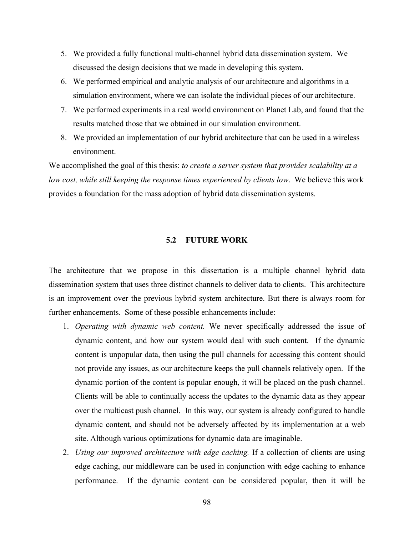- 5. We provided a fully functional multi-channel hybrid data dissemination system. We discussed the design decisions that we made in developing this system.
- 6. We performed empirical and analytic analysis of our architecture and algorithms in a simulation environment, where we can isolate the individual pieces of our architecture.
- 7. We performed experiments in a real world environment on Planet Lab, and found that the results matched those that we obtained in our simulation environment.
- 8. We provided an implementation of our hybrid architecture that can be used in a wireless environment.

We accomplished the goal of this thesis: *to create a server system that provides scalability at a low cost, while still keeping the response times experienced by clients low*. We believe this work provides a foundation for the mass adoption of hybrid data dissemination systems.

## **5.2 FUTURE WORK**

The architecture that we propose in this dissertation is a multiple channel hybrid data dissemination system that uses three distinct channels to deliver data to clients. This architecture is an improvement over the previous hybrid system architecture. But there is always room for further enhancements. Some of these possible enhancements include:

- 1. *Operating with dynamic web content.* We never specifically addressed the issue of dynamic content, and how our system would deal with such content. If the dynamic content is unpopular data, then using the pull channels for accessing this content should not provide any issues, as our architecture keeps the pull channels relatively open. If the dynamic portion of the content is popular enough, it will be placed on the push channel. Clients will be able to continually access the updates to the dynamic data as they appear over the multicast push channel. In this way, our system is already configured to handle dynamic content, and should not be adversely affected by its implementation at a web site. Although various optimizations for dynamic data are imaginable.
- 2. *Using our improved architecture with edge caching.* If a collection of clients are using edge caching, our middleware can be used in conjunction with edge caching to enhance performance. If the dynamic content can be considered popular, then it will be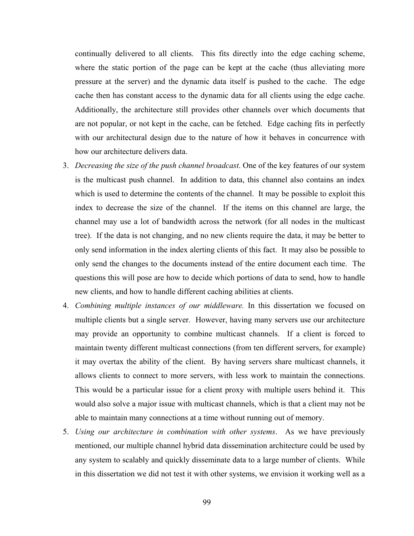continually delivered to all clients. This fits directly into the edge caching scheme, where the static portion of the page can be kept at the cache (thus alleviating more pressure at the server) and the dynamic data itself is pushed to the cache. The edge cache then has constant access to the dynamic data for all clients using the edge cache. Additionally, the architecture still provides other channels over which documents that are not popular, or not kept in the cache, can be fetched. Edge caching fits in perfectly with our architectural design due to the nature of how it behaves in concurrence with how our architecture delivers data.

- 3. *Decreasing the size of the push channel broadcast*. One of the key features of our system is the multicast push channel. In addition to data, this channel also contains an index which is used to determine the contents of the channel. It may be possible to exploit this index to decrease the size of the channel. If the items on this channel are large, the channel may use a lot of bandwidth across the network (for all nodes in the multicast tree). If the data is not changing, and no new clients require the data, it may be better to only send information in the index alerting clients of this fact. It may also be possible to only send the changes to the documents instead of the entire document each time. The questions this will pose are how to decide which portions of data to send, how to handle new clients, and how to handle different caching abilities at clients.
- 4. *Combining multiple instances of our middleware.* In this dissertation we focused on multiple clients but a single server. However, having many servers use our architecture may provide an opportunity to combine multicast channels. If a client is forced to maintain twenty different multicast connections (from ten different servers, for example) it may overtax the ability of the client. By having servers share multicast channels, it allows clients to connect to more servers, with less work to maintain the connections. This would be a particular issue for a client proxy with multiple users behind it. This would also solve a major issue with multicast channels, which is that a client may not be able to maintain many connections at a time without running out of memory.
- 5. *Using our architecture in combination with other systems*. As we have previously mentioned, our multiple channel hybrid data dissemination architecture could be used by any system to scalably and quickly disseminate data to a large number of clients. While in this dissertation we did not test it with other systems, we envision it working well as a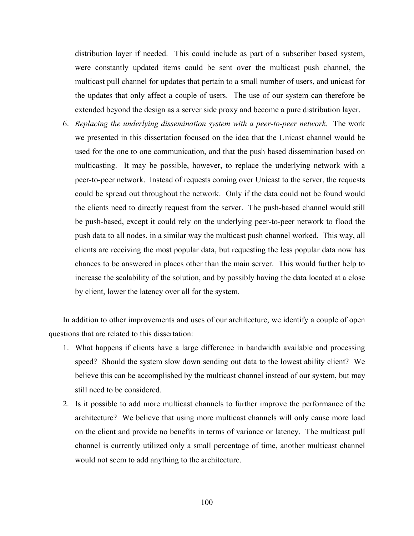distribution layer if needed. This could include as part of a subscriber based system, were constantly updated items could be sent over the multicast push channel, the multicast pull channel for updates that pertain to a small number of users, and unicast for the updates that only affect a couple of users. The use of our system can therefore be extended beyond the design as a server side proxy and become a pure distribution layer.

6. *Replacing the underlying dissemination system with a peer*-*to-peer network.* The work we presented in this dissertation focused on the idea that the Unicast channel would be used for the one to one communication, and that the push based dissemination based on multicasting. It may be possible, however, to replace the underlying network with a peer-to-peer network. Instead of requests coming over Unicast to the server, the requests could be spread out throughout the network. Only if the data could not be found would the clients need to directly request from the server. The push-based channel would still be push-based, except it could rely on the underlying peer-to-peer network to flood the push data to all nodes, in a similar way the multicast push channel worked. This way, all clients are receiving the most popular data, but requesting the less popular data now has chances to be answered in places other than the main server. This would further help to increase the scalability of the solution, and by possibly having the data located at a close by client, lower the latency over all for the system.

In addition to other improvements and uses of our architecture, we identify a couple of open questions that are related to this dissertation:

- 1. What happens if clients have a large difference in bandwidth available and processing speed? Should the system slow down sending out data to the lowest ability client? We believe this can be accomplished by the multicast channel instead of our system, but may still need to be considered.
- 2. Is it possible to add more multicast channels to further improve the performance of the architecture? We believe that using more multicast channels will only cause more load on the client and provide no benefits in terms of variance or latency. The multicast pull channel is currently utilized only a small percentage of time, another multicast channel would not seem to add anything to the architecture.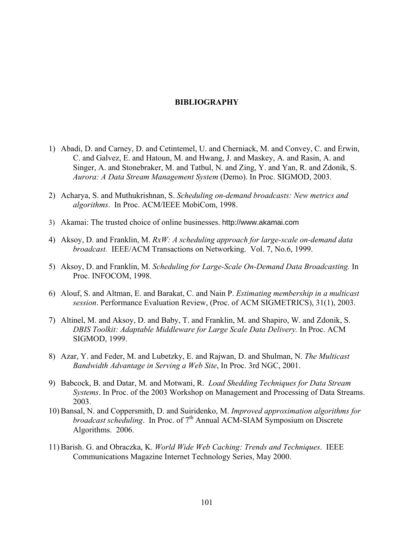## **BIBLIOGRAPHY**

- 1) Abadi, D. and Carney, D. and Cetintemel, U. and Cherniack, M. and Convey, C. and Erwin, C. and Galvez, E. and Hatoun, M. and Hwang, J. and Maskey, A. and Rasin, A. and Singer, A. and Stonebraker, M. and Tatbul, N. and Zing, Y. and Yan, R. and Zdonik, S. *Aurora: A Data Stream Management System* (Demo). In Proc. SIGMOD, 2003.
- 2) Acharya, S. and Muthukrishnan, S. *Scheduling on-demand broadcasts: New metrics and algorithms*. In Proc. ACM/IEEE MobiCom, 1998.
- 3) Akamai: The trusted choice of online businesses. http://www.akamai.com
- 4) Aksoy, D. and Franklin, M. *RxW: A scheduling approach for large-scale on-demand data broadcast.* IEEE/ACM Transactions on Networking. Vol. 7, No.6, 1999.
- 5) Aksoy, D. and Franklin, M. *Scheduling for Large-Scale On-Demand Data Broadcasting.* In Proc. INFOCOM, 1998.
- 6) Alouf, S. and Altman, E. and Barakat, C. and Nain P. *Estimating membership in a multicast session*. Performance Evaluation Review, (Proc. of ACM SIGMETRICS), 31(1), 2003.
- 7) Altinel, M. and Aksoy, D. and Baby, T. and Franklin, M. and Shapiro, W. and Zdonik, S. *DBIS Toolkit: Adaptable Middleware for Large Scale Data Delivery.* In Proc. ACM SIGMOD, 1999.
- 8) Azar, Y. and Feder, M. and Lubetzky, E. and Rajwan, D. and Shulman, N. *The Multicast Bandwidth Advantage in Serving a Web Site*, In Proc. 3rd NGC, 2001.
- 9) Babcock, B. and Datar, M. and Motwani, R. *Load Shedding Techniques for Data Stream Systems*. In Proc. of the 2003 Workshop on Management and Processing of Data Streams. 2003.
- 10) Bansal, N. and Coppersmith, D. and Suiridenko, M. *Improved approximation algorithms for broadcast scheduling*. In Proc. of 7<sup>th</sup> Annual ACM-SIAM Symposium on Discrete Algorithms. 2006.
- 11) Barish. G. and Obraczka, K. *World Wide Web Caching: Trends and Techniques*. IEEE Communications Magazine Internet Technology Series, May 2000.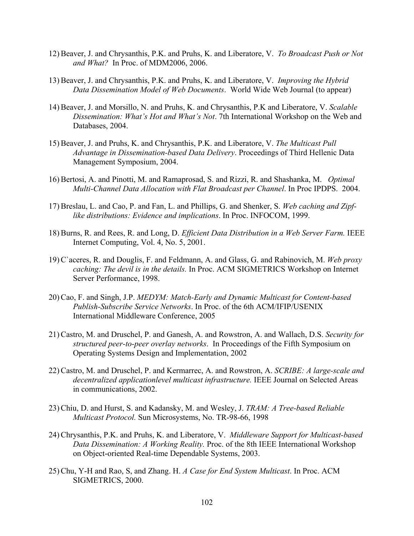- 12) Beaver, J. and Chrysanthis, P.K. and Pruhs, K. and Liberatore, V. *To Broadcast Push or Not and What?* In Proc. of MDM2006, 2006.
- 13) Beaver, J. and Chrysanthis, P.K. and Pruhs, K. and Liberatore, V. *Improving the Hybrid Data Dissemination Model of Web Documents*. World Wide Web Journal (to appear)
- 14) Beaver, J. and Morsillo, N. and Pruhs, K. and Chrysanthis, P.K and Liberatore, V. *Scalable Dissemination: What's Hot and What's Not*. 7th International Workshop on the Web and Databases, 2004.
- 15) Beaver, J. and Pruhs, K. and Chrysanthis, P.K. and Liberatore, V. *The Multicast Pull Advantage in Dissemination-based Data Delivery*. Proceedings of Third Hellenic Data Management Symposium, 2004.
- 16) Bertosi, A. and Pinotti, M. and Ramaprosad, S. and Rizzi, R. and Shashanka, M. *Optimal Multi-Channel Data Allocation with Flat Broadcast per Channel*. In Proc IPDPS. 2004.
- 17) Breslau, L. and Cao, P. and Fan, L. and Phillips, G. and Shenker, S. *Web caching and Zipflike distributions: Evidence and implications*. In Proc. INFOCOM, 1999.
- 18) Burns, R. and Rees, R. and Long, D. *Efficient Data Distribution in a Web Server Farm.* IEEE Internet Computing, Vol. 4, No. 5, 2001.
- 19) C`aceres, R. and Douglis, F. and Feldmann, A. and Glass, G. and Rabinovich, M. *Web proxy caching: The devil is in the details.* In Proc. ACM SIGMETRICS Workshop on Internet Server Performance, 1998.
- 20) Cao, F. and Singh, J.P. *MEDYM: Match-Early and Dynamic Multicast for Content-based Publish-Subscribe Service Networks*. In Proc. of the 6th ACM/IFIP/USENIX International Middleware Conference, 2005
- 21) Castro, M. and Druschel, P. and Ganesh, A. and Rowstron, A. and Wallach, D.S. *Security for structured peer-to-peer overlay networks*. In Proceedings of the Fifth Symposium on Operating Systems Design and Implementation, 2002
- 22) Castro, M. and Druschel, P. and Kermarrec, A. and Rowstron, A. *SCRIBE: A large-scale and decentralized applicationlevel multicast infrastructure.* IEEE Journal on Selected Areas in communications, 2002.
- 23) Chiu, D. and Hurst, S. and Kadansky, M. and Wesley, J. *TRAM: A Tree-based Reliable Multicast Protocol.* Sun Microsystems, No. TR-98-66, 1998
- 24) Chrysanthis, P.K. and Pruhs, K. and Liberatore, V. *Middleware Support for Multicast-based Data Dissemination: A Working Reality.* Proc. of the 8th IEEE International Workshop on Object-oriented Real-time Dependable Systems, 2003.
- 25) Chu, Y-H and Rao, S, and Zhang. H. *A Case for End System Multicast*. In Proc. ACM SIGMETRICS, 2000.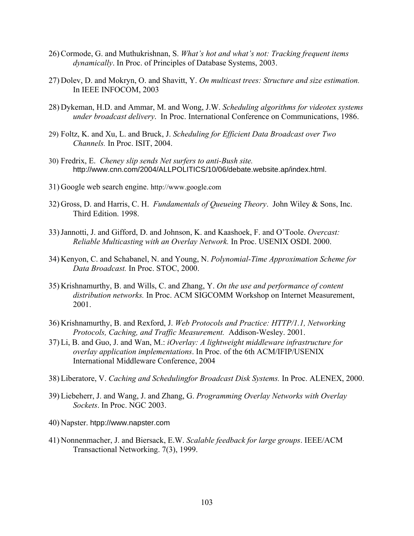- 26) Cormode, G. and Muthukrishnan, S. *What's hot and what's not: Tracking frequent items dynamically*. In Proc. of Principles of Database Systems, 2003.
- 27) Dolev, D. and Mokryn, O. and Shavitt, Y. *On multicast trees: Structure and size estimation.*  In IEEE INFOCOM, 2003
- 28) Dykeman, H.D. and Ammar, M. and Wong, J.W. *Scheduling algorithms for videotex systems under broadcast delivery*. In Proc. International Conference on Communications, 1986.
- 29) Foltz, K. and Xu, L. and Bruck, J. *Scheduling for Efficient Data Broadcast over Two Channels.* In Proc. ISIT, 2004.
- 30) Fredrix, E. *Cheney slip sends Net surfers to anti-Bush site.* http://www.cnn.com/2004/ALLPOLITICS/10/06/debate.website.ap/index.html.
- 31) Google web search engine. http://www.google.com
- 32) Gross, D. and Harris, C. H. *Fundamentals of Queueing Theory*. John Wiley & Sons, Inc. Third Edition. 1998.
- 33)Jannotti, J. and Gifford, D. and Johnson, K. and Kaashoek, F. and O'Toole. *Overcast: Reliable Multicasting with an Overlay Network.* In Proc. USENIX OSDI. 2000.
- 34) Kenyon, C. and Schabanel, N. and Young, N. *Polynomial-Time Approximation Scheme for Data Broadcast.* In Proc. STOC, 2000.
- 35) Krishnamurthy, B. and Wills, C. and Zhang, Y. *On the use and performance of content distribution networks.* In Proc. ACM SIGCOMM Workshop on Internet Measurement, 2001.
- 36) Krishnamurthy, B. and Rexford, J. *Web Protocols and Practice: HTTP/1.1, Networking Protocols, Caching, and Traffic Measurement.* Addison-Wesley. 2001.
- 37) Li, B. and Guo, J. and Wan, M.: *iOverlay: A lightweight middleware infrastructure for overlay application implementations*. In Proc. of the 6th ACM/IFIP/USENIX International Middleware Conference, 2004
- 38) Liberatore, V. *Caching and Schedulingfor Broadcast Disk Systems.* In Proc. ALENEX, 2000.
- 39) Liebeherr, J. and Wang, J. and Zhang, G. *Programming Overlay Networks with Overlay Sockets*. In Proc. NGC 2003.
- 40) Napster. htpp://www.napster.com
- 41) Nonnenmacher, J. and Biersack, E.W. *Scalable feedback for large groups*. IEEE/ACM Transactional Networking. 7(3), 1999.